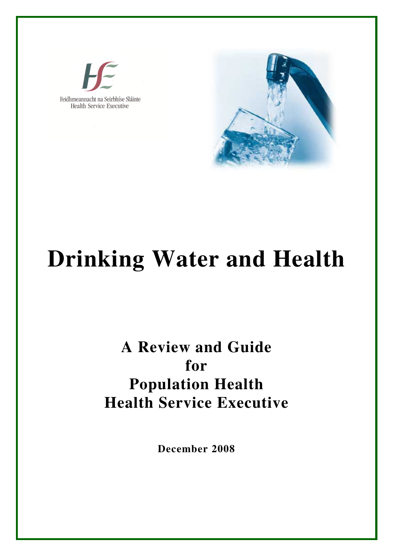



# **Drinking Water and Health**

## **A Review and Guide for Population Health Health Service Executive**

**December 2008**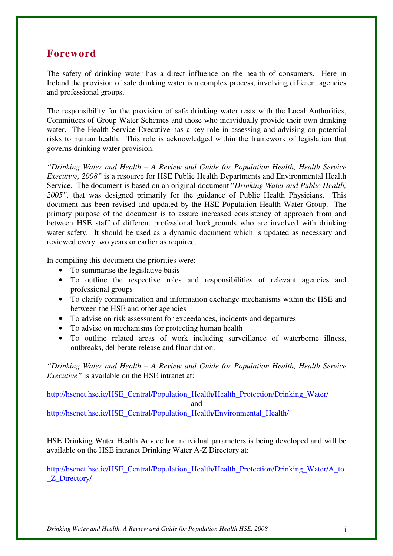## **Foreword**

The safety of drinking water has a direct influence on the health of consumers. Here in Ireland the provision of safe drinking water is a complex process, involving different agencies and professional groups.

The responsibility for the provision of safe drinking water rests with the Local Authorities, Committees of Group Water Schemes and those who individually provide their own drinking water. The Health Service Executive has a key role in assessing and advising on potential risks to human health. This role is acknowledged within the framework of legislation that governs drinking water provision.

*"Drinking Water and Health – A Review and Guide for Population Health, Health Service Executive, 2008"* is a resource for HSE Public Health Departments and Environmental Health Service. The document is based on an original document "*Drinking Water and Public Health,*  2005", that was designed primarily for the guidance of Public Health Physicians. This document has been revised and updated by the HSE Population Health Water Group. The primary purpose of the document is to assure increased consistency of approach from and between HSE staff of different professional backgrounds who are involved with drinking water safety. It should be used as a dynamic document which is updated as necessary and reviewed every two years or earlier as required.

In compiling this document the priorities were:

- To summarise the legislative basis
- To outline the respective roles and responsibilities of relevant agencies and professional groups
- To clarify communication and information exchange mechanisms within the HSE and between the HSE and other agencies
- To advise on risk assessment for exceedances, incidents and departures
- To advise on mechanisms for protecting human health
- To outline related areas of work including surveillance of waterborne illness, outbreaks, deliberate release and fluoridation.

*"Drinking Water and Health – A Review and Guide for Population Health, Health Service Executive"* is available on the HSE intranet at:

http://hsenet.hse.ie/HSE\_Central/Population\_Health/Health\_Protection/Drinking\_Water/ and http://hsenet.hse.ie/HSE\_Central/Population\_Health/Environmental\_Health/

HSE Drinking Water Health Advice for individual parameters is being developed and will be available on the HSE intranet Drinking Water A-Z Directory at:

http://hsenet.hse.ie/HSE\_Central/Population\_Health/Health\_Protection/Drinking\_Water/A\_to \_Z\_Directory/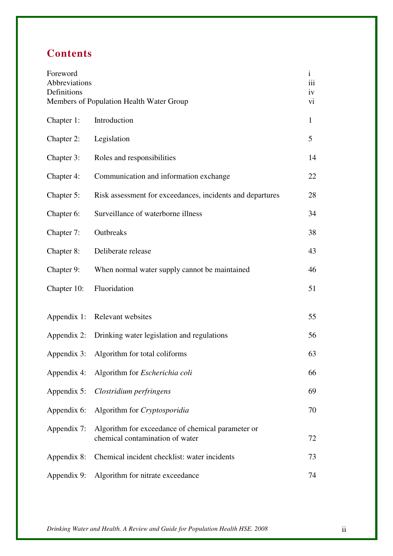## **Contents**

| Foreword<br>Abbreviations<br>Definitions | Members of Population Health Water Group                                             | $\mathbf{i}$<br>iii<br>iv<br>vi |
|------------------------------------------|--------------------------------------------------------------------------------------|---------------------------------|
| Chapter 1:                               | Introduction                                                                         | $\mathbf{1}$                    |
| Chapter 2:                               | Legislation                                                                          | 5                               |
| Chapter 3:                               | Roles and responsibilities                                                           | 14                              |
| Chapter 4:                               | Communication and information exchange                                               | 22                              |
| Chapter 5:                               | Risk assessment for exceedances, incidents and departures                            | 28                              |
| Chapter 6:                               | Surveillance of waterborne illness                                                   | 34                              |
| Chapter 7:                               | Outbreaks                                                                            | 38                              |
| Chapter 8:                               | Deliberate release                                                                   | 43                              |
| Chapter 9:                               | When normal water supply cannot be maintained                                        | 46                              |
| Chapter 10:                              | Fluoridation                                                                         | 51                              |
| Appendix 1:                              | Relevant websites                                                                    | 55                              |
| Appendix 2:                              | Drinking water legislation and regulations                                           | 56                              |
|                                          | Appendix 3: Algorithm for total coliforms                                            | 63                              |
|                                          | Appendix 4: Algorithm for <i>Escherichia coli</i>                                    | 66                              |
| Appendix 5:                              | Clostridium perfringens                                                              | 69                              |
| Appendix 6:                              | Algorithm for Cryptosporidia                                                         | 70                              |
| Appendix 7:                              | Algorithm for exceedance of chemical parameter or<br>chemical contamination of water | 72                              |
| Appendix 8:                              | Chemical incident checklist: water incidents                                         | 73                              |
|                                          | Appendix 9: Algorithm for nitrate exceedance                                         | 74                              |

*Drinking Water and Health. A Review and Guide for Population Health HSE. 2008* ii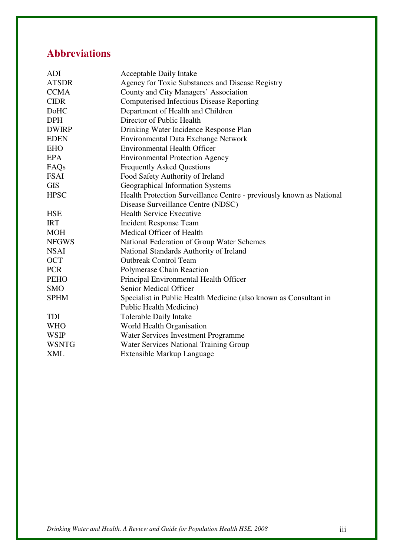## **Abbreviations**

| <b>ADI</b>       | <b>Acceptable Daily Intake</b>                                       |
|------------------|----------------------------------------------------------------------|
| <b>ATSDR</b>     | Agency for Toxic Substances and Disease Registry                     |
| <b>CCMA</b>      | County and City Managers' Association                                |
| <b>CIDR</b>      | <b>Computerised Infectious Disease Reporting</b>                     |
| DoHC             | Department of Health and Children                                    |
| <b>DPH</b>       | Director of Public Health                                            |
| <b>DWIRP</b>     | Drinking Water Incidence Response Plan                               |
| <b>EDEN</b>      | <b>Environmental Data Exchange Network</b>                           |
| <b>EHO</b>       | <b>Environmental Health Officer</b>                                  |
| <b>EPA</b>       | <b>Environmental Protection Agency</b>                               |
| FAQ <sub>s</sub> | <b>Frequently Asked Questions</b>                                    |
| <b>FSAI</b>      | Food Safety Authority of Ireland                                     |
| <b>GIS</b>       | Geographical Information Systems                                     |
| <b>HPSC</b>      | Health Protection Surveillance Centre - previously known as National |
|                  | Disease Surveillance Centre (NDSC)                                   |
| <b>HSE</b>       | <b>Health Service Executive</b>                                      |
| <b>IRT</b>       | <b>Incident Response Team</b>                                        |
| <b>MOH</b>       | Medical Officer of Health                                            |
| <b>NFGWS</b>     | National Federation of Group Water Schemes                           |
| <b>NSAI</b>      | National Standards Authority of Ireland                              |
| <b>OCT</b>       | <b>Outbreak Control Team</b>                                         |
| <b>PCR</b>       | Polymerase Chain Reaction                                            |
| <b>PEHO</b>      | Principal Environmental Health Officer                               |
| <b>SMO</b>       | Senior Medical Officer                                               |
| <b>SPHM</b>      | Specialist in Public Health Medicine (also known as Consultant in    |
|                  | <b>Public Health Medicine)</b>                                       |
| <b>TDI</b>       | Tolerable Daily Intake                                               |
| <b>WHO</b>       | World Health Organisation                                            |
| <b>WSIP</b>      | Water Services Investment Programme                                  |
| <b>WSNTG</b>     | Water Services National Training Group                               |
| XML              | <b>Extensible Markup Language</b>                                    |

*Drinking Water and Health. A Review and Guide for Population Health HSE. 2008* iii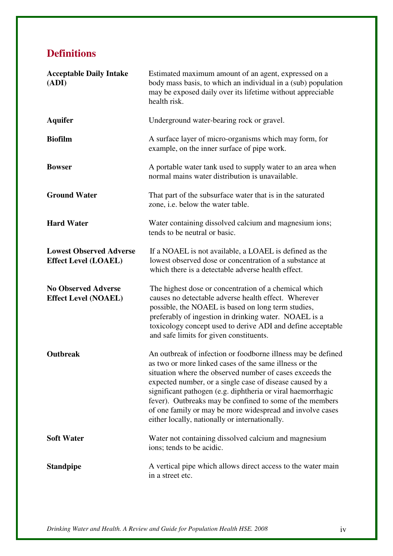## **Definitions**

| <b>Acceptable Daily Intake</b><br>(ADI)                       | Estimated maximum amount of an agent, expressed on a<br>body mass basis, to which an individual in a (sub) population<br>may be exposed daily over its lifetime without appreciable<br>health risk.                                                                                                                                                                                                                                                                                      |
|---------------------------------------------------------------|------------------------------------------------------------------------------------------------------------------------------------------------------------------------------------------------------------------------------------------------------------------------------------------------------------------------------------------------------------------------------------------------------------------------------------------------------------------------------------------|
| <b>Aquifer</b>                                                | Underground water-bearing rock or gravel.                                                                                                                                                                                                                                                                                                                                                                                                                                                |
| <b>Biofilm</b>                                                | A surface layer of micro-organisms which may form, for<br>example, on the inner surface of pipe work.                                                                                                                                                                                                                                                                                                                                                                                    |
| <b>Bowser</b>                                                 | A portable water tank used to supply water to an area when<br>normal mains water distribution is unavailable.                                                                                                                                                                                                                                                                                                                                                                            |
| <b>Ground Water</b>                                           | That part of the subsurface water that is in the saturated<br>zone, i.e. below the water table.                                                                                                                                                                                                                                                                                                                                                                                          |
| <b>Hard Water</b>                                             | Water containing dissolved calcium and magnesium ions;<br>tends to be neutral or basic.                                                                                                                                                                                                                                                                                                                                                                                                  |
| <b>Lowest Observed Adverse</b><br><b>Effect Level (LOAEL)</b> | If a NOAEL is not available, a LOAEL is defined as the<br>lowest observed dose or concentration of a substance at<br>which there is a detectable adverse health effect.                                                                                                                                                                                                                                                                                                                  |
| <b>No Observed Adverse</b><br><b>Effect Level (NOAEL)</b>     | The highest dose or concentration of a chemical which<br>causes no detectable adverse health effect. Wherever<br>possible, the NOAEL is based on long term studies,<br>preferably of ingestion in drinking water. NOAEL is a<br>toxicology concept used to derive ADI and define acceptable<br>and safe limits for given constituents.                                                                                                                                                   |
| <b>Outbreak</b>                                               | An outbreak of infection or foodborne illness may be defined<br>as two or more linked cases of the same illness or the<br>situation where the observed number of cases exceeds the<br>expected number, or a single case of disease caused by a<br>significant pathogen (e.g. diphtheria or viral haemorrhagic<br>fever). Outbreaks may be confined to some of the members<br>of one family or may be more widespread and involve cases<br>either locally, nationally or internationally. |
| <b>Soft Water</b>                                             | Water not containing dissolved calcium and magnesium<br>ions; tends to be acidic.                                                                                                                                                                                                                                                                                                                                                                                                        |
| <b>Standpipe</b>                                              | A vertical pipe which allows direct access to the water main<br>in a street etc.                                                                                                                                                                                                                                                                                                                                                                                                         |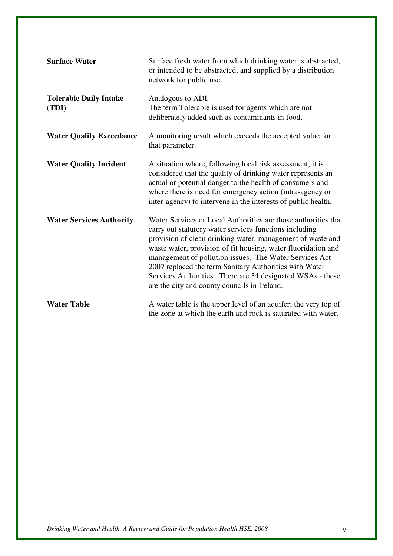| <b>Surface Water</b>                   | Surface fresh water from which drinking water is abstracted,<br>or intended to be abstracted, and supplied by a distribution<br>network for public use.                                                                                                                                                                                                                                                                                                                                   |
|----------------------------------------|-------------------------------------------------------------------------------------------------------------------------------------------------------------------------------------------------------------------------------------------------------------------------------------------------------------------------------------------------------------------------------------------------------------------------------------------------------------------------------------------|
| <b>Tolerable Daily Intake</b><br>(TDI) | Analogous to ADI.<br>The term Tolerable is used for agents which are not<br>deliberately added such as contaminants in food.                                                                                                                                                                                                                                                                                                                                                              |
| <b>Water Quality Exceedance</b>        | A monitoring result which exceeds the accepted value for<br>that parameter.                                                                                                                                                                                                                                                                                                                                                                                                               |
| <b>Water Quality Incident</b>          | A situation where, following local risk assessment, it is<br>considered that the quality of drinking water represents an<br>actual or potential danger to the health of consumers and<br>where there is need for emergency action (intra-agency or<br>inter-agency) to intervene in the interests of public health.                                                                                                                                                                       |
| <b>Water Services Authority</b>        | Water Services or Local Authorities are those authorities that<br>carry out statutory water services functions including<br>provision of clean drinking water, management of waste and<br>waste water, provision of fit housing, water fluoridation and<br>management of pollution issues. The Water Services Act<br>2007 replaced the term Sanitary Authorities with Water<br>Services Authorities. There are 34 designated WSAs - these<br>are the city and county councils in Ireland. |
| <b>Water Table</b>                     | A water table is the upper level of an aquifer; the very top of<br>the zone at which the earth and rock is saturated with water.                                                                                                                                                                                                                                                                                                                                                          |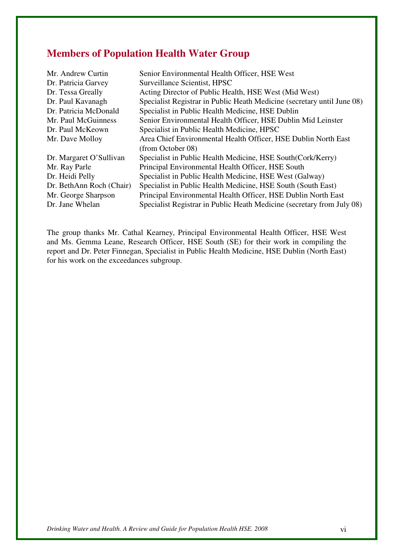## **Members of Population Health Water Group**

| Mr. Andrew Curtin        | Senior Environmental Health Officer, HSE West                           |
|--------------------------|-------------------------------------------------------------------------|
| Dr. Patricia Garvey      | Surveillance Scientist, HPSC                                            |
| Dr. Tessa Greally        | Acting Director of Public Health, HSE West (Mid West)                   |
| Dr. Paul Kavanagh        | Specialist Registrar in Public Heath Medicine (secretary until June 08) |
| Dr. Patricia McDonald    | Specialist in Public Health Medicine, HSE Dublin                        |
| Mr. Paul McGuinness      | Senior Environmental Health Officer, HSE Dublin Mid Leinster            |
| Dr. Paul McKeown         | Specialist in Public Health Medicine, HPSC                              |
| Mr. Dave Molloy          | Area Chief Environmental Health Officer, HSE Dublin North East          |
|                          | (from October 08)                                                       |
| Dr. Margaret O'Sullivan  | Specialist in Public Health Medicine, HSE South (Cork/Kerry)            |
| Mr. Ray Parle            | Principal Environmental Health Officer, HSE South                       |
| Dr. Heidi Pelly          | Specialist in Public Health Medicine, HSE West (Galway)                 |
| Dr. BethAnn Roch (Chair) | Specialist in Public Health Medicine, HSE South (South East)            |
| Mr. George Sharpson      | Principal Environmental Health Officer, HSE Dublin North East           |
| Dr. Jane Whelan          | Specialist Registrar in Public Heath Medicine (secretary from July 08)  |

The group thanks Mr. Cathal Kearney, Principal Environmental Health Officer, HSE West and Ms. Gemma Leane, Research Officer, HSE South (SE) for their work in compiling the report and Dr. Peter Finnegan, Specialist in Public Health Medicine, HSE Dublin (North East) for his work on the exceedances subgroup.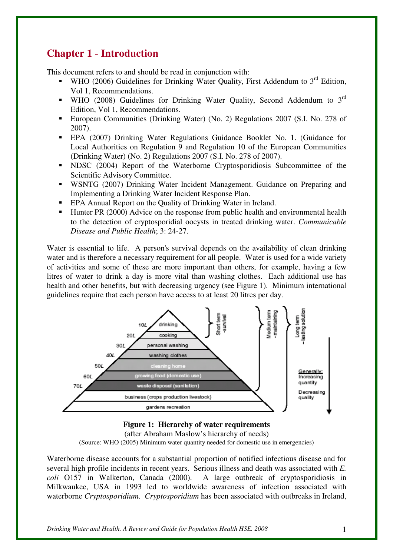## **Chapter 1** - **Introduction**

This document refers to and should be read in conjunction with:

- WHO (2006) Guidelines for Drinking Water Quality, First Addendum to  $3<sup>rd</sup>$  Edition. Vol 1, Recommendations.
- WHO (2008) Guidelines for Drinking Water Quality, Second Addendum to  $3<sup>rd</sup>$ Edition, Vol 1, Recommendations.
- European Communities (Drinking Water) (No. 2) Regulations 2007 (S.I. No. 278 of 2007).
- EPA (2007) Drinking Water Regulations Guidance Booklet No. 1. (Guidance for Local Authorities on Regulation 9 and Regulation 10 of the European Communities (Drinking Water) (No. 2) Regulations 2007 (S.I. No. 278 of 2007).
- INDSC (2004) Report of the Waterborne Cryptosporidiosis Subcommittee of the Scientific Advisory Committee.
- WSNTG (2007) Drinking Water Incident Management. Guidance on Preparing and Implementing a Drinking Water Incident Response Plan.
- **EPA Annual Report on the Quality of Drinking Water in Ireland.**
- Hunter PR (2000) Advice on the response from public health and environmental health to the detection of cryptosporidial oocysts in treated drinking water. *Communicable Disease and Public Health*; 3: 24-27.

Water is essential to life. A person's survival depends on the availability of clean drinking water and is therefore a necessary requirement for all people. Water is used for a wide variety of activities and some of these are more important than others, for example, having a few litres of water to drink a day is more vital than washing clothes. Each additional use has health and other benefits, but with decreasing urgency (see Figure 1). Minimum international guidelines require that each person have access to at least 20 litres per day.



**Figure 1: Hierarchy of water requirements**  (after Abraham Maslow's hierarchy of needs) (Source: WHO (2005) Minimum water quantity needed for domestic use in emergencies)

Waterborne disease accounts for a substantial proportion of notified infectious disease and for several high profile incidents in recent years. Serious illness and death was associated with *E. coli* O157 in Walkerton, Canada (2000). A large outbreak of cryptosporidiosis in Milkwaukee, USA in 1993 led to worldwide awareness of infection associated with waterborne *Cryptosporidium*. *Cryptosporidium* has been associated with outbreaks in Ireland,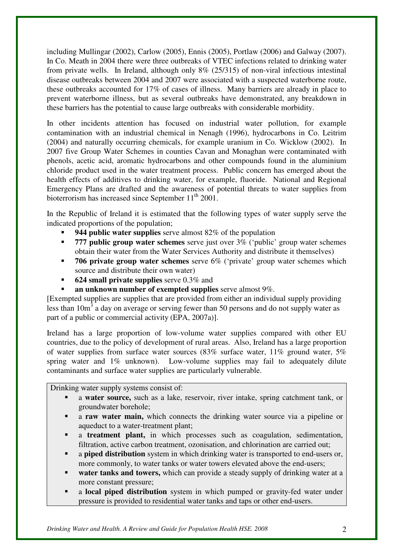including Mullingar (2002), Carlow (2005), Ennis (2005), Portlaw (2006) and Galway (2007). In Co. Meath in 2004 there were three outbreaks of VTEC infections related to drinking water from private wells. In Ireland, although only 8% (25/315) of non-viral infectious intestinal disease outbreaks between 2004 and 2007 were associated with a suspected waterborne route, these outbreaks accounted for 17% of cases of illness. Many barriers are already in place to prevent waterborne illness, but as several outbreaks have demonstrated, any breakdown in these barriers has the potential to cause large outbreaks with considerable morbidity.

In other incidents attention has focused on industrial water pollution, for example contamination with an industrial chemical in Nenagh (1996), hydrocarbons in Co. Leitrim (2004) and naturally occurring chemicals, for example uranium in Co. Wicklow (2002). In 2007 five Group Water Schemes in counties Cavan and Monaghan were contaminated with phenols, acetic acid, aromatic hydrocarbons and other compounds found in the aluminium chloride product used in the water treatment process. Public concern has emerged about the health effects of additives to drinking water, for example, fluoride. National and Regional Emergency Plans are drafted and the awareness of potential threats to water supplies from bioterrorism has increased since September  $11<sup>th</sup> 2001$ .

In the Republic of Ireland it is estimated that the following types of water supply serve the indicated proportions of the population;

- **944 public water supplies** serve almost 82% of the population
- **777 public group water schemes** serve just over 3% ('public' group water schemes obtain their water from the Water Services Authority and distribute it themselves)
- **706 private group water schemes** serve 6% ('private' group water schemes which source and distribute their own water)
- **624 small private supplies** serve 0.3% and
- **an unknown number of exempted supplies** serve almost 9%.

[Exempted supplies are supplies that are provided from either an individual supply providing less than  $10m<sup>3</sup>$  a day on average or serving fewer than 50 persons and do not supply water as part of a public or commercial activity (EPA, 2007a)].

Ireland has a large proportion of low-volume water supplies compared with other EU countries, due to the policy of development of rural areas. Also, Ireland has a large proportion of water supplies from surface water sources (83% surface water, 11% ground water, 5% spring water and 1% unknown). Low-volume supplies may fail to adequately dilute contaminants and surface water supplies are particularly vulnerable.

Drinking water supply systems consist of:

- a **water source,** such as a lake, reservoir, river intake, spring catchment tank, or groundwater borehole;
- a **raw water main,** which connects the drinking water source via a pipeline or aqueduct to a water-treatment plant;
- a **treatment plant,** in which processes such as coagulation, sedimentation, filtration, active carbon treatment, ozonisation, and chlorination are carried out;
- a **piped distribution** system in which drinking water is transported to end-users or, more commonly, to water tanks or water towers elevated above the end-users;
- **water tanks and towers,** which can provide a steady supply of drinking water at a more constant pressure;
- a **local piped distribution** system in which pumped or gravity-fed water under pressure is provided to residential water tanks and taps or other end-users.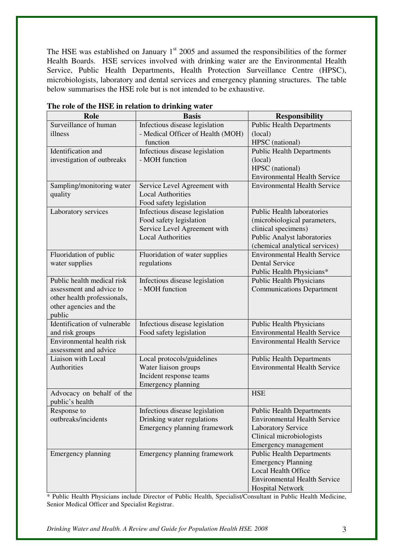The HSE was established on January  $1<sup>st</sup>$  2005 and assumed the responsibilities of the former Health Boards. HSE services involved with drinking water are the Environmental Health Service, Public Health Departments, Health Protection Surveillance Centre (HPSC), microbiologists, laboratory and dental services and emergency planning structures. The table below summarises the HSE role but is not intended to be exhaustive.

| Role                         | <b>Basis</b>                                             | <b>Responsibility</b>                                                |
|------------------------------|----------------------------------------------------------|----------------------------------------------------------------------|
| Surveillance of human        | Infectious disease legislation                           | <b>Public Health Departments</b>                                     |
| illness                      | - Medical Officer of Health (MOH)                        | (local)                                                              |
|                              | function                                                 | HPSC (national)                                                      |
| Identification and           | Infectious disease legislation                           | <b>Public Health Departments</b>                                     |
| investigation of outbreaks   | - MOH function                                           | (local)                                                              |
|                              |                                                          | HPSC (national)                                                      |
|                              |                                                          | <b>Environmental Health Service</b>                                  |
| Sampling/monitoring water    | Service Level Agreement with                             | <b>Environmental Health Service</b>                                  |
| quality                      | <b>Local Authorities</b>                                 |                                                                      |
|                              | Food safety legislation                                  |                                                                      |
| Laboratory services          | Infectious disease legislation                           | <b>Public Health laboratories</b>                                    |
|                              | Food safety legislation                                  | (microbiological parameters,                                         |
|                              | Service Level Agreement with<br><b>Local Authorities</b> | clinical specimens)                                                  |
|                              |                                                          | <b>Public Analyst laboratories</b><br>(chemical analytical services) |
| Fluoridation of public       | Fluoridation of water supplies                           | <b>Environmental Health Service</b>                                  |
| water supplies               | regulations                                              | <b>Dental Service</b>                                                |
|                              |                                                          | Public Health Physicians*                                            |
| Public health medical risk   | Infectious disease legislation                           | <b>Public Health Physicians</b>                                      |
| assessment and advice to     | - MOH function                                           | <b>Communications Department</b>                                     |
| other health professionals,  |                                                          |                                                                      |
| other agencies and the       |                                                          |                                                                      |
| public                       |                                                          |                                                                      |
| Identification of vulnerable | Infectious disease legislation                           | Public Health Physicians                                             |
| and risk groups              | Food safety legislation                                  | <b>Environmental Health Service</b>                                  |
| Environmental health risk    |                                                          | <b>Environmental Health Service</b>                                  |
| assessment and advice        |                                                          |                                                                      |
| Liaison with Local           | Local protocols/guidelines                               | <b>Public Health Departments</b>                                     |
| Authorities                  | Water liaison groups                                     | <b>Environmental Health Service</b>                                  |
|                              | Incident response teams                                  |                                                                      |
|                              | Emergency planning                                       |                                                                      |
| Advocacy on behalf of the    |                                                          | <b>HSE</b>                                                           |
| public's health              |                                                          |                                                                      |
| Response to                  | Infectious disease legislation                           | <b>Public Health Departments</b>                                     |
| outbreaks/incidents          | Drinking water regulations                               | <b>Environmental Health Service</b>                                  |
|                              | Emergency planning framework                             | <b>Laboratory Service</b>                                            |
|                              |                                                          | Clinical microbiologists                                             |
|                              |                                                          | Emergency management                                                 |
| Emergency planning           | Emergency planning framework                             | <b>Public Health Departments</b>                                     |
|                              |                                                          | <b>Emergency Planning</b>                                            |
|                              |                                                          | Local Health Office                                                  |
|                              |                                                          | <b>Environmental Health Service</b>                                  |
|                              |                                                          | <b>Hospital Network</b>                                              |

**The role of the HSE in relation to drinking water** 

\* Public Health Physicians include Director of Public Health, Specialist/Consultant in Public Health Medicine, Senior Medical Officer and Specialist Registrar.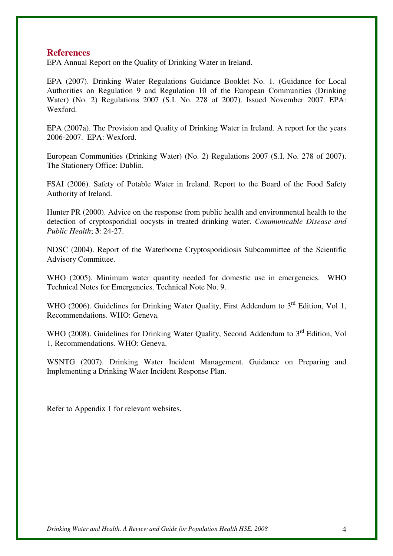#### **References**

EPA Annual Report on the Quality of Drinking Water in Ireland.

EPA (2007). Drinking Water Regulations Guidance Booklet No. 1. (Guidance for Local Authorities on Regulation 9 and Regulation 10 of the European Communities (Drinking Water) (No. 2) Regulations 2007 (S.I. No. 278 of 2007). Issued November 2007. EPA: Wexford.

EPA (2007a). The Provision and Quality of Drinking Water in Ireland. A report for the years 2006-2007. EPA: Wexford.

European Communities (Drinking Water) (No. 2) Regulations 2007 (S.I. No. 278 of 2007). The Stationery Office: Dublin.

FSAI (2006). Safety of Potable Water in Ireland. Report to the Board of the Food Safety Authority of Ireland.

Hunter PR (2000). Advice on the response from public health and environmental health to the detection of cryptosporidial oocysts in treated drinking water. *Communicable Disease and Public Health*; **3**: 24-27.

NDSC (2004). Report of the Waterborne Cryptosporidiosis Subcommittee of the Scientific Advisory Committee.

WHO (2005). Minimum water quantity needed for domestic use in emergencies. WHO Technical Notes for Emergencies. Technical Note No. 9.

WHO (2006). Guidelines for Drinking Water Quality, First Addendum to  $3<sup>rd</sup>$  Edition, Vol 1, Recommendations. WHO: Geneva.

WHO (2008). Guidelines for Drinking Water Quality, Second Addendum to 3<sup>rd</sup> Edition, Vol 1, Recommendations. WHO: Geneva.

WSNTG (2007). Drinking Water Incident Management. Guidance on Preparing and Implementing a Drinking Water Incident Response Plan.

Refer to Appendix 1 for relevant websites.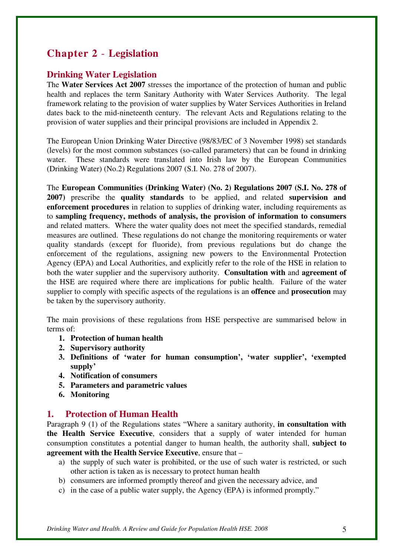## **Chapter 2** - **Legislation**

## **Drinking Water Legislation**

The **Water Services Act 2007** stresses the importance of the protection of human and public health and replaces the term Sanitary Authority with Water Services Authority. The legal framework relating to the provision of water supplies by Water Services Authorities in Ireland dates back to the mid-nineteenth century. The relevant Acts and Regulations relating to the provision of water supplies and their principal provisions are included in Appendix 2.

The European Union Drinking Water Directive (98/83/EC of 3 November 1998) set standards (levels) for the most common substances (so-called parameters) that can be found in drinking water. These standards were translated into Irish law by the European Communities (Drinking Water) (No.2) Regulations 2007 (S.I. No. 278 of 2007).

The **European Communities (Drinking Water) (No. 2) Regulations 2007 (S.I. No. 278 of 2007)** prescribe the **quality standards** to be applied, and related **supervision and enforcement procedures** in relation to supplies of drinking water, including requirements as to **sampling frequency, methods of analysis, the provision of information to consumers** and related matters. Where the water quality does not meet the specified standards, remedial measures are outlined. These regulations do not change the monitoring requirements or water quality standards (except for fluoride), from previous regulations but do change the enforcement of the regulations, assigning new powers to the Environmental Protection Agency (EPA) and Local Authorities, and explicitly refer to the role of the HSE in relation to both the water supplier and the supervisory authority. **Consultation with** and **agreement of** the HSE are required where there are implications for public health. Failure of the water supplier to comply with specific aspects of the regulations is an **offence** and **prosecution** may be taken by the supervisory authority.

The main provisions of these regulations from HSE perspective are summarised below in terms of:

- **1. Protection of human health**
- **2. Supervisory authority**
- **3. Definitions of 'water for human consumption', 'water supplier', 'exempted supply'**
- **4. Notification of consumers**
- **5. Parameters and parametric values**
- **6. Monitoring**

## **1. Protection of Human Health**

Paragraph 9 (1) of the Regulations states "Where a sanitary authority, **in consultation with the Health Service Executive**, considers that a supply of water intended for human consumption constitutes a potential danger to human health, the authority shall, **subject to agreement with the Health Service Executive**, ensure that –

- a) the supply of such water is prohibited, or the use of such water is restricted, or such other action is taken as is necessary to protect human health
- b) consumers are informed promptly thereof and given the necessary advice, and
- c) in the case of a public water supply, the Agency (EPA) is informed promptly."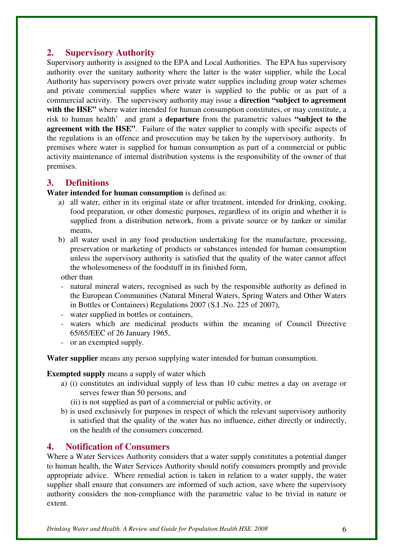## **2. Supervisory Authority**

Supervisory authority is assigned to the EPA and Local Authorities. The EPA has supervisory authority over the sanitary authority where the latter is the water supplier, while the Local Authority has supervisory powers over private water supplies including group water schemes and private commercial supplies where water is supplied to the public or as part of a commercial activity. The supervisory authority may issue a **direction "subject to agreement**  with the HSE" where water intended for human consumption constitutes, or may constitute, a risk to human health' and grant a **departure** from the parametric values **"subject to the agreement with the HSE".** Failure of the water supplier to comply with specific aspects of the regulations is an offence and prosecution may be taken by the supervisory authority. In premises where water is supplied for human consumption as part of a commercial or public activity maintenance of internal distribution systems is the responsibility of the owner of that premises.

## **3. Definitions**

## **Water intended for human consumption** is defined as:

- a) all water, either in its original state or after treatment, intended for drinking, cooking, food preparation, or other domestic purposes, regardless of its origin and whether it is supplied from a distribution network, from a private source or by tanker or similar means,
- b) all water used in any food production undertaking for the manufacture, processing, preservation or marketing of products or substances intended for human consumption unless the supervisory authority is satisfied that the quality of the water cannot affect the wholesomeness of the foodstuff in its finished form,
- other than
- natural mineral waters, recognised as such by the responsible authority as defined in the European Communities (Natural Mineral Waters, Spring Waters and Other Waters in Bottles or Containers) Regulations 2007 (S.I .No. 225 of 2007),
- water supplied in bottles or containers,
- waters which are medicinal products within the meaning of Council Directive 65/65/EEC of 26 January 1965,
- or an exempted supply.

**Water supplier** means any person supplying water intended for human consumption.

**Exempted supply** means a supply of water which

- a) (i) constitutes an individual supply of less than 10 cubic metres a day on average or serves fewer than 50 persons, and
	- (ii) is not supplied as part of a commercial or public activity, or
- b) is used exclusively for purposes in respect of which the relevant supervisory authority is satisfied that the quality of the water has no influence, either directly or indirectly, on the health of the consumers concerned.

## **4. Notification of Consumers**

Where a Water Services Authority considers that a water supply constitutes a potential danger to human health, the Water Services Authority should notify consumers promptly and provide appropriate advice. Where remedial action is taken in relation to a water supply, the water supplier shall ensure that consumers are informed of such action, save where the supervisory authority considers the non-compliance with the parametric value to be trivial in nature or extent.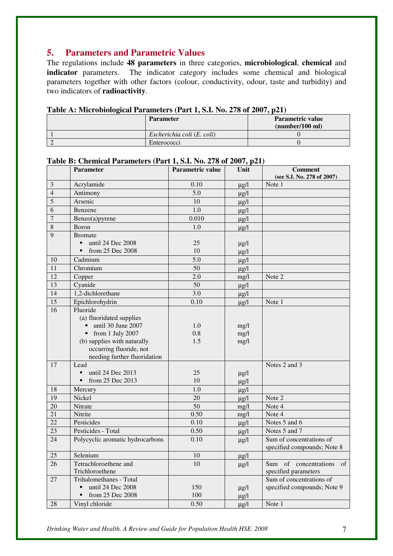## **5. Parameters and Parametric Values**

The regulations include **48 parameters** in three categories, **microbiological**, **chemical** and **indicator** parameters. The indicator category includes some chemical and biological parameters together with other factors (colour, conductivity, odour, taste and turbidity) and two indicators of **radioactivity**.

| <b>1 avic A.</b> MICI UDIOIOGICAL LALAMETERS (1 all 1, 5.1. 190. 270 OL 2007, $\mu$ 21) |                            |                  |  |  |
|-----------------------------------------------------------------------------------------|----------------------------|------------------|--|--|
|                                                                                         | <b>Parameter</b>           | Parametric value |  |  |
|                                                                                         |                            | (number/100 ml)  |  |  |
|                                                                                         | Escherichia coli (E. coli) |                  |  |  |
|                                                                                         | Enterococci                |                  |  |  |

**Table A: Microbiological Parameters (Part 1, S.I. No. 278 of 2007, p21)** 

## **Table B: Chemical Parameters (Part 1, S.I. No. 278 of 2007, p21)**

|                 | <b>Parameter</b>                   | <b>Parametric value</b> | Unit      | <b>Comment</b>              |
|-----------------|------------------------------------|-------------------------|-----------|-----------------------------|
|                 |                                    |                         |           | (see S.I. No. 278 of 2007)  |
| 3               | Acrylamide                         | 0.10                    | $\mu$ g/l | Note 1                      |
| $\overline{4}$  | Antimony                           | $\overline{5.0}$        | $\mu$ g/l |                             |
| 5               | Arsenic                            | 10                      | $\mu$ g/l |                             |
| 6               | Benzene                            | 1.0                     | $\mu g/l$ |                             |
| $\overline{7}$  | Benzo(a)pyrene                     | 0.010                   | $\mu$ g/l |                             |
| 8               | Boron                              | 1.0                     | $\mu$ g/l |                             |
| 9               | <b>Bromate</b>                     |                         |           |                             |
|                 | until 24 Dec 2008                  | 25                      | $\mu$ g/l |                             |
|                 | from 25 Dec 2008<br>$\blacksquare$ | 10                      | $\mu$ g/l |                             |
| 10              | Cadmium                            | 5.0                     | $\mu$ g/l |                             |
| 11              | Chromium                           | 50                      | $\mu$ g/l |                             |
| 12              | Copper                             | 2.0                     | mg/l      | Note 2                      |
| $\overline{13}$ | Cyanide                            | $\overline{50}$         | $\mu g/l$ |                             |
| 14              | 1,2-dichlorethane                  | 3.0                     | $\mu$ g/l |                             |
| $\overline{15}$ | Epichlorohydrin                    | 0.10                    | $\mu$ g/l | Note 1                      |
| 16              | Fluoride                           |                         |           |                             |
|                 | (a) fluoridated supplies           |                         |           |                             |
|                 | until 30 June 2007                 | 1.0                     | mg/l      |                             |
|                 | from 1 July 2007                   | 0.8                     | mg/l      |                             |
|                 | (b) supplies with naturally        | 1.5                     | mg/l      |                             |
|                 | occurring fluoride, not            |                         |           |                             |
|                 | needing further fluoridation       |                         |           |                             |
| 17              | Lead                               |                         |           | Notes 2 and 3               |
|                 | until 24 Dec 2013                  | 25                      | $\mu$ g/l |                             |
|                 | from 25 Dec 2013<br>Ξ              | 10                      | $\mu$ g/l |                             |
| 18              | Mercury                            | 1.0                     | $\mu$ g/l |                             |
| 19              | Nickel                             | 20                      | $\mu$ g/l | Note 2                      |
| 20              | Nitrate                            | $\overline{50}$         | mg/l      | Note 4                      |
| 21              | Nitrite                            | 0.50                    | mg/l      | Note 4                      |
| $\overline{22}$ | Pesticides                         | 0.10                    | $\mu$ g/l | Notes 5 and 6               |
| 23              | Pesticides - Total                 | 0.50                    | $\mu$ g/l | Notes 5 and 7               |
| 24              | Polycyclic aromatic hydrocarbons   | 0.10                    | $\mu$ g/l | Sum of concentrations of    |
|                 |                                    |                         |           | specified compounds; Note 8 |
| 25              | Selenium                           | 10                      | $\mu$ g/l |                             |
| 26              | Tetrachloroethene and              | 10                      | $\mu$ g/l | Sum of concentrations<br>of |
|                 | Trichloroethene                    |                         |           | specified parameters        |
| 27              | Trihalomethanes - Total            |                         |           | Sum of concentrations of    |
|                 | until 24 Dec 2008                  | 150                     | $\mu$ g/l | specified compounds; Note 9 |
|                 | from 25 Dec 2008                   | 100                     | $\mu$ g/l |                             |
| 28              | Vinyl chloride                     | 0.50                    | $\mu$ g/l | Note 1                      |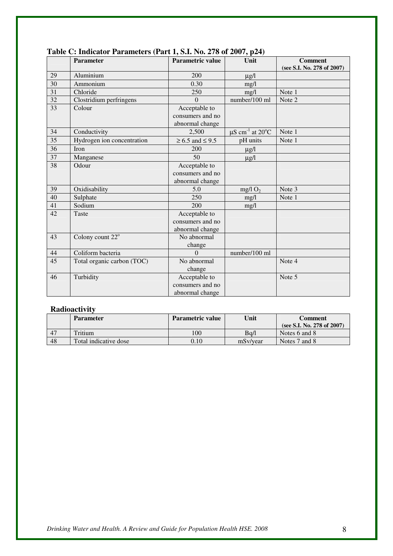|    | Parameter                    | $(1.441)$ $(2.44)$ $(2.40)$<br><b>Parametric value</b> | $\cdots$ or $\cdots$ , $\gamma$ , $\cdots$<br>Unit | <b>Comment</b>             |
|----|------------------------------|--------------------------------------------------------|----------------------------------------------------|----------------------------|
|    |                              |                                                        |                                                    | (see S.I. No. 278 of 2007) |
| 29 | Aluminium                    | 200                                                    | $\mu$ g/l                                          |                            |
| 30 | Ammonium                     | 0.30                                                   | mg/l                                               |                            |
| 31 | Chloride                     | 250                                                    | mg/l                                               | Note 1                     |
| 32 | Clostridium perfringens      | $\Omega$                                               | number/100 ml                                      | Note 2                     |
| 33 | Colour                       | Acceptable to                                          |                                                    |                            |
|    |                              | consumers and no                                       |                                                    |                            |
|    |                              | abnormal change                                        |                                                    |                            |
| 34 | Conductivity                 | 2,500                                                  | $\mu$ S cm <sup>-1</sup> at 20 <sup>o</sup> C      | Note 1                     |
| 35 | Hydrogen ion concentration   | $\geq 6.5$ and $\leq 9.5$                              | pH units                                           | Note 1                     |
| 36 | Iron                         | 200                                                    | $\mu$ g/l                                          |                            |
| 37 | Manganese                    | 50                                                     | $\mu$ g/l                                          |                            |
| 38 | Odour                        | Acceptable to                                          |                                                    |                            |
|    |                              | consumers and no                                       |                                                    |                            |
|    |                              | abnormal change                                        |                                                    |                            |
| 39 | Oxidisability                | 5.0                                                    | mg/l $O2$                                          | Note 3                     |
| 40 | Sulphate                     | 250                                                    | mg/l                                               | Note 1                     |
| 41 | Sodium                       | 200                                                    | mg/l                                               |                            |
| 42 | Taste                        | Acceptable to                                          |                                                    |                            |
|    |                              | consumers and no                                       |                                                    |                            |
|    |                              | abnormal change                                        |                                                    |                            |
| 43 | Colony count 22 <sup>°</sup> | No abnormal                                            |                                                    |                            |
|    |                              | change                                                 |                                                    |                            |
| 44 | Coliform bacteria            | $\Omega$                                               | number/100 ml                                      |                            |
| 45 | Total organic carbon (TOC)   | No abnormal                                            |                                                    | Note 4                     |
|    |                              | change                                                 |                                                    |                            |
| 46 | Turbidity                    | Acceptable to                                          |                                                    | Note 5                     |
|    |                              | consumers and no                                       |                                                    |                            |
|    |                              | abnormal change                                        |                                                    |                            |

## **Table C: Indicator Parameters (Part 1, S.I. No. 278 of 2007, p24)**

## **Radioactivity**

|                   | <b>Parameter</b>      | Parametric value | Unit     | Comment                       |
|-------------------|-----------------------|------------------|----------|-------------------------------|
|                   |                       |                  |          | (see S.I. No. 278 of $2007$ ) |
| $\overline{1}$ 47 | Tritium               | 100              | Ba/l     | Notes 6 and 8                 |
| $\overline{1}$ 48 | Total indicative dose | $0.10\,$         | mSv/vear | Notes 7 and 8                 |

*Drinking Water and Health. A Review and Guide for Population Health HSE. 2008* 8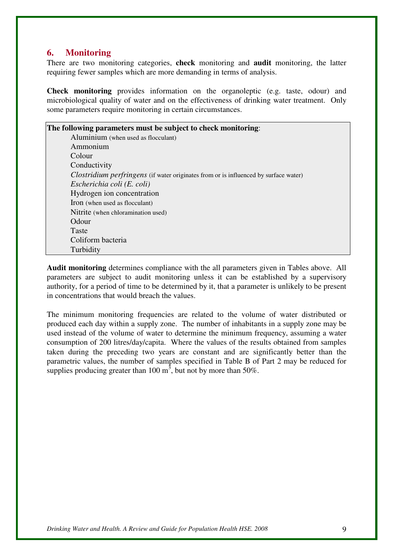## **6. Monitoring**

There are two monitoring categories, **check** monitoring and **audit** monitoring, the latter requiring fewer samples which are more demanding in terms of analysis.

**Check monitoring** provides information on the organoleptic (e.g. taste, odour) and microbiological quality of water and on the effectiveness of drinking water treatment. Only some parameters require monitoring in certain circumstances.

| The following parameters must be subject to check monitoring:                               |
|---------------------------------------------------------------------------------------------|
| Aluminium (when used as flocculant)                                                         |
| Ammonium                                                                                    |
| Colour                                                                                      |
| Conductivity                                                                                |
| <i>Clostridium perfringens</i> (if water originates from or is influenced by surface water) |
| Escherichia coli (E. coli)                                                                  |
| Hydrogen ion concentration                                                                  |
| Iron (when used as flocculant)                                                              |
| Nitrite (when chloramination used)                                                          |
| Odour                                                                                       |
| Taste                                                                                       |
| Coliform bacteria                                                                           |
| Turbidity                                                                                   |

**Audit monitoring** determines compliance with the all parameters given in Tables above. All parameters are subject to audit monitoring unless it can be established by a supervisory authority, for a period of time to be determined by it, that a parameter is unlikely to be present in concentrations that would breach the values.

The minimum monitoring frequencies are related to the volume of water distributed or produced each day within a supply zone. The number of inhabitants in a supply zone may be used instead of the volume of water to determine the minimum frequency, assuming a water consumption of 200 litres/day/capita. Where the values of the results obtained from samples taken during the preceding two years are constant and are significantly better than the parametric values, the number of samples specified in Table B of Part 2 may be reduced for supplies producing greater than 100  $m^3$ , but not by more than 50%.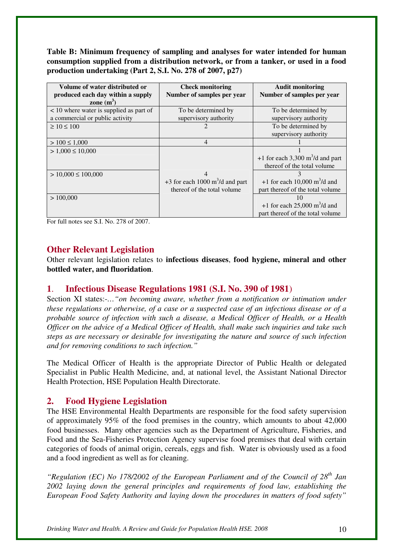**Table B: Minimum frequency of sampling and analyses for water intended for human consumption supplied from a distribution network, or from a tanker, or used in a food production undertaking (Part 2, S.I. No. 278 of 2007, p27)**

| Volume of water distributed or          | <b>Check monitoring</b>                         | <b>Audit monitoring</b>                       |
|-----------------------------------------|-------------------------------------------------|-----------------------------------------------|
| produced each day within a supply       | Number of samples per year                      | Number of samples per year                    |
| zone $(m^3)$                            |                                                 |                                               |
| < 10 where water is supplied as part of | To be determined by                             | To be determined by                           |
| a commercial or public activity         | supervisory authority                           | supervisory authority                         |
| $\geq 10 \leq 100$                      |                                                 | To be determined by                           |
|                                         |                                                 | supervisory authority                         |
| $> 100 \le 1,000$                       | $\overline{4}$                                  |                                               |
| $> 1,000 \le 10,000$                    |                                                 |                                               |
|                                         |                                                 | +1 for each 3,300 $m^3/d$ and part            |
|                                         |                                                 | thereof of the total volume                   |
| $> 10,000 \le 100,000$                  | $\overline{4}$                                  |                                               |
|                                         | +3 for each 1000 $\text{m}^3/\text{d}$ and part | +1 for each 10,000 $\text{m}^3/\text{d}$ and  |
|                                         | thereof of the total volume                     | part thereof of the total volume              |
| > 100,000                               |                                                 | 10                                            |
|                                         |                                                 | +1 for each $25,000 \text{ m}^3/\text{d}$ and |
|                                         |                                                 | part thereof of the total volume              |

For full notes see S.I. No. 278 of 2007.

## **Other Relevant Legislation**

Other relevant legislation relates to **infectious diseases**, **food hygiene, mineral and other bottled water, and fluoridation**.

## **1**. **Infectious Disease Regulations 1981 (S.I. No. 390 of 1981**)

Section XI states:-*…"on becoming aware, whether from a notification or intimation under these regulations or otherwise, of a case or a suspected case of an infectious disease or of a probable source of infection with such a disease, a Medical Officer of Health, or a Health Officer on the advice of a Medical Officer of Health, shall make such inquiries and take such steps as are necessary or desirable for investigating the nature and source of such infection and for removing conditions to such infection."*

The Medical Officer of Health is the appropriate Director of Public Health or delegated Specialist in Public Health Medicine, and, at national level, the Assistant National Director Health Protection, HSE Population Health Directorate.

## **2. Food Hygiene Legislation**

The HSE Environmental Health Departments are responsible for the food safety supervision of approximately 95% of the food premises in the country, which amounts to about 42,000 food businesses. Many other agencies such as the Department of Agriculture, Fisheries, and Food and the Sea-Fisheries Protection Agency supervise food premises that deal with certain categories of foods of animal origin, cereals, eggs and fish. Water is obviously used as a food and a food ingredient as well as for cleaning.

*"Regulation (EC) No 178/2002 of the European Parliament and of the Council of 28th Jan 2002 laying down the general principles and requirements of food law, establishing the European Food Safety Authority and laying down the procedures in matters of food safety"*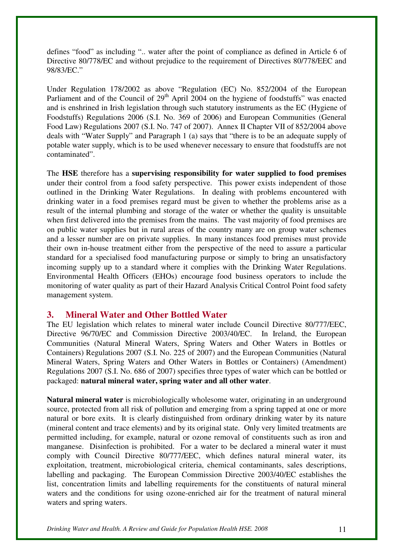defines "food" as including ".. water after the point of compliance as defined in Article 6 of Directive 80/778/EC and without prejudice to the requirement of Directives 80/778/EEC and 98/83/EC."

Under Regulation 178/2002 as above "Regulation (EC) No. 852/2004 of the European Parliament and of the Council of 29<sup>th</sup> April 2004 on the hygiene of foodstuffs" was enacted and is enshrined in Irish legislation through such statutory instruments as the EC (Hygiene of Foodstuffs) Regulations 2006 (S.I. No. 369 of 2006) and European Communities (General Food Law) Regulations 2007 (S.I. No. 747 of 2007). Annex II Chapter VII of 852/2004 above deals with "Water Supply" and Paragraph 1 (a) says that "there is to be an adequate supply of potable water supply, which is to be used whenever necessary to ensure that foodstuffs are not contaminated".

The **HSE** therefore has a **supervising responsibility for water supplied to food premises** under their control from a food safety perspective. This power exists independent of those outlined in the Drinking Water Regulations. In dealing with problems encountered with drinking water in a food premises regard must be given to whether the problems arise as a result of the internal plumbing and storage of the water or whether the quality is unsuitable when first delivered into the premises from the mains. The vast majority of food premises are on public water supplies but in rural areas of the country many are on group water schemes and a lesser number are on private supplies. In many instances food premises must provide their own in-house treatment either from the perspective of the need to assure a particular standard for a specialised food manufacturing purpose or simply to bring an unsatisfactory incoming supply up to a standard where it complies with the Drinking Water Regulations. Environmental Health Officers (EHOs) encourage food business operators to include the monitoring of water quality as part of their Hazard Analysis Critical Control Point food safety management system.

## **3. Mineral Water and Other Bottled Water**

The EU legislation which relates to mineral water include Council Directive 80/777/EEC, Directive 96/70/EC and Commission Directive 2003/40/EC. In Ireland, the European Communities (Natural Mineral Waters, Spring Waters and Other Waters in Bottles or Containers) Regulations 2007 (S.I. No. 225 of 2007) and the European Communities (Natural Mineral Waters, Spring Waters and Other Waters in Bottles or Containers) (Amendment) Regulations 2007 (S.I. No. 686 of 2007) specifies three types of water which can be bottled or packaged: **natural mineral water, spring water and all other water**.

**Natural mineral water** is microbiologically wholesome water, originating in an underground source, protected from all risk of pollution and emerging from a spring tapped at one or more natural or bore exits. It is clearly distinguished from ordinary drinking water by its nature (mineral content and trace elements) and by its original state. Only very limited treatments are permitted including, for example, natural or ozone removal of constituents such as iron and manganese. Disinfection is prohibited. For a water to be declared a mineral water it must comply with Council Directive 80/777/EEC, which defines natural mineral water, its exploitation, treatment, microbiological criteria, chemical contaminants, sales descriptions, labelling and packaging. The European Commission Directive 2003/40/EC establishes the list, concentration limits and labelling requirements for the constituents of natural mineral waters and the conditions for using ozone-enriched air for the treatment of natural mineral waters and spring waters.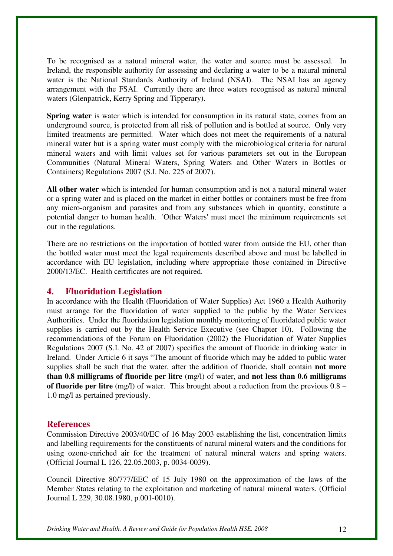To be recognised as a natural mineral water, the water and source must be assessed. In Ireland, the responsible authority for assessing and declaring a water to be a natural mineral water is the National Standards Authority of Ireland (NSAI). The NSAI has an agency arrangement with the FSAI. Currently there are three waters recognised as natural mineral waters (Glenpatrick, Kerry Spring and Tipperary).

**Spring water** is water which is intended for consumption in its natural state, comes from an underground source, is protected from all risk of pollution and is bottled at source. Only very limited treatments are permitted. Water which does not meet the requirements of a natural mineral water but is a spring water must comply with the microbiological criteria for natural mineral waters and with limit values set for various parameters set out in the European Communities (Natural Mineral Waters, Spring Waters and Other Waters in Bottles or Containers) Regulations 2007 (S.I. No. 225 of 2007).

**All other water** which is intended for human consumption and is not a natural mineral water or a spring water and is placed on the market in either bottles or containers must be free from any micro-organism and parasites and from any substances which in quantity, constitute a potential danger to human health. 'Other Waters' must meet the minimum requirements set out in the regulations.

There are no restrictions on the importation of bottled water from outside the EU, other than the bottled water must meet the legal requirements described above and must be labelled in accordance with EU legislation, including where appropriate those contained in Directive 2000/13/EC. Health certificates are not required.

## **4. Fluoridation Legislation**

In accordance with the Health (Fluoridation of Water Supplies) Act 1960 a Health Authority must arrange for the fluoridation of water supplied to the public by the Water Services Authorities. Under the fluoridation legislation monthly monitoring of fluoridated public water supplies is carried out by the Health Service Executive (see Chapter 10). Following the recommendations of the Forum on Fluoridation (2002) the Fluoridation of Water Supplies Regulations 2007 (S.I. No. 42 of 2007) specifies the amount of fluoride in drinking water in Ireland. Under Article 6 it says "The amount of fluoride which may be added to public water supplies shall be such that the water, after the addition of fluoride, shall contain **not more than 0.8 milligrams of fluoride per litre** (mg/l) of water, and **not less than 0.6 milligrams of fluoride per litre** (mg/l) of water. This brought about a reduction from the previous 0.8 – 1.0 mg/l as pertained previously.

## **References**

Commission Directive 2003/40/EC of 16 May 2003 establishing the list, concentration limits and labelling requirements for the constituents of natural mineral waters and the conditions for using ozone-enriched air for the treatment of natural mineral waters and spring waters. (Official Journal L 126, 22.05.2003, p. 0034-0039).

Council Directive 80/777/EEC of 15 July 1980 on the approximation of the laws of the Member States relating to the exploitation and marketing of natural mineral waters. (Official Journal L 229, 30.08.1980, p.001-0010).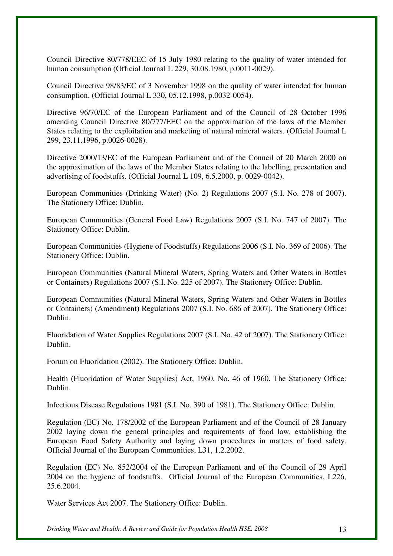Council Directive 80/778/EEC of 15 July 1980 relating to the quality of water intended for human consumption (Official Journal L 229, 30.08.1980, p.0011-0029).

Council Directive 98/83/EC of 3 November 1998 on the quality of water intended for human consumption. (Official Journal L 330, 05.12.1998, p.0032-0054).

Directive 96/70/EC of the European Parliament and of the Council of 28 October 1996 amending Council Directive 80/777/EEC on the approximation of the laws of the Member States relating to the exploitation and marketing of natural mineral waters. (Official Journal L 299, 23.11.1996, p.0026-0028).

Directive 2000/13/EC of the European Parliament and of the Council of 20 March 2000 on the approximation of the laws of the Member States relating to the labelling, presentation and advertising of foodstuffs. (Official Journal L 109, 6.5.2000, p. 0029-0042).

European Communities (Drinking Water) (No. 2) Regulations 2007 (S.I. No. 278 of 2007). The Stationery Office: Dublin.

European Communities (General Food Law) Regulations 2007 (S.I. No. 747 of 2007). The Stationery Office: Dublin.

European Communities (Hygiene of Foodstuffs) Regulations 2006 (S.I. No. 369 of 2006). The Stationery Office: Dublin.

European Communities (Natural Mineral Waters, Spring Waters and Other Waters in Bottles or Containers) Regulations 2007 (S.I. No. 225 of 2007). The Stationery Office: Dublin.

European Communities (Natural Mineral Waters, Spring Waters and Other Waters in Bottles or Containers) (Amendment) Regulations 2007 (S.I. No. 686 of 2007). The Stationery Office: Dublin.

Fluoridation of Water Supplies Regulations 2007 (S.I. No. 42 of 2007). The Stationery Office: Dublin.

Forum on Fluoridation (2002). The Stationery Office: Dublin.

Health (Fluoridation of Water Supplies) Act, 1960. No. 46 of 1960. The Stationery Office: Dublin.

Infectious Disease Regulations 1981 (S.I. No. 390 of 1981). The Stationery Office: Dublin.

Regulation (EC) No. 178/2002 of the European Parliament and of the Council of 28 January 2002 laying down the general principles and requirements of food law, establishing the European Food Safety Authority and laying down procedures in matters of food safety. Official Journal of the European Communities, L31, 1.2.2002.

Regulation (EC) No. 852/2004 of the European Parliament and of the Council of 29 April 2004 on the hygiene of foodstuffs. Official Journal of the European Communities, L226, 25.6.2004.

Water Services Act 2007. The Stationery Office: Dublin.

*Drinking Water and Health. A Review and Guide for Population Health HSE. 2008* 13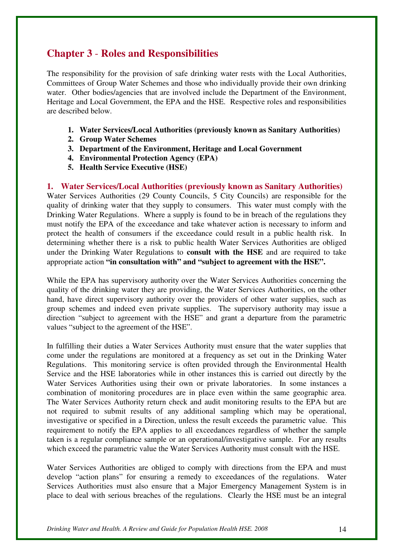## **Chapter 3** - **Roles and Responsibilities**

The responsibility for the provision of safe drinking water rests with the Local Authorities, Committees of Group Water Schemes and those who individually provide their own drinking water. Other bodies/agencies that are involved include the Department of the Environment, Heritage and Local Government, the EPA and the HSE. Respective roles and responsibilities are described below.

- **1. Water Services/Local Authorities (previously known as Sanitary Authorities)**
- **2. Group Water Schemes**
- **3. Department of the Environment, Heritage and Local Government**
- **4. Environmental Protection Agency (EPA)**
- **5. Health Service Executive (HSE)**

**1. Water Services/Local Authorities (previously known as Sanitary Authorities)**  Water Services Authorities (29 County Councils, 5 City Councils) are responsible for the quality of drinking water that they supply to consumers. This water must comply with the Drinking Water Regulations. Where a supply is found to be in breach of the regulations they must notify the EPA of the exceedance and take whatever action is necessary to inform and protect the health of consumers if the exceedance could result in a public health risk. In determining whether there is a risk to public health Water Services Authorities are obliged under the Drinking Water Regulations to **consult with the HSE** and are required to take appropriate action **"in consultation with" and "subject to agreement with the HSE".**

While the EPA has supervisory authority over the Water Services Authorities concerning the quality of the drinking water they are providing, the Water Services Authorities, on the other hand, have direct supervisory authority over the providers of other water supplies, such as group schemes and indeed even private supplies. The supervisory authority may issue a direction "subject to agreement with the HSE" and grant a departure from the parametric values "subject to the agreement of the HSE".

In fulfilling their duties a Water Services Authority must ensure that the water supplies that come under the regulations are monitored at a frequency as set out in the Drinking Water Regulations. This monitoring service is often provided through the Environmental Health Service and the HSE laboratories while in other instances this is carried out directly by the Water Services Authorities using their own or private laboratories. In some instances a combination of monitoring procedures are in place even within the same geographic area. The Water Services Authority return check and audit monitoring results to the EPA but are not required to submit results of any additional sampling which may be operational, investigative or specified in a Direction, unless the result exceeds the parametric value. This requirement to notify the EPA applies to all exceedances regardless of whether the sample taken is a regular compliance sample or an operational/investigative sample. For any results which exceed the parametric value the Water Services Authority must consult with the HSE.

Water Services Authorities are obliged to comply with directions from the EPA and must develop "action plans" for ensuring a remedy to exceedances of the regulations. Water Services Authorities must also ensure that a Major Emergency Management System is in place to deal with serious breaches of the regulations. Clearly the HSE must be an integral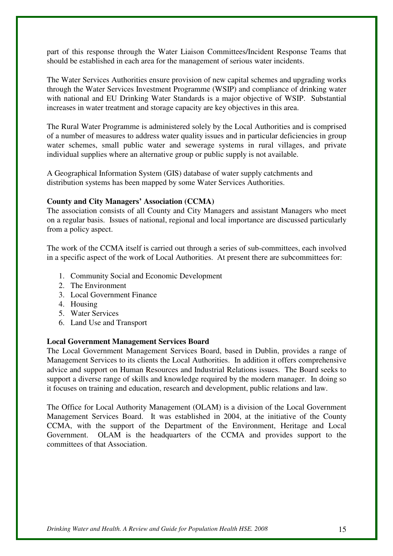part of this response through the Water Liaison Committees/Incident Response Teams that should be established in each area for the management of serious water incidents.

The Water Services Authorities ensure provision of new capital schemes and upgrading works through the Water Services Investment Programme (WSIP) and compliance of drinking water with national and EU Drinking Water Standards is a major objective of WSIP. Substantial increases in water treatment and storage capacity are key objectives in this area.

The Rural Water Programme is administered solely by the Local Authorities and is comprised of a number of measures to address water quality issues and in particular deficiencies in group water schemes, small public water and sewerage systems in rural villages, and private individual supplies where an alternative group or public supply is not available.

A Geographical Information System (GIS) database of water supply catchments and distribution systems has been mapped by some Water Services Authorities.

#### **County and City Managers' Association (CCMA)**

The association consists of all County and City Managers and assistant Managers who meet on a regular basis. Issues of national, regional and local importance are discussed particularly from a policy aspect.

The work of the CCMA itself is carried out through a series of sub-committees, each involved in a specific aspect of the work of Local Authorities. At present there are subcommittees for:

- 1. Community Social and Economic Development
- 2. The Environment
- 3. Local Government Finance
- 4. Housing
- 5. Water Services
- 6. Land Use and Transport

#### **Local Government Management Services Board**

The Local Government Management Services Board, based in Dublin, provides a range of Management Services to its clients the Local Authorities. In addition it offers comprehensive advice and support on Human Resources and Industrial Relations issues. The Board seeks to support a diverse range of skills and knowledge required by the modern manager. In doing so it focuses on training and education, research and development, public relations and law.

The Office for Local Authority Management (OLAM) is a division of the Local Government Management Services Board. It was established in 2004, at the initiative of the County CCMA, with the support of the Department of the Environment, Heritage and Local Government.OLAM is the headquarters of the CCMA and provides support to the committees of that Association.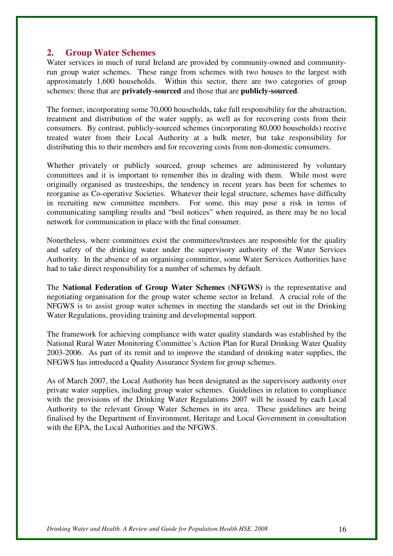## **2. Group Water Schemes**

Water services in much of rural Ireland are provided by community-owned and communityrun group water schemes. These range from schemes with two houses to the largest with approximately 1,600 households. Within this sector, there are two categories of group schemes: those that are **privately-sourced** and those that are **publicly-sourced**.

The former, incorporating some 70,000 households, take full responsibility for the abstraction, treatment and distribution of the water supply, as well as for recovering costs from their consumers. By contrast, publicly-sourced schemes (incorporating 80,000 households) receive treated water from their Local Authority at a bulk meter, but take responsibility for distributing this to their members and for recovering costs from non-domestic consumers.

Whether privately or publicly sourced, group schemes are administered by voluntary committees and it is important to remember this in dealing with them. While most were originally organised as trusteeships, the tendency in recent years has been for schemes to reorganise as Co-operative Societies. Whatever their legal structure, schemes have difficulty in recruiting new committee members. For some, this may pose a risk in terms of communicating sampling results and "boil notices" when required, as there may be no local network for communication in place with the final consumer.

Nonetheless, where committees exist the committees/trustees are responsible for the quality and safety of the drinking water under the supervisory authority of the Water Services Authority. In the absence of an organising committee, some Water Services Authorities have had to take direct responsibility for a number of schemes by default.

The **National Federation of Group Water Schemes** (**NFGWS)** is the representative and negotiating organisation for the group water scheme sector in Ireland. A crucial role of the NFGWS is to assist group water schemes in meeting the standards set out in the Drinking Water Regulations, providing training and developmental support.

The framework for achieving compliance with water quality standards was established by the National Rural Water Monitoring Committee's Action Plan for Rural Drinking Water Quality 2003-2006. As part of its remit and to improve the standard of drinking water supplies, the NFGWS has introduced a Quality Assurance System for group schemes.

As of March 2007, the Local Authority has been designated as the supervisory authority over private water supplies, including group water schemes. Guidelines in relation to compliance with the provisions of the Drinking Water Regulations 2007 will be issued by each Local Authority to the relevant Group Water Schemes in its area. These guidelines are being finalised by the Department of Environment, Heritage and Local Government in consultation with the EPA, the Local Authorities and the NFGWS.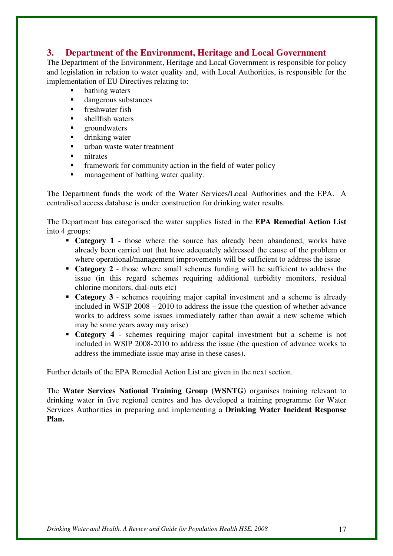## **3. Department of the Environment, Heritage and Local Government**

The Department of the Environment, Heritage and Local Government is responsible for policy and legislation in relation to water quality and, with Local Authorities, is responsible for the implementation of EU Directives relating to:

- **bathing waters**
- **dangerous substances**
- $\blacksquare$  freshwater fish
- **shellfish waters**
- groundwaters
- drinking water
- urban waste water treatment
- nitrates
- framework for community action in the field of water policy
- management of bathing water quality.

The Department funds the work of the Water Services/Local Authorities and the EPA. A centralised access database is under construction for drinking water results.

The Department has categorised the water supplies listed in the **EPA Remedial Action List** into 4 groups:

- **Category 1** those where the source has already been abandoned, works have already been carried out that have adequately addressed the cause of the problem or where operational/management improvements will be sufficient to address the issue
- **Category 2** those where small schemes funding will be sufficient to address the issue (in this regard schemes requiring additional turbidity monitors, residual chlorine monitors, dial-outs etc)
- **Category 3** schemes requiring major capital investment and a scheme is already included in WSIP 2008 – 2010 to address the issue (the question of whether advance works to address some issues immediately rather than await a new scheme which may be some years away may arise)
- **Category 4** schemes requiring major capital investment but a scheme is not included in WSIP 2008-2010 to address the issue (the question of advance works to address the immediate issue may arise in these cases).

Further details of the EPA Remedial Action List are given in the next section.

The **Water Services National Training Group (WSNTG)** organises training relevant to drinking water in five regional centres and has developed a training programme for Water Services Authorities in preparing and implementing a **Drinking Water Incident Response Plan.**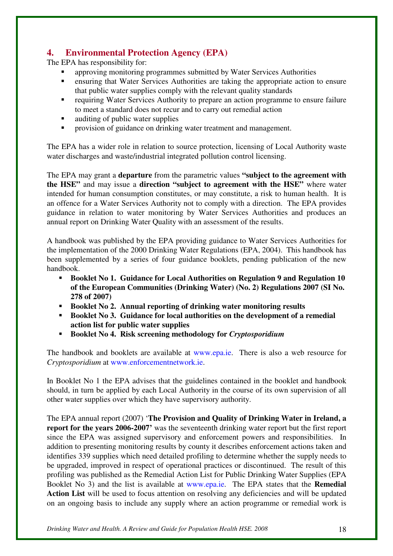## **4. Environmental Protection Agency (EPA)**

The EPA has responsibility for:

- approving monitoring programmes submitted by Water Services Authorities
- ensuring that Water Services Authorities are taking the appropriate action to ensure that public water supplies comply with the relevant quality standards
- requiring Water Services Authority to prepare an action programme to ensure failure to meet a standard does not recur and to carry out remedial action
- auditing of public water supplies
- provision of guidance on drinking water treatment and management.

The EPA has a wider role in relation to source protection, licensing of Local Authority waste water discharges and waste/industrial integrated pollution control licensing.

The EPA may grant a **departure** from the parametric values **"subject to the agreement with the HSE"** and may issue a **direction "subject to agreement with the HSE"** where water intended for human consumption constitutes, or may constitute, a risk to human health. It is an offence for a Water Services Authority not to comply with a direction. The EPA provides guidance in relation to water monitoring by Water Services Authorities and produces an annual report on Drinking Water Quality with an assessment of the results.

A handbook was published by the EPA providing guidance to Water Services Authorities for the implementation of the 2000 Drinking Water Regulations (EPA, 2004). This handbook has been supplemented by a series of four guidance booklets, pending publication of the new handbook.

- **Booklet No 1. Guidance for Local Authorities on Regulation 9 and Regulation 10 of the European Communities (Drinking Water) (No. 2) Regulations 2007 (SI No. 278 of 2007)**
- **Booklet No 2. Annual reporting of drinking water monitoring results**
- **Booklet No 3. Guidance for local authorities on the development of a remedial action list for public water supplies**
- **Booklet No 4. Risk screening methodology for** *Cryptosporidium*

The handbook and booklets are available at www.epa.ie. There is also a web resource for *Cryptosporidium* at www.enforcementnetwork.ie.

In Booklet No 1 the EPA advises that the guidelines contained in the booklet and handbook should, in turn be applied by each Local Authority in the course of its own supervision of all other water supplies over which they have supervisory authority.

The EPA annual report (2007) '**The Provision and Quality of Drinking Water in Ireland, a report for the years 2006-2007'** was the seventeenth drinking water report but the first report since the EPA was assigned supervisory and enforcement powers and responsibilities. In addition to presenting monitoring results by county it describes enforcement actions taken and identifies 339 supplies which need detailed profiling to determine whether the supply needs to be upgraded, improved in respect of operational practices or discontinued. The result of this profiling was published as the Remedial Action List for Public Drinking Water Supplies (EPA Booklet No 3) and the list is available at www.epa.ie. The EPA states that the **Remedial**  Action List will be used to focus attention on resolving any deficiencies and will be updated on an ongoing basis to include any supply where an action programme or remedial work is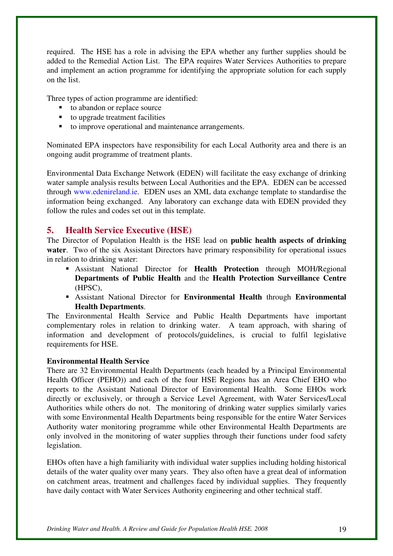required. The HSE has a role in advising the EPA whether any further supplies should be added to the Remedial Action List. The EPA requires Water Services Authorities to prepare and implement an action programme for identifying the appropriate solution for each supply on the list.

Three types of action programme are identified:

- to abandon or replace source
- $\blacksquare$  to upgrade treatment facilities
- to improve operational and maintenance arrangements.

Nominated EPA inspectors have responsibility for each Local Authority area and there is an ongoing audit programme of treatment plants.

Environmental Data Exchange Network (EDEN) will facilitate the easy exchange of drinking water sample analysis results between Local Authorities and the EPA. EDEN can be accessed through www.edenireland.ie. EDEN uses an XML data exchange template to standardise the information being exchanged. Any laboratory can exchange data with EDEN provided they follow the rules and codes set out in this template.

## **5. Health Service Executive (HSE)**

The Director of Population Health is the HSE lead on **public health aspects of drinking water**. Two of the six Assistant Directors have primary responsibility for operational issues in relation to drinking water:

- Assistant National Director for **Health Protection** through MOH/Regional **Departments of Public Health** and the **Health Protection Surveillance Centre** (HPSC),
- Assistant National Director for **Environmental Health** through **Environmental Health Departments**.

The Environmental Health Service and Public Health Departments have important complementary roles in relation to drinking water. A team approach, with sharing of information and development of protocols/guidelines, is crucial to fulfil legislative requirements for HSE.

#### **Environmental Health Service**

There are 32 Environmental Health Departments (each headed by a Principal Environmental Health Officer (PEHO)) and each of the four HSE Regions has an Area Chief EHO who reports to the Assistant National Director of Environmental Health. Some EHOs work directly or exclusively, or through a Service Level Agreement, with Water Services/Local Authorities while others do not. The monitoring of drinking water supplies similarly varies with some Environmental Health Departments being responsible for the entire Water Services Authority water monitoring programme while other Environmental Health Departments are only involved in the monitoring of water supplies through their functions under food safety legislation.

EHOs often have a high familiarity with individual water supplies including holding historical details of the water quality over many years. They also often have a great deal of information on catchment areas, treatment and challenges faced by individual supplies. They frequently have daily contact with Water Services Authority engineering and other technical staff.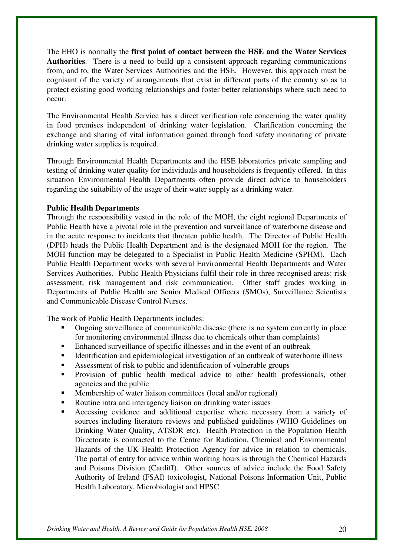The EHO is normally the **first point of contact between the HSE and the Water Services Authorities**. There is a need to build up a consistent approach regarding communications from, and to, the Water Services Authorities and the HSE. However, this approach must be cognisant of the variety of arrangements that exist in different parts of the country so as to protect existing good working relationships and foster better relationships where such need to occur.

The Environmental Health Service has a direct verification role concerning the water quality in food premises independent of drinking water legislation. Clarification concerning the exchange and sharing of vital information gained through food safety monitoring of private drinking water supplies is required.

Through Environmental Health Departments and the HSE laboratories private sampling and testing of drinking water quality for individuals and householders is frequently offered. In this situation Environmental Health Departments often provide direct advice to householders regarding the suitability of the usage of their water supply as a drinking water.

#### **Public Health Departments**

Through the responsibility vested in the role of the MOH, the eight regional Departments of Public Health have a pivotal role in the prevention and surveillance of waterborne disease and in the acute response to incidents that threaten public health. The Director of Public Health (DPH) heads the Public Health Department and is the designated MOH for the region. The MOH function may be delegated to a Specialist in Public Health Medicine (SPHM). Each Public Health Department works with several Environmental Health Departments and Water Services Authorities. Public Health Physicians fulfil their role in three recognised areas: risk assessment, risk management and risk communication. Other staff grades working in Departments of Public Health are Senior Medical Officers (SMOs), Surveillance Scientists and Communicable Disease Control Nurses.

The work of Public Health Departments includes:

- Ongoing surveillance of communicable disease (there is no system currently in place for monitoring environmental illness due to chemicals other than complaints)
- Enhanced surveillance of specific illnesses and in the event of an outbreak
- Identification and epidemiological investigation of an outbreak of waterborne illness
- Assessment of risk to public and identification of vulnerable groups
- Provision of public health medical advice to other health professionals, other agencies and the public
- Membership of water liaison committees (local and/or regional)
- Routine intra and interagency liaison on drinking water issues
- Accessing evidence and additional expertise where necessary from a variety of sources including literature reviews and published guidelines (WHO Guidelines on Drinking Water Quality, ATSDR etc). Health Protection in the Population Health Directorate is contracted to the Centre for Radiation, Chemical and Environmental Hazards of the UK Health Protection Agency for advice in relation to chemicals. The portal of entry for advice within working hours is through the Chemical Hazards and Poisons Division (Cardiff). Other sources of advice include the Food Safety Authority of Ireland (FSAI) toxicologist, National Poisons Information Unit, Public Health Laboratory, Microbiologist and HPSC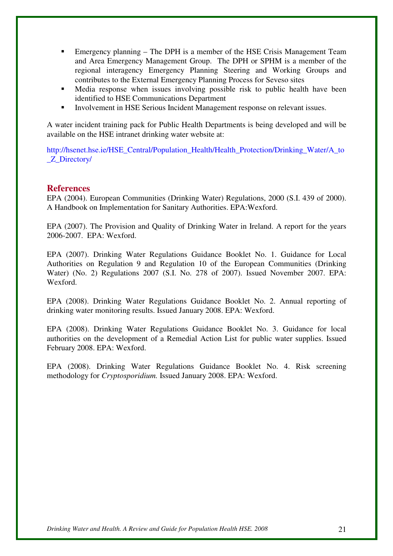- Emergency planning The DPH is a member of the HSE Crisis Management Team and Area Emergency Management Group. The DPH or SPHM is a member of the regional interagency Emergency Planning Steering and Working Groups and contributes to the External Emergency Planning Process for Seveso sites
- Media response when issues involving possible risk to public health have been identified to HSE Communications Department
- Involvement in HSE Serious Incident Management response on relevant issues.

A water incident training pack for Public Health Departments is being developed and will be available on the HSE intranet drinking water website at:

http://hsenet.hse.ie/HSE\_Central/Population\_Health/Health\_Protection/Drinking\_Water/A\_to \_Z\_Directory/

## **References**

EPA (2004). European Communities (Drinking Water) Regulations, 2000 (S.I. 439 of 2000). A Handbook on Implementation for Sanitary Authorities. EPA:Wexford.

EPA (2007). The Provision and Quality of Drinking Water in Ireland. A report for the years 2006-2007. EPA: Wexford.

EPA (2007). Drinking Water Regulations Guidance Booklet No. 1. Guidance for Local Authorities on Regulation 9 and Regulation 10 of the European Communities (Drinking Water) (No. 2) Regulations 2007 (S.I. No. 278 of 2007). Issued November 2007. EPA: Wexford.

EPA (2008). Drinking Water Regulations Guidance Booklet No. 2. Annual reporting of drinking water monitoring results. Issued January 2008. EPA: Wexford.

EPA (2008). Drinking Water Regulations Guidance Booklet No. 3. Guidance for local authorities on the development of a Remedial Action List for public water supplies. Issued February 2008. EPA: Wexford.

EPA (2008). Drinking Water Regulations Guidance Booklet No. 4. Risk screening methodology for *Cryptosporidium.* Issued January 2008. EPA: Wexford.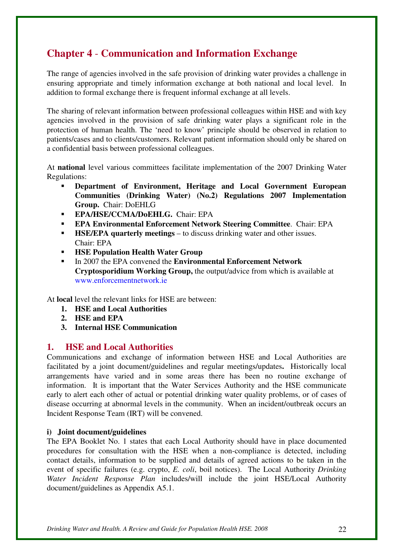## **Chapter 4** - **Communication and Information Exchange**

The range of agencies involved in the safe provision of drinking water provides a challenge in ensuring appropriate and timely information exchange at both national and local level. In addition to formal exchange there is frequent informal exchange at all levels.

The sharing of relevant information between professional colleagues within HSE and with key agencies involved in the provision of safe drinking water plays a significant role in the protection of human health. The 'need to know' principle should be observed in relation to patients/cases and to clients/customers. Relevant patient information should only be shared on a confidential basis between professional colleagues.

At **national** level various committees facilitate implementation of the 2007 Drinking Water Regulations:

- **Department of Environment, Heritage and Local Government European Communities (Drinking Water) (No.2) Regulations 2007 Implementation Group.** Chair: DoEHLG
- **EPA/HSE/CCMA/DoEHLG.** Chair: EPA
- **EPA Environmental Enforcement Network Steering Committee**. Chair: EPA
- **HSE/EPA quarterly meetings** to discuss drinking water and other issues. Chair: EPA
- **HSE Population Health Water Group**
- In 2007 the EPA convened the **Environmental Enforcement Network Cryptosporidium Working Group,** the output/advice from which is available at www.enforcementnetwork.ie

At **local** level the relevant links for HSE are between:

- **1. HSE and Local Authorities**
- **2. HSE and EPA**
- **3. Internal HSE Communication**

## **1. HSE and Local Authorities**

Communications and exchange of information between HSE and Local Authorities are facilitated by a joint document/guidelines and regular meetings/updates**.** Historically local arrangements have varied and in some areas there has been no routine exchange of information. It is important that the Water Services Authority and the HSE communicate early to alert each other of actual or potential drinking water quality problems, or of cases of disease occurring at abnormal levels in the community. When an incident/outbreak occurs an Incident Response Team (IRT) will be convened.

## **i) Joint document/guidelines**

The EPA Booklet No. 1 states that each Local Authority should have in place documented procedures for consultation with the HSE when a non-compliance is detected, including contact details, information to be supplied and details of agreed actions to be taken in the event of specific failures (e.g. crypto, *E. coli*, boil notices). The Local Authority *Drinking Water Incident Response Plan* includes/will include the joint HSE/Local Authority document/guidelines as Appendix A5.1.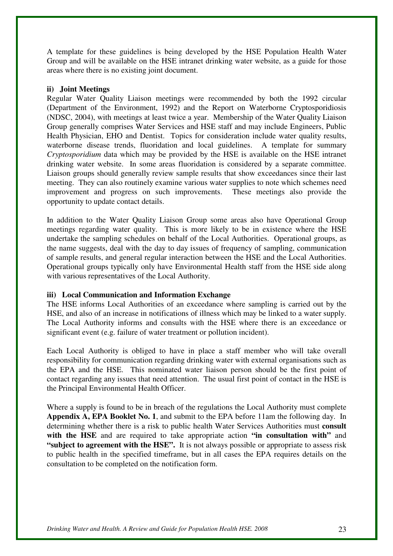A template for these guidelines is being developed by the HSE Population Health Water Group and will be available on the HSE intranet drinking water website, as a guide for those areas where there is no existing joint document.

#### **ii) Joint Meetings**

Regular Water Quality Liaison meetings were recommended by both the 1992 circular (Department of the Environment, 1992) and the Report on Waterborne Cryptosporidiosis (NDSC, 2004), with meetings at least twice a year. Membership of the Water Quality Liaison Group generally comprises Water Services and HSE staff and may include Engineers, Public Health Physician, EHO and Dentist. Topics for consideration include water quality results, waterborne disease trends, fluoridation and local guidelines. A template for summary *Cryptosporidium* data which may be provided by the HSE is available on the HSE intranet drinking water website. In some areas fluoridation is considered by a separate committee. Liaison groups should generally review sample results that show exceedances since their last meeting. They can also routinely examine various water supplies to note which schemes need improvement and progress on such improvements. These meetings also provide the opportunity to update contact details.

In addition to the Water Quality Liaison Group some areas also have Operational Group meetings regarding water quality. This is more likely to be in existence where the HSE undertake the sampling schedules on behalf of the Local Authorities. Operational groups, as the name suggests, deal with the day to day issues of frequency of sampling, communication of sample results, and general regular interaction between the HSE and the Local Authorities. Operational groups typically only have Environmental Health staff from the HSE side along with various representatives of the Local Authority.

#### **iii) Local Communication and Information Exchange**

The HSE informs Local Authorities of an exceedance where sampling is carried out by the HSE, and also of an increase in notifications of illness which may be linked to a water supply. The Local Authority informs and consults with the HSE where there is an exceedance or significant event (e.g. failure of water treatment or pollution incident).

Each Local Authority is obliged to have in place a staff member who will take overall responsibility for communication regarding drinking water with external organisations such as the EPA and the HSE. This nominated water liaison person should be the first point of contact regarding any issues that need attention. The usual first point of contact in the HSE is the Principal Environmental Health Officer.

Where a supply is found to be in breach of the regulations the Local Authority must complete **Appendix A, EPA Booklet No. 1**, and submit to the EPA before 11am the following day. In determining whether there is a risk to public health Water Services Authorities must **consult with the HSE** and are required to take appropriate action **"in consultation with"** and **"subject to agreement with the HSE".** It is not always possible or appropriate to assess risk to public health in the specified timeframe, but in all cases the EPA requires details on the consultation to be completed on the notification form.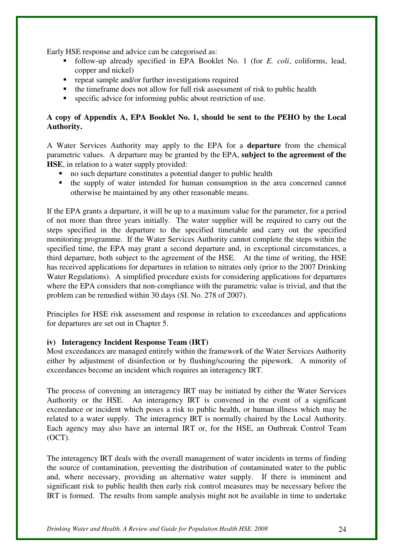Early HSE response and advice can be categorised as:

- follow-up already specified in EPA Booklet No. 1 (for *E. coli*, coliforms, lead, copper and nickel)
- $\blacksquare$  repeat sample and/or further investigations required
- $\bullet$  the timeframe does not allow for full risk assessment of risk to public health
- specific advice for informing public about restriction of use.

## **A copy of Appendix A, EPA Booklet No. 1, should be sent to the PEHO by the Local Authority.**

A Water Services Authority may apply to the EPA for a **departure** from the chemical parametric values. A departure may be granted by the EPA, **subject to the agreement of the HSE**, in relation to a water supply provided:

- no such departure constitutes a potential danger to public health
- the supply of water intended for human consumption in the area concerned cannot otherwise be maintained by any other reasonable means.

If the EPA grants a departure, it will be up to a maximum value for the parameter, for a period of not more than three years initially. The water supplier will be required to carry out the steps specified in the departure to the specified timetable and carry out the specified monitoring programme. If the Water Services Authority cannot complete the steps within the specified time, the EPA may grant a second departure and, in exceptional circumstances, a third departure, both subject to the agreement of the HSE. At the time of writing, the HSE has received applications for departures in relation to nitrates only (prior to the 2007 Drinking Water Regulations). A simplified procedure exists for considering applications for departures where the EPA considers that non-compliance with the parametric value is trivial, and that the problem can be remedied within 30 days (SI. No. 278 of 2007).

Principles for HSE risk assessment and response in relation to exceedances and applications for departures are set out in Chapter 5.

#### **iv) Interagency Incident Response Team (IRT)**

Most exceedances are managed entirely within the framework of the Water Services Authority either by adjustment of disinfection or by flushing/scouring the pipework. A minority of exceedances become an incident which requires an interagency IRT.

The process of convening an interagency IRT may be initiated by either the Water Services Authority or the HSE. An interagency IRT is convened in the event of a significant exceedance or incident which poses a risk to public health, or human illness which may be related to a water supply. The interagency IRT is normally chaired by the Local Authority. Each agency may also have an internal IRT or, for the HSE, an Outbreak Control Team  $(OCT)$ .

The interagency IRT deals with the overall management of water incidents in terms of finding the source of contamination, preventing the distribution of contaminated water to the public and, where necessary, providing an alternative water supply. If there is imminent and significant risk to public health then early risk control measures may be necessary before the IRT is formed. The results from sample analysis might not be available in time to undertake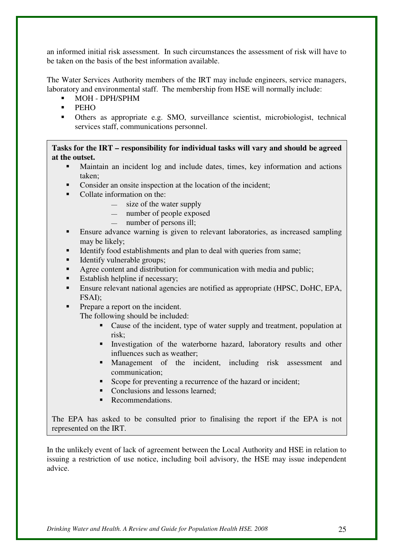an informed initial risk assessment. In such circumstances the assessment of risk will have to be taken on the basis of the best information available.

The Water Services Authority members of the IRT may include engineers, service managers, laboratory and environmental staff. The membership from HSE will normally include:

- MOH DPH/SPHM
- PEHO
- Others as appropriate e.g. SMO, surveillance scientist, microbiologist, technical services staff, communications personnel.

**Tasks for the IRT – responsibility for individual tasks will vary and should be agreed at the outset.** 

- Maintain an incident log and include dates, times, key information and actions taken;
- Consider an onsite inspection at the location of the incident;
- Collate information on the:
	- size of the water supply
	- number of people exposed
	- number of persons ill;
- Ensure advance warning is given to relevant laboratories, as increased sampling may be likely;
- Identify food establishments and plan to deal with queries from same;
- Identify vulnerable groups;
- Agree content and distribution for communication with media and public;
- Establish helpline if necessary;
- Ensure relevant national agencies are notified as appropriate (HPSC, DoHC, EPA, FSAI);
- Prepare a report on the incident.

The following should be included:

- Cause of the incident, type of water supply and treatment, population at risk;
- Investigation of the waterborne hazard, laboratory results and other influences such as weather;
- Management of the incident, including risk assessment and communication;
- Scope for preventing a recurrence of the hazard or incident;
- Conclusions and lessons learned:
- Recommendations.

The EPA has asked to be consulted prior to finalising the report if the EPA is not represented on the IRT.

In the unlikely event of lack of agreement between the Local Authority and HSE in relation to issuing a restriction of use notice, including boil advisory, the HSE may issue independent advice.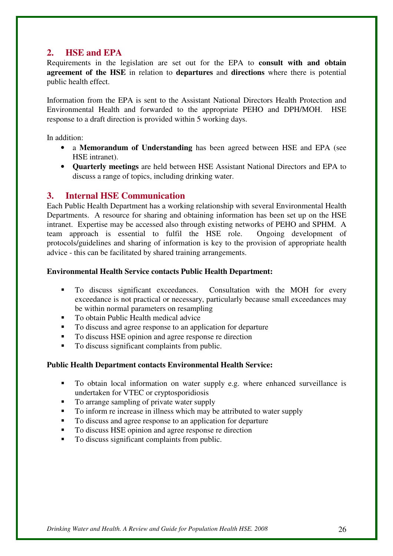## **2. HSE and EPA**

Requirements in the legislation are set out for the EPA to **consult with and obtain agreement of the HSE** in relation to **departures** and **directions** where there is potential public health effect.

Information from the EPA is sent to the Assistant National Directors Health Protection and Environmental Health and forwarded to the appropriate PEHO and DPH/MOH. HSE response to a draft direction is provided within 5 working days.

In addition:

- a **Memorandum of Understanding** has been agreed between HSE and EPA (see HSE intranet).
- **Quarterly meetings** are held between HSE Assistant National Directors and EPA to discuss a range of topics, including drinking water.

## **3. Internal HSE Communication**

Each Public Health Department has a working relationship with several Environmental Health Departments. A resource for sharing and obtaining information has been set up on the HSE intranet. Expertise may be accessed also through existing networks of PEHO and SPHM. A team approach is essential to fulfil the HSE role. Ongoing development of protocols/guidelines and sharing of information is key to the provision of appropriate health advice - this can be facilitated by shared training arrangements.

## **Environmental Health Service contacts Public Health Department:**

- To discuss significant exceedances. Consultation with the MOH for every exceedance is not practical or necessary, particularly because small exceedances may be within normal parameters on resampling
- To obtain Public Health medical advice
- To discuss and agree response to an application for departure
- To discuss HSE opinion and agree response re direction
- To discuss significant complaints from public.

## **Public Health Department contacts Environmental Health Service:**

- To obtain local information on water supply e.g. where enhanced surveillance is undertaken for VTEC or cryptosporidiosis
- To arrange sampling of private water supply
- To inform re increase in illness which may be attributed to water supply
- To discuss and agree response to an application for departure
- To discuss HSE opinion and agree response re direction
- To discuss significant complaints from public.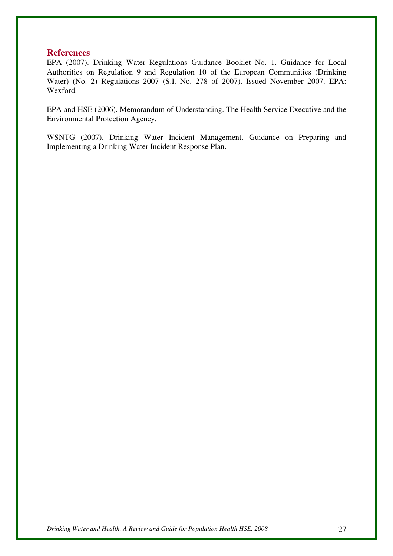### **References**

EPA (2007). Drinking Water Regulations Guidance Booklet No. 1. Guidance for Local Authorities on Regulation 9 and Regulation 10 of the European Communities (Drinking Water) (No. 2) Regulations 2007 (S.I. No. 278 of 2007). Issued November 2007. EPA: Wexford.

EPA and HSE (2006). Memorandum of Understanding. The Health Service Executive and the Environmental Protection Agency.

WSNTG (2007). Drinking Water Incident Management. Guidance on Preparing and Implementing a Drinking Water Incident Response Plan.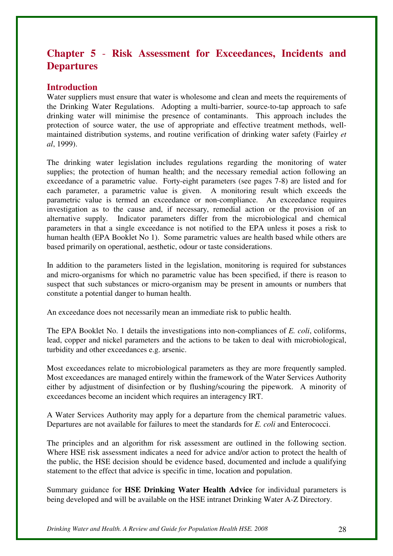## **Chapter 5** - **Risk Assessment for Exceedances, Incidents and Departures**

## **Introduction**

Water suppliers must ensure that water is wholesome and clean and meets the requirements of the Drinking Water Regulations. Adopting a multi-barrier, source-to-tap approach to safe drinking water will minimise the presence of contaminants. This approach includes the protection of source water, the use of appropriate and effective treatment methods, wellmaintained distribution systems, and routine verification of drinking water safety (Fairley *et al*, 1999).

The drinking water legislation includes regulations regarding the monitoring of water supplies; the protection of human health; and the necessary remedial action following an exceedance of a parametric value. Forty-eight parameters (see pages 7-8) are listed and for each parameter, a parametric value is given. A monitoring result which exceeds the parametric value is termed an exceedance or non-compliance.An exceedance requires investigation as to the cause and, if necessary, remedial action or the provision of an alternative supply. Indicator parameters differ from the microbiological and chemical parameters in that a single exceedance is not notified to the EPA unless it poses a risk to human health (EPA Booklet No 1). Some parametric values are health based while others are based primarily on operational, aesthetic, odour or taste considerations.

In addition to the parameters listed in the legislation, monitoring is required for substances and micro-organisms for which no parametric value has been specified, if there is reason to suspect that such substances or micro-organism may be present in amounts or numbers that constitute a potential danger to human health.

An exceedance does not necessarily mean an immediate risk to public health.

The EPA Booklet No. 1 details the investigations into non-compliances of *E. coli*, coliforms, lead, copper and nickel parameters and the actions to be taken to deal with microbiological, turbidity and other exceedances e.g. arsenic.

Most exceedances relate to microbiological parameters as they are more frequently sampled. Most exceedances are managed entirely within the framework of the Water Services Authority either by adjustment of disinfection or by flushing/scouring the pipework. A minority of exceedances become an incident which requires an interagency IRT.

A Water Services Authority may apply for a departure from the chemical parametric values. Departures are not available for failures to meet the standards for *E. coli* and Enterococci.

The principles and an algorithm for risk assessment are outlined in the following section. Where HSE risk assessment indicates a need for advice and/or action to protect the health of the public, the HSE decision should be evidence based, documented and include a qualifying statement to the effect that advice is specific in time, location and population.

Summary guidance for **HSE Drinking Water Health Advice** for individual parameters is being developed and will be available on the HSE intranet Drinking Water A-Z Directory.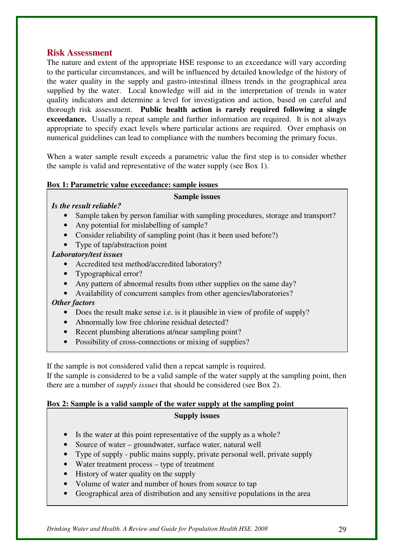## **Risk Assessment**

The nature and extent of the appropriate HSE response to an exceedance will vary according to the particular circumstances, and will be influenced by detailed knowledge of the history of the water quality in the supply and gastro-intestinal illness trends in the geographical area supplied by the water. Local knowledge will aid in the interpretation of trends in water quality indicators and determine a level for investigation and action, based on careful and thorough risk assessment. **Public health action is rarely required following a single exceedance.** Usually a repeat sample and further information are required. It is not always appropriate to specify exact levels where particular actions are required. Over emphasis on numerical guidelines can lead to compliance with the numbers becoming the primary focus.

When a water sample result exceeds a parametric value the first step is to consider whether the sample is valid and representative of the water supply (see Box 1).

## **Box 1: Parametric value exceedance: sample issues**

#### **Sample issues**

## *Is the result reliable?*

- Sample taken by person familiar with sampling procedures, storage and transport?
- Any potential for mislabelling of sample?
- Consider reliability of sampling point (has it been used before?)
- Type of tap/abstraction point

## *Laboratory/test issues*

- Accredited test method/accredited laboratory?
- Typographical error?
- Any pattern of abnormal results from other supplies on the same day?
- Availability of concurrent samples from other agencies/laboratories?

## *Other factors*

- Does the result make sense i.e. is it plausible in view of profile of supply?
- Abnormally low free chlorine residual detected?
- Recent plumbing alterations at/near sampling point?
- Possibility of cross-connections or mixing of supplies?

If the sample is not considered valid then a repeat sample is required.

If the sample is considered to be a valid sample of the water supply at the sampling point, then there are a number of *supply issues* that should be considered (see Box 2).

## **Box 2: Sample is a valid sample of the water supply at the sampling point**

#### **Supply issues**

- Is the water at this point representative of the supply as a whole?
- Source of water groundwater, surface water, natural well
- Type of supply public mains supply, private personal well, private supply
- Water treatment process type of treatment
- History of water quality on the supply
- Volume of water and number of hours from source to tap
- Geographical area of distribution and any sensitive populations in the area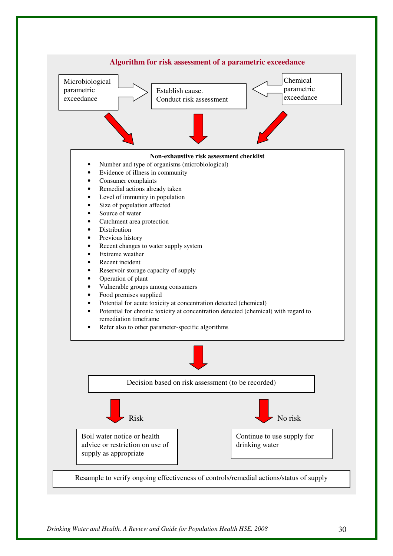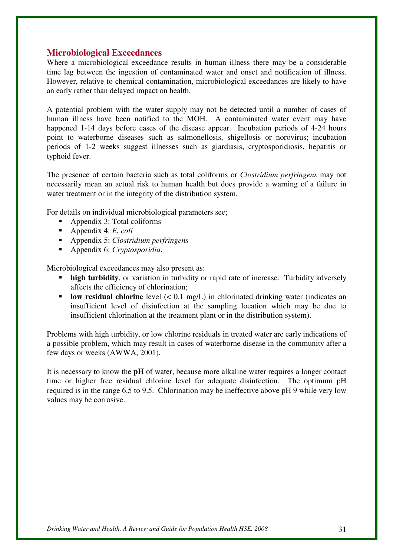## **Microbiological Exceedances**

Where a microbiological exceedance results in human illness there may be a considerable time lag between the ingestion of contaminated water and onset and notification of illness. However, relative to chemical contamination, microbiological exceedances are likely to have an early rather than delayed impact on health.

A potential problem with the water supply may not be detected until a number of cases of human illness have been notified to the MOH. A contaminated water event may have happened 1-14 days before cases of the disease appear. Incubation periods of 4-24 hours point to waterborne diseases such as salmonellosis, shigellosis or norovirus; incubation periods of 1-2 weeks suggest illnesses such as giardiasis, cryptosporidiosis, hepatitis or typhoid fever.

The presence of certain bacteria such as total coliforms or *Clostridium perfringens* may not necessarily mean an actual risk to human health but does provide a warning of a failure in water treatment or in the integrity of the distribution system.

For details on individual microbiological parameters see;

- Appendix 3: Total coliforms
- Appendix 4: *E. coli*
- Appendix 5: *Clostridium perfringens*
- Appendix 6: *Cryptosporidia*.

Microbiological exceedances may also present as:

- **high turbidity**, or variation in turbidity or rapid rate of increase. Turbidity adversely affects the efficiency of chlorination;
- **low residual chlorine** level  $(< 0.1$  mg/L) in chlorinated drinking water (indicates an insufficient level of disinfection at the sampling location which may be due to insufficient chlorination at the treatment plant or in the distribution system).

Problems with high turbidity, or low chlorine residuals in treated water are early indications of a possible problem, which may result in cases of waterborne disease in the community after a few days or weeks (AWWA, 2001).

It is necessary to know the **pH** of water, because more alkaline water requires a longer contact time or higher free residual chlorine level for adequate disinfection. The optimum pH required is in the range 6.5 to 9.5. Chlorination may be ineffective above pH 9 while very low values may be corrosive.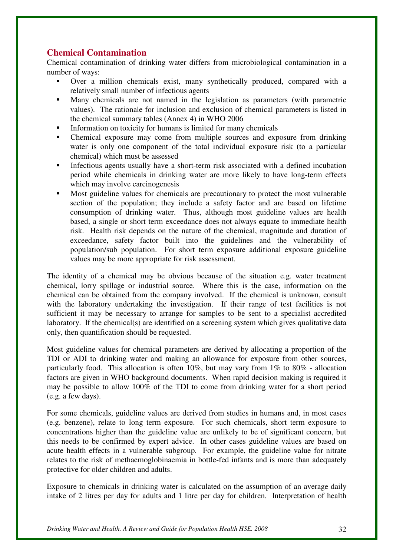## **Chemical Contamination**

Chemical contamination of drinking water differs from microbiological contamination in a number of ways:

- Over a million chemicals exist, many synthetically produced, compared with a relatively small number of infectious agents
- Many chemicals are not named in the legislation as parameters (with parametric values). The rationale for inclusion and exclusion of chemical parameters is listed in the chemical summary tables (Annex 4) in WHO 2006
- Information on toxicity for humans is limited for many chemicals
- Chemical exposure may come from multiple sources and exposure from drinking water is only one component of the total individual exposure risk (to a particular chemical) which must be assessed
- Infectious agents usually have a short-term risk associated with a defined incubation period while chemicals in drinking water are more likely to have long-term effects which may involve carcinogenesis
- Most guideline values for chemicals are precautionary to protect the most vulnerable section of the population; they include a safety factor and are based on lifetime consumption of drinking water. Thus, although most guideline values are health based, a single or short term exceedance does not always equate to immediate health risk. Health risk depends on the nature of the chemical, magnitude and duration of exceedance, safety factor built into the guidelines and the vulnerability of population/sub population. For short term exposure additional exposure guideline values may be more appropriate for risk assessment.

The identity of a chemical may be obvious because of the situation e.g. water treatment chemical, lorry spillage or industrial source. Where this is the case, information on the chemical can be obtained from the company involved. If the chemical is unknown, consult with the laboratory undertaking the investigation. If their range of test facilities is not sufficient it may be necessary to arrange for samples to be sent to a specialist accredited laboratory. If the chemical(s) are identified on a screening system which gives qualitative data only, then quantification should be requested.

Most guideline values for chemical parameters are derived by allocating a proportion of the TDI or ADI to drinking water and making an allowance for exposure from other sources, particularly food. This allocation is often 10%, but may vary from 1% to 80% - allocation factors are given in WHO background documents. When rapid decision making is required it may be possible to allow 100% of the TDI to come from drinking water for a short period (e.g. a few days).

For some chemicals, guideline values are derived from studies in humans and, in most cases (e.g. benzene), relate to long term exposure. For such chemicals, short term exposure to concentrations higher than the guideline value are unlikely to be of significant concern, but this needs to be confirmed by expert advice. In other cases guideline values are based on acute health effects in a vulnerable subgroup. For example, the guideline value for nitrate relates to the risk of methaemoglobinaemia in bottle-fed infants and is more than adequately protective for older children and adults.

Exposure to chemicals in drinking water is calculated on the assumption of an average daily intake of 2 litres per day for adults and 1 litre per day for children. Interpretation of health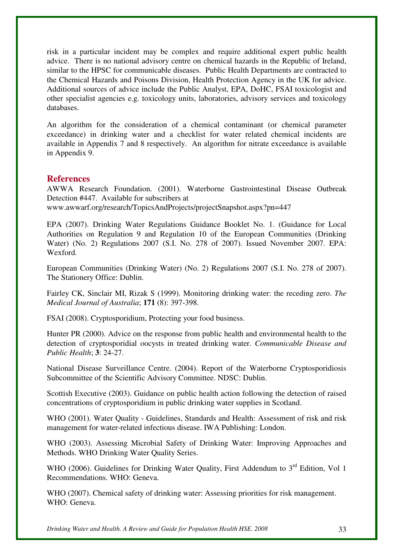risk in a particular incident may be complex and require additional expert public health advice. There is no national advisory centre on chemical hazards in the Republic of Ireland, similar to the HPSC for communicable diseases. Public Health Departments are contracted to the Chemical Hazards and Poisons Division, Health Protection Agency in the UK for advice. Additional sources of advice include the Public Analyst, EPA, DoHC, FSAI toxicologist and other specialist agencies e.g. toxicology units, laboratories, advisory services and toxicology databases.

An algorithm for the consideration of a chemical contaminant (or chemical parameter exceedance) in drinking water and a checklist for water related chemical incidents are available in Appendix 7 and 8 respectively. An algorithm for nitrate exceedance is available in Appendix 9.

## **References**

AWWA Research Foundation. (2001). Waterborne Gastrointestinal Disease Outbreak Detection #447. Available for subscribers at

www.awwarf.org/research/TopicsAndProjects/projectSnapshot.aspx?pn=447

EPA (2007). Drinking Water Regulations Guidance Booklet No. 1. (Guidance for Local Authorities on Regulation 9 and Regulation 10 of the European Communities (Drinking Water) (No. 2) Regulations 2007 (S.I. No. 278 of 2007). Issued November 2007. EPA: Wexford.

European Communities (Drinking Water) (No. 2) Regulations 2007 (S.I. No. 278 of 2007). The Stationery Office: Dublin.

Fairley CK, Sinclair MI, Rizak S (1999). Monitoring drinking water: the receding zero. *The Medical Journal of Australia*; **171** (8): 397-398.

FSAI (2008). Cryptosporidium, Protecting your food business.

Hunter PR (2000). Advice on the response from public health and environmental health to the detection of cryptosporidial oocysts in treated drinking water. *Communicable Disease and Public Health*; **3**: 24-27.

National Disease Surveillance Centre. (2004). Report of the Waterborne Cryptosporidiosis Subcommittee of the Scientific Advisory Committee. NDSC: Dublin.

Scottish Executive (2003). Guidance on public health action following the detection of raised concentrations of cryptosporidium in public drinking water supplies in Scotland.

WHO (2001). Water Quality - Guidelines, Standards and Health: Assessment of risk and risk management for water-related infectious disease. IWA Publishing: London.

WHO (2003). Assessing Microbial Safety of Drinking Water: Improving Approaches and Methods. WHO Drinking Water Quality Series.

WHO (2006). Guidelines for Drinking Water Quality, First Addendum to 3<sup>rd</sup> Edition, Vol 1 Recommendations. WHO: Geneva.

WHO (2007). Chemical safety of drinking water: Assessing priorities for risk management. WHO: Geneva.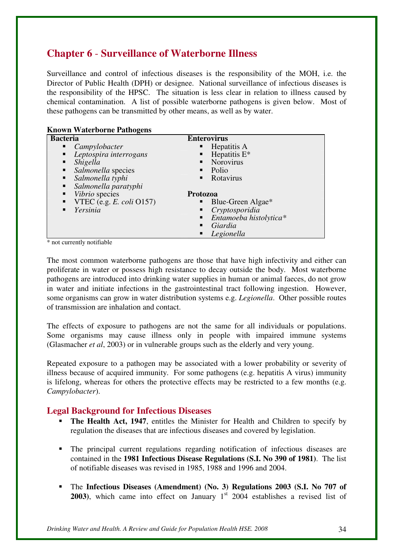## **Chapter 6** - **Surveillance of Waterborne Illness**

Surveillance and control of infectious diseases is the responsibility of the MOH, i.e. the Director of Public Health (DPH) or designee. National surveillance of infectious diseases is the responsibility of the HPSC. The situation is less clear in relation to illness caused by chemical contamination. A list of possible waterborne pathogens is given below. Most of these pathogens can be transmitted by other means, as well as by water.

| <b>Known Waterborne Pathogens</b>      |                             |
|----------------------------------------|-----------------------------|
| <b>Bacteria</b>                        | <b>Enterovirus</b>          |
| $\blacksquare$ Campylobacter           | Hepatitis A<br>п            |
| Leptospira interrogans                 | Hepatitis $E^*$<br>п        |
| Shigella<br>٠                          | Norovirus<br>$\blacksquare$ |
| <i>Salmonella</i> species<br>٠         | Polio<br>٠                  |
| $\blacksquare$ Salmonella typhi        | Rotavirus<br>٠              |
| Salmonella paratyphi                   |                             |
| Vibrio species<br>٠                    | Protozoa                    |
| <b>VTEC</b> (e.g. <i>E. coli</i> O157) | Blue-Green Algae*<br>п      |
| Yersinia                               | Cryptosporidia<br>п         |
|                                        | Entamoeba histolytica*<br>٠ |
|                                        | Giardia<br>▪                |
|                                        | Legionella<br>п             |

\* not currently notifiable

The most common waterborne pathogens are those that have high infectivity and either can proliferate in water or possess high resistance to decay outside the body. Most waterborne pathogens are introduced into drinking water supplies in human or animal faeces, do not grow in water and initiate infections in the gastrointestinal tract following ingestion. However, some organisms can grow in water distribution systems e.g. *Legionella*. Other possible routes of transmission are inhalation and contact.

The effects of exposure to pathogens are not the same for all individuals or populations. Some organisms may cause illness only in people with impaired immune systems (Glasmacher *et al*, 2003) or in vulnerable groups such as the elderly and very young.

Repeated exposure to a pathogen may be associated with a lower probability or severity of illness because of acquired immunity. For some pathogens (e.g. hepatitis A virus) immunity is lifelong, whereas for others the protective effects may be restricted to a few months (e.g. *Campylobacter*).

## **Legal Background for Infectious Diseases**

- **The Health Act, 1947**, entitles the Minister for Health and Children to specify by regulation the diseases that are infectious diseases and covered by legislation.
- The principal current regulations regarding notification of infectious diseases are contained in the **1981 Infectious Disease Regulations (S.I. No 390 of 1981)**. The list of notifiable diseases was revised in 1985, 1988 and 1996 and 2004.
- The **Infectious Diseases (Amendment) (No. 3) Regulations 2003 (S.I. No 707 of 2003**), which came into effect on January  $1<sup>st</sup>$  2004 establishes a revised list of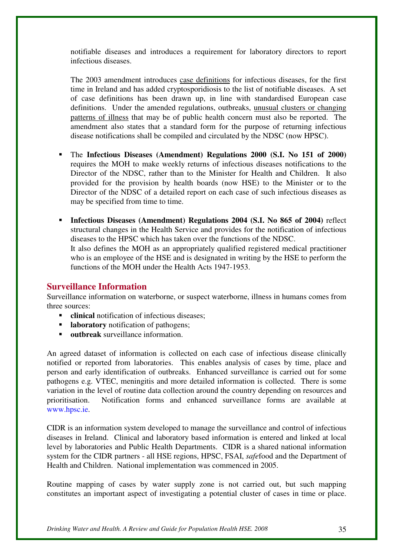notifiable diseases and introduces a requirement for laboratory directors to report infectious diseases.

The 2003 amendment introduces case definitions for infectious diseases, for the first time in Ireland and has added cryptosporidiosis to the list of notifiable diseases. A set of case definitions has been drawn up, in line with standardised European case definitions. Under the amended regulations, outbreaks, unusual clusters or changing patterns of illness that may be of public health concern must also be reported. The amendment also states that a standard form for the purpose of returning infectious disease notifications shall be compiled and circulated by the NDSC (now HPSC).

- The **Infectious Diseases (Amendment) Regulations 2000 (S.I. No 151 of 2000)** requires the MOH to make weekly returns of infectious diseases notifications to the Director of the NDSC, rather than to the Minister for Health and Children. It also provided for the provision by health boards (now HSE) to the Minister or to the Director of the NDSC of a detailed report on each case of such infectious diseases as may be specified from time to time.
- **Infectious Diseases (Amendment) Regulations 2004 (S.I. No 865 of 2004)** reflect structural changes in the Health Service and provides for the notification of infectious diseases to the HPSC which has taken over the functions of the NDSC. It also defines the MOH as an appropriately qualified registered medical practitioner who is an employee of the HSE and is designated in writing by the HSE to perform the functions of the MOH under the Health Acts 1947-1953.

## **Surveillance Information**

Surveillance information on waterborne, or suspect waterborne, illness in humans comes from three sources:

- **clinical** notification of infectious diseases;
- **-** laboratory notification of pathogens;
- **outbreak** surveillance information.

An agreed dataset of information is collected on each case of infectious disease clinically notified or reported from laboratories. This enables analysis of cases by time, place and person and early identification of outbreaks. Enhanced surveillance is carried out for some pathogens e.g. VTEC, meningitis and more detailed information is collected. There is some variation in the level of routine data collection around the country depending on resources and prioritisation. Notification forms and enhanced surveillance forms are available at www.hpsc.ie.

CIDR is an information system developed to manage the surveillance and control of infectious diseases in Ireland. Clinical and laboratory based information is entered and linked at local level by laboratories and Public Health Departments. CIDR is a shared national information system for the CIDR partners - all HSE regions, HPSC, FSAI, *safe*food and the Department of Health and Children. National implementation was commenced in 2005.

Routine mapping of cases by water supply zone is not carried out, but such mapping constitutes an important aspect of investigating a potential cluster of cases in time or place.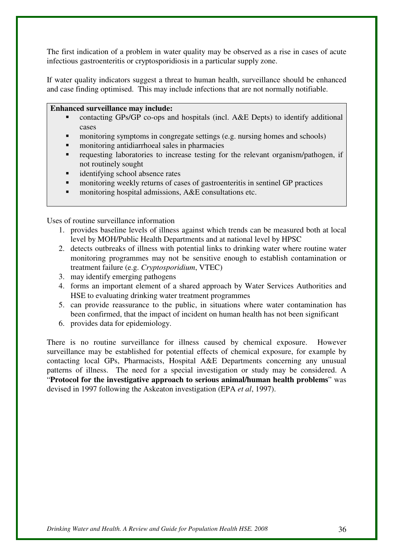The first indication of a problem in water quality may be observed as a rise in cases of acute infectious gastroenteritis or cryptosporidiosis in a particular supply zone.

If water quality indicators suggest a threat to human health, surveillance should be enhanced and case finding optimised. This may include infections that are not normally notifiable.

#### **Enhanced surveillance may include:**

- contacting GPs/GP co-ops and hospitals (incl. A&E Depts) to identify additional cases
- monitoring symptoms in congregate settings (e.g. nursing homes and schools)
- monitoring antidiarrhoeal sales in pharmacies
- requesting laboratories to increase testing for the relevant organism/pathogen, if not routinely sought
- identifying school absence rates
- monitoring weekly returns of cases of gastroenteritis in sentinel GP practices
- monitoring hospital admissions, A&E consultations etc.

Uses of routine surveillance information

- 1. provides baseline levels of illness against which trends can be measured both at local level by MOH/Public Health Departments and at national level by HPSC
- 2. detects outbreaks of illness with potential links to drinking water where routine water monitoring programmes may not be sensitive enough to establish contamination or treatment failure (e.g. *Cryptosporidium*, VTEC)
- 3. may identify emerging pathogens
- 4. forms an important element of a shared approach by Water Services Authorities and HSE to evaluating drinking water treatment programmes
- 5. can provide reassurance to the public, in situations where water contamination has been confirmed, that the impact of incident on human health has not been significant
- 6. provides data for epidemiology.

There is no routine surveillance for illness caused by chemical exposure.However surveillance may be established for potential effects of chemical exposure, for example by contacting local GPs, Pharmacists, Hospital A&E Departments concerning any unusual patterns of illness. The need for a special investigation or study may be considered. A "**Protocol for the investigative approach to serious animal/human health problems**" was devised in 1997 following the Askeaton investigation (EPA *et al*, 1997).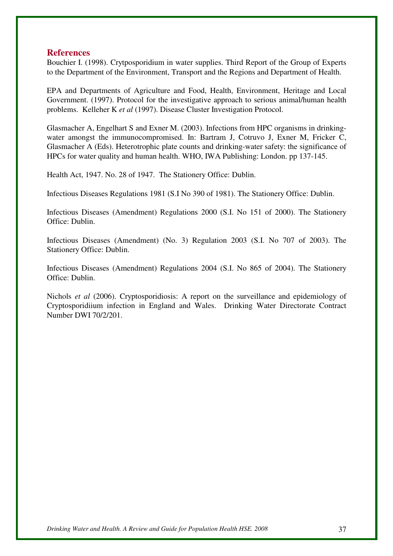### **References**

Bouchier I. (1998). Crytposporidium in water supplies. Third Report of the Group of Experts to the Department of the Environment, Transport and the Regions and Department of Health.

EPA and Departments of Agriculture and Food, Health, Environment, Heritage and Local Government. (1997). Protocol for the investigative approach to serious animal/human health problems. Kelleher K *et al* (1997). Disease Cluster Investigation Protocol.

Glasmacher A, Engelhart S and Exner M. (2003). Infections from HPC organisms in drinkingwater amongst the immunocompromised. In: Bartram J, Cotruvo J, Exner M, Fricker C, Glasmacher A (Eds). Heterotrophic plate counts and drinking-water safety: the significance of HPCs for water quality and human health. WHO, IWA Publishing: London. pp 137-145.

Health Act, 1947. No. 28 of 1947. The Stationery Office: Dublin.

Infectious Diseases Regulations 1981 (S.I No 390 of 1981). The Stationery Office: Dublin.

Infectious Diseases (Amendment) Regulations 2000 (S.I. No 151 of 2000). The Stationery Office: Dublin.

Infectious Diseases (Amendment) (No. 3) Regulation 2003 (S.I. No 707 of 2003). The Stationery Office: Dublin.

Infectious Diseases (Amendment) Regulations 2004 (S.I. No 865 of 2004). The Stationery Office: Dublin.

Nichols *et al* (2006). Cryptosporidiosis: A report on the surveillance and epidemiology of Cryptosporidiium infection in England and Wales. Drinking Water Directorate Contract Number DWI 70/2/201.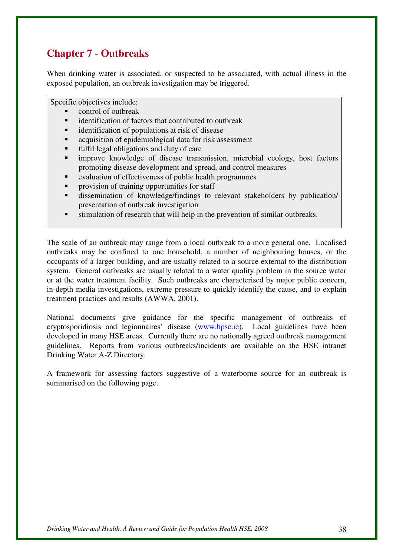## **Chapter 7** - **Outbreaks**

When drinking water is associated, or suspected to be associated, with actual illness in the exposed population, an outbreak investigation may be triggered.

Specific objectives include:

- control of outbreak
- identification of factors that contributed to outbreak
- identification of populations at risk of disease
- acquisition of epidemiological data for risk assessment
- fulfil legal obligations and duty of care
- improve knowledge of disease transmission, microbial ecology, host factors promoting disease development and spread, and control measures
- evaluation of effectiveness of public health programmes
- provision of training opportunities for staff
- dissemination of knowledge/findings to relevant stakeholders by publication/ presentation of outbreak investigation
- stimulation of research that will help in the prevention of similar outbreaks.

The scale of an outbreak may range from a local outbreak to a more general one. Localised outbreaks may be confined to one household, a number of neighbouring houses, or the occupants of a larger building, and are usually related to a source external to the distribution system. General outbreaks are usually related to a water quality problem in the source water or at the water treatment facility. Such outbreaks are characterised by major public concern, in-depth media investigations, extreme pressure to quickly identify the cause, and to explain treatment practices and results (AWWA, 2001).

National documents give guidance for the specific management of outbreaks of cryptosporidiosis and legionnaires' disease (www.hpsc.ie). Local guidelines have been developed in many HSE areas. Currently there are no nationally agreed outbreak management guidelines. Reports from various outbreaks/incidents are available on the HSE intranet Drinking Water A-Z Directory.

A framework for assessing factors suggestive of a waterborne source for an outbreak is summarised on the following page.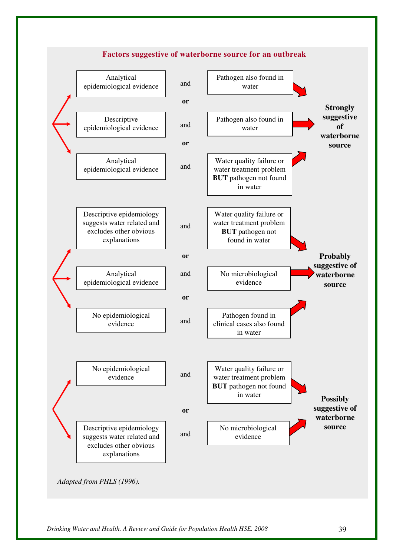### **Factors suggestive of waterborne source for an outbreak**

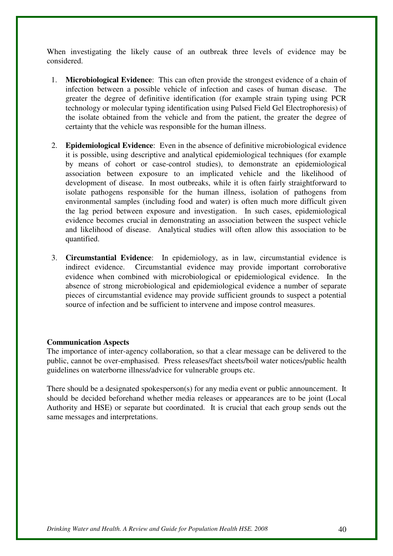When investigating the likely cause of an outbreak three levels of evidence may be considered.

- 1. **Microbiological Evidence**: This can often provide the strongest evidence of a chain of infection between a possible vehicle of infection and cases of human disease. The greater the degree of definitive identification (for example strain typing using PCR technology or molecular typing identification using Pulsed Field Gel Electrophoresis) of the isolate obtained from the vehicle and from the patient, the greater the degree of certainty that the vehicle was responsible for the human illness.
- 2. **Epidemiological Evidence**: Even in the absence of definitive microbiological evidence it is possible, using descriptive and analytical epidemiological techniques (for example by means of cohort or case-control studies), to demonstrate an epidemiological association between exposure to an implicated vehicle and the likelihood of development of disease. In most outbreaks, while it is often fairly straightforward to isolate pathogens responsible for the human illness, isolation of pathogens from environmental samples (including food and water) is often much more difficult given the lag period between exposure and investigation. In such cases, epidemiological evidence becomes crucial in demonstrating an association between the suspect vehicle and likelihood of disease. Analytical studies will often allow this association to be quantified.
- 3. **Circumstantial Evidence**: In epidemiology, as in law, circumstantial evidence is indirect evidence. Circumstantial evidence may provide important corroborative evidence when combined with microbiological or epidemiological evidence. In the absence of strong microbiological and epidemiological evidence a number of separate pieces of circumstantial evidence may provide sufficient grounds to suspect a potential source of infection and be sufficient to intervene and impose control measures.

#### **Communication Aspects**

The importance of inter-agency collaboration, so that a clear message can be delivered to the public, cannot be over-emphasised. Press releases/fact sheets/boil water notices/public health guidelines on waterborne illness/advice for vulnerable groups etc.

There should be a designated spokesperson(s) for any media event or public announcement. It should be decided beforehand whether media releases or appearances are to be joint (Local Authority and HSE) or separate but coordinated. It is crucial that each group sends out the same messages and interpretations.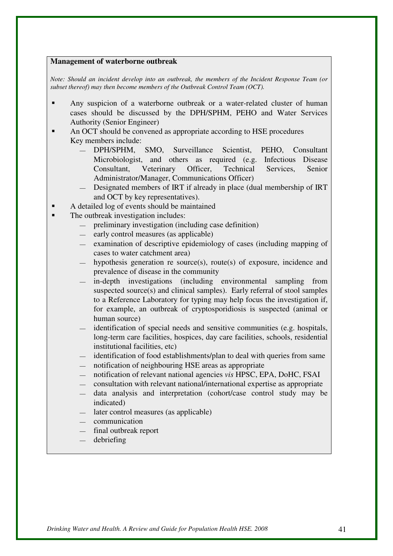#### **Management of waterborne outbreak**

*Note: Should an incident develop into an outbreak, the members of the Incident Response Team (or subset thereof) may then become members of the Outbreak Control Team (OCT).* 

- Any suspicion of a waterborne outbreak or a water-related cluster of human cases should be discussed by the DPH/SPHM, PEHO and Water Services Authority (Senior Engineer)
- An OCT should be convened as appropriate according to HSE procedures Key members include:
	- DPH/SPHM, SMO, Surveillance Scientist, PEHO, Consultant Microbiologist, and others as required (e.g. Infectious Disease Consultant, Veterinary Officer, Technical Services, Senior Administrator/Manager, Communications Officer)
	- Designated members of IRT if already in place (dual membership of IRT and OCT by key representatives).
	- A detailed log of events should be maintained
- The outbreak investigation includes:
	- preliminary investigation (including case definition)
	- early control measures (as applicable)
	- examination of descriptive epidemiology of cases (including mapping of cases to water catchment area)
	- hypothesis generation re source(s), route(s) of exposure, incidence and prevalence of disease in the community
	- in-depth investigations (including environmental sampling from suspected source(s) and clinical samples). Early referral of stool samples to a Reference Laboratory for typing may help focus the investigation if, for example, an outbreak of cryptosporidiosis is suspected (animal or human source)
	- identification of special needs and sensitive communities (e.g. hospitals, long-term care facilities, hospices, day care facilities, schools, residential institutional facilities, etc)
	- identification of food establishments/plan to deal with queries from same
	- notification of neighbouring HSE areas as appropriate
	- notification of relevant national agencies *vis* HPSC, EPA, DoHC, FSAI
	- consultation with relevant national/international expertise as appropriate
	- data analysis and interpretation (cohort/case control study may be indicated)
	- later control measures (as applicable)
	- communication
	- final outbreak report
	- debriefing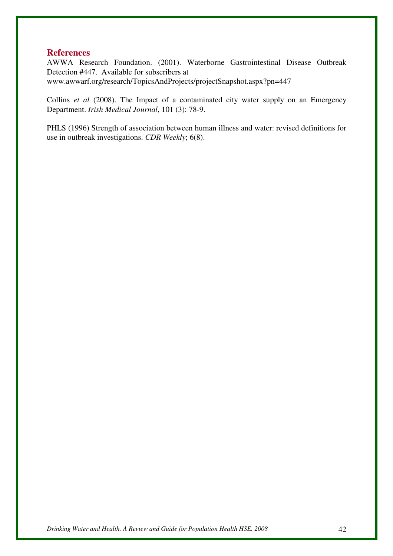#### **References**

AWWA Research Foundation. (2001). Waterborne Gastrointestinal Disease Outbreak Detection #447. Available for subscribers at www.awwarf.org/research/TopicsAndProjects/projectSnapshot.aspx?pn=447

Collins *et al* (2008). The Impact of a contaminated city water supply on an Emergency Department. *Irish Medical Journal*, 101 (3): 78-9.

PHLS (1996) Strength of association between human illness and water: revised definitions for use in outbreak investigations. *CDR Weekly*; 6(8).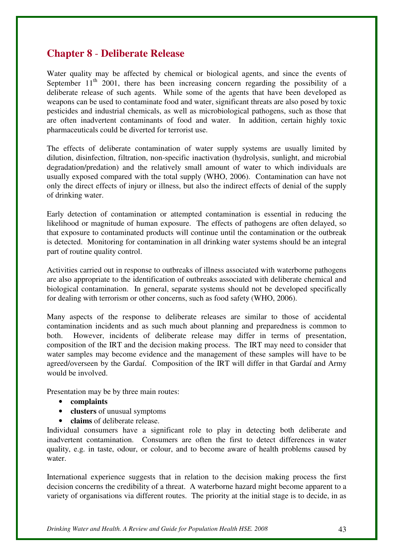## **Chapter 8** - **Deliberate Release**

Water quality may be affected by chemical or biological agents, and since the events of September  $11<sup>th</sup>$  2001, there has been increasing concern regarding the possibility of a deliberate release of such agents. While some of the agents that have been developed as weapons can be used to contaminate food and water, significant threats are also posed by toxic pesticides and industrial chemicals, as well as microbiological pathogens, such as those that are often inadvertent contaminants of food and water. In addition, certain highly toxic pharmaceuticals could be diverted for terrorist use.

The effects of deliberate contamination of water supply systems are usually limited by dilution, disinfection, filtration, non-specific inactivation (hydrolysis, sunlight, and microbial degradation/predation) and the relatively small amount of water to which individuals are usually exposed compared with the total supply (WHO, 2006). Contamination can have not only the direct effects of injury or illness, but also the indirect effects of denial of the supply of drinking water.

Early detection of contamination or attempted contamination is essential in reducing the likelihood or magnitude of human exposure. The effects of pathogens are often delayed, so that exposure to contaminated products will continue until the contamination or the outbreak is detected. Monitoring for contamination in all drinking water systems should be an integral part of routine quality control.

Activities carried out in response to outbreaks of illness associated with waterborne pathogens are also appropriate to the identification of outbreaks associated with deliberate chemical and biological contamination. In general, separate systems should not be developed specifically for dealing with terrorism or other concerns, such as food safety (WHO, 2006).

Many aspects of the response to deliberate releases are similar to those of accidental contamination incidents and as such much about planning and preparedness is common to both. However, incidents of deliberate release may differ in terms of presentation, composition of the IRT and the decision making process. The IRT may need to consider that water samples may become evidence and the management of these samples will have to be agreed/overseen by the Gardaí. Composition of the IRT will differ in that Gardaí and Army would be involved.

Presentation may be by three main routes:

- **complaints**
- **clusters** of unusual symptoms
- **claims** of deliberate release.

Individual consumers have a significant role to play in detecting both deliberate and inadvertent contamination. Consumers are often the first to detect differences in water quality, e.g. in taste, odour, or colour, and to become aware of health problems caused by water.

International experience suggests that in relation to the decision making process the first decision concerns the credibility of a threat. A waterborne hazard might become apparent to a variety of organisations via different routes. The priority at the initial stage is to decide, in as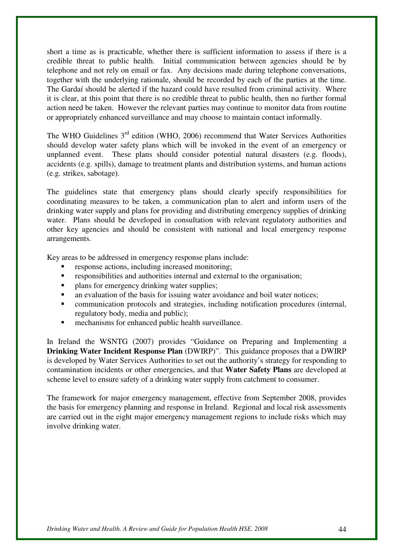short a time as is practicable, whether there is sufficient information to assess if there is a credible threat to public health. Initial communication between agencies should be by telephone and not rely on email or fax. Any decisions made during telephone conversations, together with the underlying rationale, should be recorded by each of the parties at the time. The Gardaí should be alerted if the hazard could have resulted from criminal activity. Where it is clear, at this point that there is no credible threat to public health, then no further formal action need be taken. However the relevant parties may continue to monitor data from routine or appropriately enhanced surveillance and may choose to maintain contact informally.

The WHO Guidelines  $3<sup>rd</sup>$  edition (WHO, 2006) recommend that Water Services Authorities should develop water safety plans which will be invoked in the event of an emergency or unplanned event. These plans should consider potential natural disasters (e.g. floods), accidents (e.g. spills), damage to treatment plants and distribution systems, and human actions (e.g. strikes, sabotage).

The guidelines state that emergency plans should clearly specify responsibilities for coordinating measures to be taken, a communication plan to alert and inform users of the drinking water supply and plans for providing and distributing emergency supplies of drinking water. Plans should be developed in consultation with relevant regulatory authorities and other key agencies and should be consistent with national and local emergency response arrangements.

Key areas to be addressed in emergency response plans include:

- response actions, including increased monitoring;
- responsibilities and authorities internal and external to the organisation;
- plans for emergency drinking water supplies;
- an evaluation of the basis for issuing water avoidance and boil water notices;
- communication protocols and strategies, including notification procedures (internal, regulatory body, media and public);
- mechanisms for enhanced public health surveillance.

In Ireland the WSNTG (2007) provides "Guidance on Preparing and Implementing a **Drinking Water Incident Response Plan** (DWIRP)". This guidance proposes that a DWIRP is developed by Water Services Authorities to set out the authority's strategy for responding to contamination incidents or other emergencies, and that **Water Safety Plans** are developed at scheme level to ensure safety of a drinking water supply from catchment to consumer.

The framework for major emergency management, effective from September 2008, provides the basis for emergency planning and response in Ireland. Regional and local risk assessments are carried out in the eight major emergency management regions to include risks which may involve drinking water.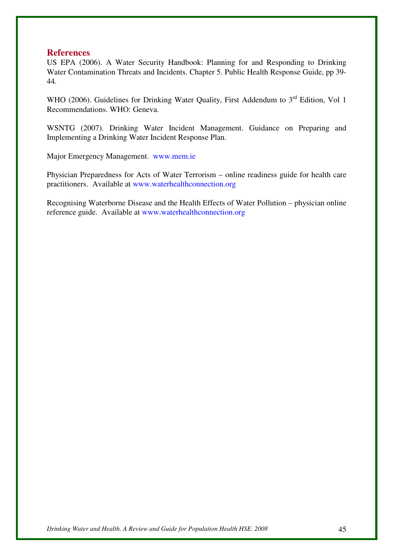#### **References**

US EPA (2006). A Water Security Handbook: Planning for and Responding to Drinking Water Contamination Threats and Incidents. Chapter 5. Public Health Response Guide, pp 39- 44.

WHO (2006). Guidelines for Drinking Water Quality, First Addendum to 3<sup>rd</sup> Edition, Vol 1 Recommendations. WHO: Geneva.

WSNTG (2007). Drinking Water Incident Management. Guidance on Preparing and Implementing a Drinking Water Incident Response Plan.

Major Emergency Management. www.mem.ie

Physician Preparedness for Acts of Water Terrorism – online readiness guide for health care practitioners. Available at www.waterhealthconnection.org

Recognising Waterborne Disease and the Health Effects of Water Pollution – physician online reference guide. Available at www.waterhealthconnection.org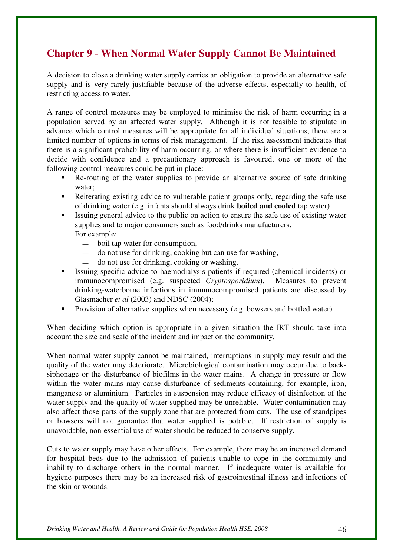# **Chapter 9** - **When Normal Water Supply Cannot Be Maintained**

A decision to close a drinking water supply carries an obligation to provide an alternative safe supply and is very rarely justifiable because of the adverse effects, especially to health, of restricting access to water.

A range of control measures may be employed to minimise the risk of harm occurring in a population served by an affected water supply. Although it is not feasible to stipulate in advance which control measures will be appropriate for all individual situations, there are a limited number of options in terms of risk management. If the risk assessment indicates that there is a significant probability of harm occurring, or where there is insufficient evidence to decide with confidence and a precautionary approach is favoured, one or more of the following control measures could be put in place:

- Re-routing of the water supplies to provide an alternative source of safe drinking water;
- Reiterating existing advice to vulnerable patient groups only, regarding the safe use of drinking water (e.g. infants should always drink **boiled and cooled** tap water)
- Issuing general advice to the public on action to ensure the safe use of existing water supplies and to major consumers such as food/drinks manufacturers. For example:
	- boil tap water for consumption,
		- do not use for drinking, cooking but can use for washing,
	- do not use for drinking, cooking or washing.
- Issuing specific advice to haemodialysis patients if required (chemical incidents) or immunocompromised (e.g. suspected *Cryptosporidium*). Measures to prevent drinking-waterborne infections in immunocompromised patients are discussed by Glasmacher *et al* (2003) and NDSC (2004);
- Provision of alternative supplies when necessary (e.g. bowsers and bottled water).

When deciding which option is appropriate in a given situation the IRT should take into account the size and scale of the incident and impact on the community.

When normal water supply cannot be maintained, interruptions in supply may result and the quality of the water may deteriorate. Microbiological contamination may occur due to backsiphonage or the disturbance of biofilms in the water mains. A change in pressure or flow within the water mains may cause disturbance of sediments containing, for example, iron, manganese or aluminium. Particles in suspension may reduce efficacy of disinfection of the water supply and the quality of water supplied may be unreliable. Water contamination may also affect those parts of the supply zone that are protected from cuts. The use of standpipes or bowsers will not guarantee that water supplied is potable. If restriction of supply is unavoidable, non-essential use of water should be reduced to conserve supply.

Cuts to water supply may have other effects. For example, there may be an increased demand for hospital beds due to the admission of patients unable to cope in the community and inability to discharge others in the normal manner. If inadequate water is available for hygiene purposes there may be an increased risk of gastrointestinal illness and infections of the skin or wounds.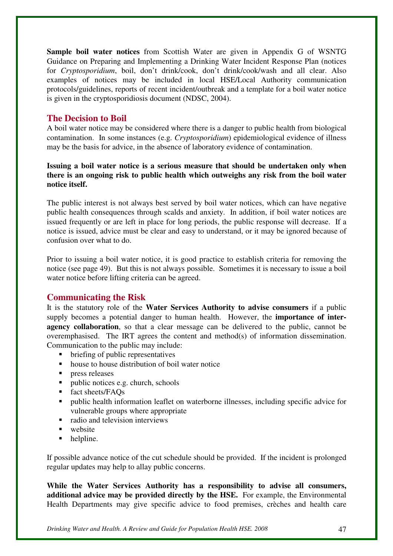**Sample boil water notices** from Scottish Water are given in Appendix G of WSNTG Guidance on Preparing and Implementing a Drinking Water Incident Response Plan (notices for *Cryptosporidium*, boil, don't drink/cook, don't drink/cook/wash and all clear. Also examples of notices may be included in local HSE/Local Authority communication protocols/guidelines, reports of recent incident/outbreak and a template for a boil water notice is given in the cryptosporidiosis document (NDSC, 2004).

## **The Decision to Boil**

A boil water notice may be considered where there is a danger to public health from biological contamination. In some instances (e.g. *Cryptosporidium*) epidemiological evidence of illness may be the basis for advice, in the absence of laboratory evidence of contamination.

## **Issuing a boil water notice is a serious measure that should be undertaken only when there is an ongoing risk to public health which outweighs any risk from the boil water notice itself.**

The public interest is not always best served by boil water notices, which can have negative public health consequences through scalds and anxiety. In addition, if boil water notices are issued frequently or are left in place for long periods, the public response will decrease. If a notice is issued, advice must be clear and easy to understand, or it may be ignored because of confusion over what to do.

Prior to issuing a boil water notice, it is good practice to establish criteria for removing the notice (see page 49). But this is not always possible. Sometimes it is necessary to issue a boil water notice before lifting criteria can be agreed.

## **Communicating the Risk**

It is the statutory role of the **Water Services Authority to advise consumers** if a public supply becomes a potential danger to human health. However, the **importance of interagency collaboration**, so that a clear message can be delivered to the public, cannot be overemphasised. The IRT agrees the content and method(s) of information dissemination. Communication to the public may include:

- briefing of public representatives
- house to house distribution of boil water notice
- $\blacksquare$  press releases
- public notices e.g. church, schools
- fact sheets/FAOs
- public health information leaflet on waterborne illnesses, including specific advice for vulnerable groups where appropriate
- radio and television interviews
- $\blacksquare$  website
- helpline.

If possible advance notice of the cut schedule should be provided. If the incident is prolonged regular updates may help to allay public concerns.

**While the Water Services Authority has a responsibility to advise all consumers, additional advice may be provided directly by the HSE.** For example, the Environmental Health Departments may give specific advice to food premises, crèches and health care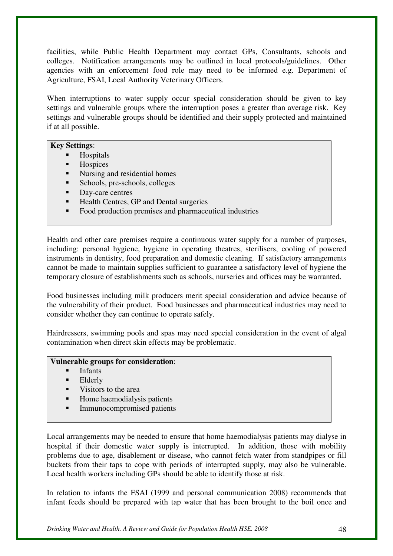facilities, while Public Health Department may contact GPs, Consultants, schools and colleges. Notification arrangements may be outlined in local protocols/guidelines. Other agencies with an enforcement food role may need to be informed e.g. Department of Agriculture, FSAI, Local Authority Veterinary Officers.

When interruptions to water supply occur special consideration should be given to key settings and vulnerable groups where the interruption poses a greater than average risk. Key settings and vulnerable groups should be identified and their supply protected and maintained if at all possible.

#### **Key Settings**:

- Hospitals
- **Hospices**
- Nursing and residential homes
- Schools, pre-schools, colleges
- Day-care centres
- Health Centres, GP and Dental surgeries
- Food production premises and pharmaceutical industries

Health and other care premises require a continuous water supply for a number of purposes, including: personal hygiene, hygiene in operating theatres, sterilisers, cooling of powered instruments in dentistry, food preparation and domestic cleaning. If satisfactory arrangements cannot be made to maintain supplies sufficient to guarantee a satisfactory level of hygiene the temporary closure of establishments such as schools, nurseries and offices may be warranted.

Food businesses including milk producers merit special consideration and advice because of the vulnerability of their product. Food businesses and pharmaceutical industries may need to consider whether they can continue to operate safely.

Hairdressers, swimming pools and spas may need special consideration in the event of algal contamination when direct skin effects may be problematic.

#### **Vulnerable groups for consideration**:

- Infants
- Elderly
- Visitors to the area
- Home haemodialysis patients
- Immunocompromised patients

Local arrangements may be needed to ensure that home haemodialysis patients may dialyse in hospital if their domestic water supply is interrupted. In addition, those with mobility problems due to age, disablement or disease, who cannot fetch water from standpipes or fill buckets from their taps to cope with periods of interrupted supply, may also be vulnerable. Local health workers including GPs should be able to identify those at risk.

In relation to infants the FSAI (1999 and personal communication 2008) recommends that infant feeds should be prepared with tap water that has been brought to the boil once and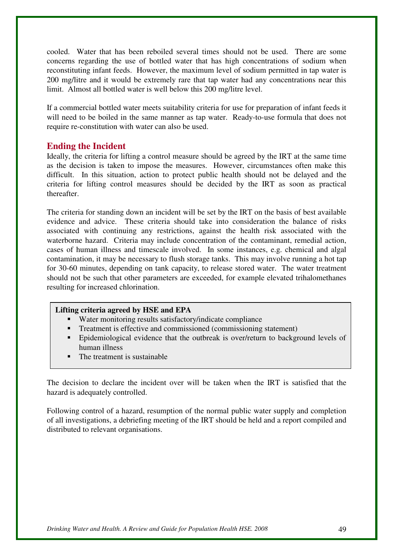cooled. Water that has been reboiled several times should not be used. There are some concerns regarding the use of bottled water that has high concentrations of sodium when reconstituting infant feeds. However, the maximum level of sodium permitted in tap water is 200 mg/litre and it would be extremely rare that tap water had any concentrations near this limit. Almost all bottled water is well below this 200 mg/litre level.

If a commercial bottled water meets suitability criteria for use for preparation of infant feeds it will need to be boiled in the same manner as tap water. Ready-to-use formula that does not require re-constitution with water can also be used.

## **Ending the Incident**

Ideally, the criteria for lifting a control measure should be agreed by the IRT at the same time as the decision is taken to impose the measures. However, circumstances often make this difficult. In this situation, action to protect public health should not be delayed and the criteria for lifting control measures should be decided by the IRT as soon as practical thereafter.

The criteria for standing down an incident will be set by the IRT on the basis of best available evidence and advice. These criteria should take into consideration the balance of risks associated with continuing any restrictions, against the health risk associated with the waterborne hazard. Criteria may include concentration of the contaminant, remedial action, cases of human illness and timescale involved. In some instances, e.g. chemical and algal contamination, it may be necessary to flush storage tanks. This may involve running a hot tap for 30-60 minutes, depending on tank capacity, to release stored water. The water treatment should not be such that other parameters are exceeded, for example elevated trihalomethanes resulting for increased chlorination.

#### **Lifting criteria agreed by HSE and EPA**

- Water monitoring results satisfactory/indicate compliance
- Treatment is effective and commissioned (commissioning statement)
- **Epidemiological evidence that the outbreak is over/return to background levels of** human illness
- The treatment is sustainable

The decision to declare the incident over will be taken when the IRT is satisfied that the hazard is adequately controlled.

Following control of a hazard, resumption of the normal public water supply and completion of all investigations, a debriefing meeting of the IRT should be held and a report compiled and distributed to relevant organisations.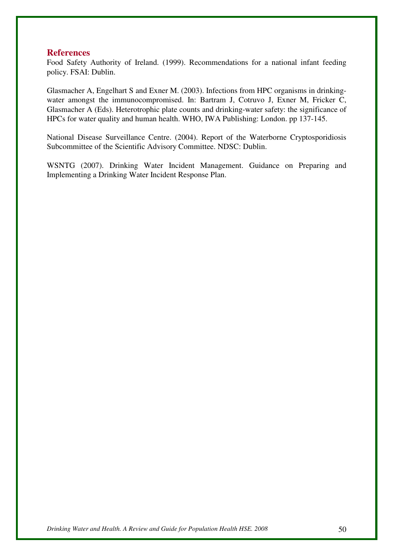#### **References**

Food Safety Authority of Ireland. (1999). Recommendations for a national infant feeding policy. FSAI: Dublin.

Glasmacher A, Engelhart S and Exner M. (2003). Infections from HPC organisms in drinkingwater amongst the immunocompromised. In: Bartram J, Cotruvo J, Exner M, Fricker C, Glasmacher A (Eds). Heterotrophic plate counts and drinking-water safety: the significance of HPCs for water quality and human health. WHO, IWA Publishing: London. pp 137-145.

National Disease Surveillance Centre. (2004). Report of the Waterborne Cryptosporidiosis Subcommittee of the Scientific Advisory Committee. NDSC: Dublin.

WSNTG (2007). Drinking Water Incident Management. Guidance on Preparing and Implementing a Drinking Water Incident Response Plan.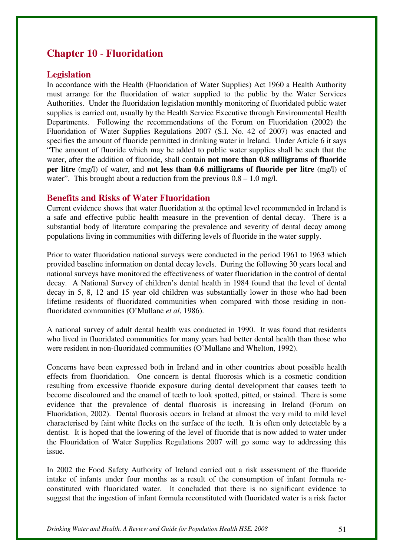## **Chapter 10** - **Fluoridation**

## **Legislation**

In accordance with the Health (Fluoridation of Water Supplies) Act 1960 a Health Authority must arrange for the fluoridation of water supplied to the public by the Water Services Authorities. Under the fluoridation legislation monthly monitoring of fluoridated public water supplies is carried out, usually by the Health Service Executive through Environmental Health Departments. Following the recommendations of the Forum on Fluoridation (2002) the Fluoridation of Water Supplies Regulations 2007 (S.I. No. 42 of 2007) was enacted and specifies the amount of fluoride permitted in drinking water in Ireland. Under Article 6 it says "The amount of fluoride which may be added to public water supplies shall be such that the water, after the addition of fluoride, shall contain **not more than 0.8 milligrams of fluoride per litre** (mg/l) of water, and **not less than 0.6 milligrams of fluoride per litre** (mg/l) of water". This brought about a reduction from the previous  $0.8 - 1.0$  mg/l.

### **Benefits and Risks of Water Fluoridation**

Current evidence shows that water fluoridation at the optimal level recommended in Ireland is a safe and effective public health measure in the prevention of dental decay. There is a substantial body of literature comparing the prevalence and severity of dental decay among populations living in communities with differing levels of fluoride in the water supply.

Prior to water fluoridation national surveys were conducted in the period 1961 to 1963 which provided baseline information on dental decay levels. During the following 30 years local and national surveys have monitored the effectiveness of water fluoridation in the control of dental decay. A National Survey of children's dental health in 1984 found that the level of dental decay in 5, 8, 12 and 15 year old children was substantially lower in those who had been lifetime residents of fluoridated communities when compared with those residing in nonfluoridated communities (O'Mullane *et al*, 1986).

A national survey of adult dental health was conducted in 1990. It was found that residents who lived in fluoridated communities for many years had better dental health than those who were resident in non-fluoridated communities (O'Mullane and Whelton, 1992).

Concerns have been expressed both in Ireland and in other countries about possible health effects from fluoridation. One concern is dental fluorosis which is a cosmetic condition resulting from excessive fluoride exposure during dental development that causes teeth to become discoloured and the enamel of teeth to look spotted, pitted, or stained. There is some evidence that the prevalence of dental fluorosis is increasing in Ireland (Forum on Fluoridation, 2002). Dental fluorosis occurs in Ireland at almost the very mild to mild level characterised by faint white flecks on the surface of the teeth. It is often only detectable by a dentist. It is hoped that the lowering of the level of fluoride that is now added to water under the Flouridation of Water Supplies Regulations 2007 will go some way to addressing this issue.

In 2002 the Food Safety Authority of Ireland carried out a risk assessment of the fluoride intake of infants under four months as a result of the consumption of infant formula reconstituted with fluoridated water. It concluded that there is no significant evidence to suggest that the ingestion of infant formula reconstituted with fluoridated water is a risk factor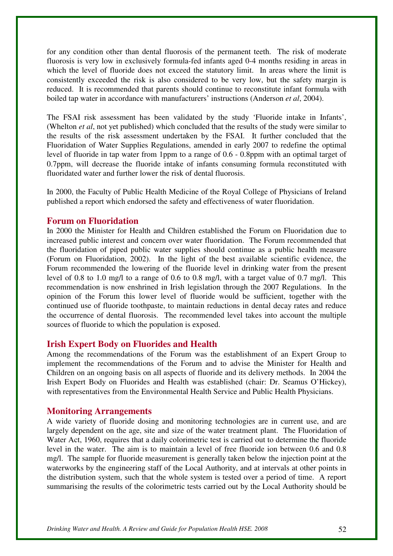for any condition other than dental fluorosis of the permanent teeth. The risk of moderate fluorosis is very low in exclusively formula-fed infants aged 0-4 months residing in areas in which the level of fluoride does not exceed the statutory limit. In areas where the limit is consistently exceeded the risk is also considered to be very low, but the safety margin is reduced. It is recommended that parents should continue to reconstitute infant formula with boiled tap water in accordance with manufacturers' instructions (Anderson *et al*, 2004).

The FSAI risk assessment has been validated by the study 'Fluoride intake in Infants', (Whelton *et al*, not yet published) which concluded that the results of the study were similar to the results of the risk assessment undertaken by the FSAI. It further concluded that the Fluoridation of Water Supplies Regulations, amended in early 2007 to redefine the optimal level of fluoride in tap water from 1ppm to a range of 0.6 - 0.8ppm with an optimal target of 0.7ppm, will decrease the fluoride intake of infants consuming formula reconstituted with fluoridated water and further lower the risk of dental fluorosis.

In 2000, the Faculty of Public Health Medicine of the Royal College of Physicians of Ireland published a report which endorsed the safety and effectiveness of water fluoridation.

### **Forum on Fluoridation**

In 2000 the Minister for Health and Children established the Forum on Fluoridation due to increased public interest and concern over water fluoridation. The Forum recommended that the fluoridation of piped public water supplies should continue as a public health measure (Forum on Fluoridation, 2002). In the light of the best available scientific evidence, the Forum recommended the lowering of the fluoride level in drinking water from the present level of 0.8 to 1.0 mg/l to a range of 0.6 to 0.8 mg/l, with a target value of 0.7 mg/l. This recommendation is now enshrined in Irish legislation through the 2007 Regulations. In the opinion of the Forum this lower level of fluoride would be sufficient, together with the continued use of fluoride toothpaste, to maintain reductions in dental decay rates and reduce the occurrence of dental fluorosis. The recommended level takes into account the multiple sources of fluoride to which the population is exposed.

## **Irish Expert Body on Fluorides and Health**

Among the recommendations of the Forum was the establishment of an Expert Group to implement the recommendations of the Forum and to advise the Minister for Health and Children on an ongoing basis on all aspects of fluoride and its delivery methods. In 2004 the Irish Expert Body on Fluorides and Health was established (chair: Dr. Seamus O'Hickey), with representatives from the Environmental Health Service and Public Health Physicians.

#### **Monitoring Arrangements**

A wide variety of fluoride dosing and monitoring technologies are in current use, and are largely dependent on the age, site and size of the water treatment plant. The Fluoridation of Water Act, 1960, requires that a daily colorimetric test is carried out to determine the fluoride level in the water. The aim is to maintain a level of free fluoride ion between 0.6 and 0.8 mg/l. The sample for fluoride measurement is generally taken below the injection point at the waterworks by the engineering staff of the Local Authority, and at intervals at other points in the distribution system, such that the whole system is tested over a period of time. A report summarising the results of the colorimetric tests carried out by the Local Authority should be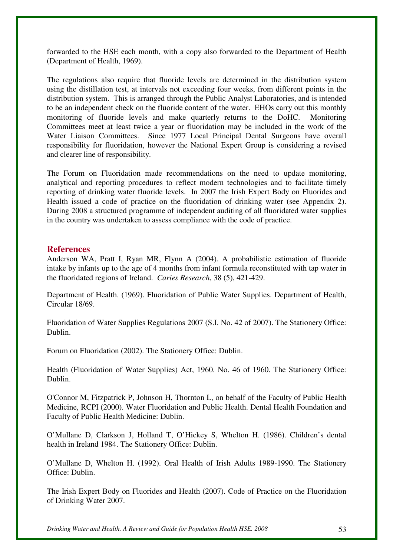forwarded to the HSE each month, with a copy also forwarded to the Department of Health (Department of Health, 1969).

The regulations also require that fluoride levels are determined in the distribution system using the distillation test, at intervals not exceeding four weeks, from different points in the distribution system. This is arranged through the Public Analyst Laboratories, and is intended to be an independent check on the fluoride content of the water. EHOs carry out this monthly monitoring of fluoride levels and make quarterly returns to the DoHC. Monitoring Committees meet at least twice a year or fluoridation may be included in the work of the Water Liaison Committees. Since 1977 Local Principal Dental Surgeons have overall responsibility for fluoridation, however the National Expert Group is considering a revised and clearer line of responsibility.

The Forum on Fluoridation made recommendations on the need to update monitoring, analytical and reporting procedures to reflect modern technologies and to facilitate timely reporting of drinking water fluoride levels. In 2007 the Irish Expert Body on Fluorides and Health issued a code of practice on the fluoridation of drinking water (see Appendix 2). During 2008 a structured programme of independent auditing of all fluoridated water supplies in the country was undertaken to assess compliance with the code of practice.

## **References**

Anderson WA, Pratt I, Ryan MR, Flynn A (2004). A probabilistic estimation of fluoride intake by infants up to the age of 4 months from infant formula reconstituted with tap water in the fluoridated regions of Ireland. *Caries Research*, 38 (5), 421-429.

Department of Health. (1969). Fluoridation of Public Water Supplies. Department of Health, Circular 18/69.

Fluoridation of Water Supplies Regulations 2007 (S.I. No. 42 of 2007). The Stationery Office: Dublin.

Forum on Fluoridation (2002). The Stationery Office: Dublin.

Health (Fluoridation of Water Supplies) Act, 1960. No. 46 of 1960. The Stationery Office: Dublin.

O'Connor M, Fitzpatrick P, Johnson H, Thornton L, on behalf of the Faculty of Public Health Medicine, RCPI (2000). Water Fluoridation and Public Health. Dental Health Foundation and Faculty of Public Health Medicine: Dublin.

O'Mullane D, Clarkson J, Holland T, O'Hickey S, Whelton H. (1986). Children's dental health in Ireland 1984. The Stationery Office: Dublin.

O'Mullane D, Whelton H. (1992). Oral Health of Irish Adults 1989-1990. The Stationery Office: Dublin.

The Irish Expert Body on Fluorides and Health (2007). Code of Practice on the Fluoridation of Drinking Water 2007.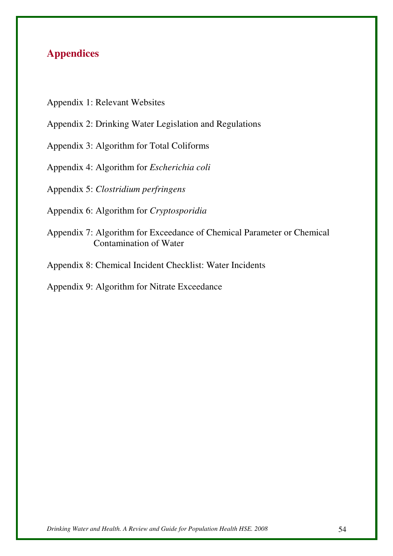# **Appendices**

- Appendix 1: Relevant Websites
- Appendix 2: Drinking Water Legislation and Regulations
- Appendix 3: Algorithm for Total Coliforms
- Appendix 4: Algorithm for *Escherichia coli*
- Appendix 5: *Clostridium perfringens*
- Appendix 6: Algorithm for *Cryptosporidia*
- Appendix 7: Algorithm for Exceedance of Chemical Parameter or Chemical Contamination of Water
- Appendix 8: Chemical Incident Checklist: Water Incidents
- Appendix 9: Algorithm for Nitrate Exceedance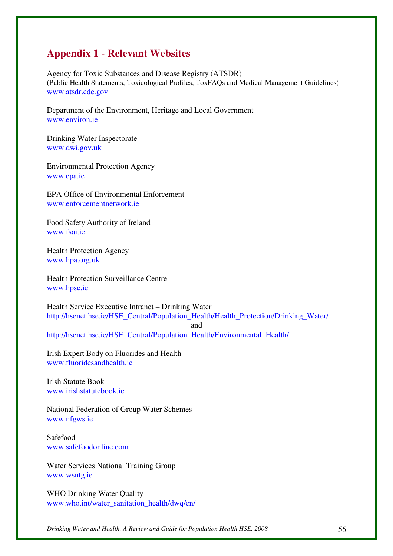## **Appendix 1** - **Relevant Websites**

Agency for Toxic Substances and Disease Registry (ATSDR) (Public Health Statements, Toxicological Profiles, ToxFAQs and Medical Management Guidelines) www.atsdr.cdc.gov

Department of the Environment, Heritage and Local Government www.environ.ie

Drinking Water Inspectorate www.dwi.gov.uk

Environmental Protection Agency www.epa.ie

EPA Office of Environmental Enforcement www.enforcementnetwork.ie

Food Safety Authority of Ireland www.fsai.ie

Health Protection Agency www.hpa.org.uk

Health Protection Surveillance Centre www.hpsc.ie

Health Service Executive Intranet – Drinking Water http://hsenet.hse.ie/HSE\_Central/Population\_Health/Health\_Protection/Drinking\_Water/

http://hsenet.hse.ie/HSE\_Central/Population\_Health/Environmental\_Health/

Irish Expert Body on Fluorides and Health www.fluoridesandhealth.ie

Irish Statute Book www.irishstatutebook.ie

National Federation of Group Water Schemes www.nfgws.ie

Safefood www.safefoodonline.com

Water Services National Training Group www.wsntg.ie

WHO Drinking Water Quality www.who.int/water\_sanitation\_health/dwq/en/

and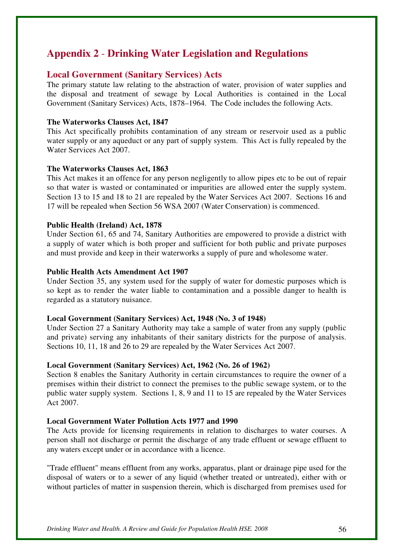## **Appendix 2** - **Drinking Water Legislation and Regulations**

## **Local Government (Sanitary Services) Acts**

The primary statute law relating to the abstraction of water, provision of water supplies and the disposal and treatment of sewage by Local Authorities is contained in the Local Government (Sanitary Services) Acts, 1878–1964. The Code includes the following Acts.

#### **The Waterworks Clauses Act, 1847**

This Act specifically prohibits contamination of any stream or reservoir used as a public water supply or any aqueduct or any part of supply system. This Act is fully repealed by the Water Services Act 2007.

#### **The Waterworks Clauses Act, 1863**

This Act makes it an offence for any person negligently to allow pipes etc to be out of repair so that water is wasted or contaminated or impurities are allowed enter the supply system. Section 13 to 15 and 18 to 21 are repealed by the Water Services Act 2007. Sections 16 and 17 will be repealed when Section 56 WSA 2007 (Water Conservation) is commenced.

#### **Public Health (Ireland) Act, 1878**

Under Section 61, 65 and 74, Sanitary Authorities are empowered to provide a district with a supply of water which is both proper and sufficient for both public and private purposes and must provide and keep in their waterworks a supply of pure and wholesome water.

#### **Public Health Acts Amendment Act 1907**

Under Section 35, any system used for the supply of water for domestic purposes which is so kept as to render the water liable to contamination and a possible danger to health is regarded as a statutory nuisance.

#### **Local Government (Sanitary Services) Act, 1948 (No. 3 of 1948)**

Under Section 27 a Sanitary Authority may take a sample of water from any supply (public and private) serving any inhabitants of their sanitary districts for the purpose of analysis. Sections 10, 11, 18 and 26 to 29 are repealed by the Water Services Act 2007.

#### **Local Government (Sanitary Services) Act, 1962 (No. 26 of 1962)**

Section 8 enables the Sanitary Authority in certain circumstances to require the owner of a premises within their district to connect the premises to the public sewage system, or to the public water supply system. Sections 1, 8, 9 and 11 to 15 are repealed by the Water Services Act 2007.

#### **Local Government Water Pollution Acts 1977 and 1990**

The Acts provide for licensing requirements in relation to discharges to water courses. A person shall not discharge or permit the discharge of any trade effluent or sewage effluent to any waters except under or in accordance with a licence.

"Trade effluent" means effluent from any works, apparatus, plant or drainage pipe used for the disposal of waters or to a sewer of any liquid (whether treated or untreated), either with or without particles of matter in suspension therein, which is discharged from premises used for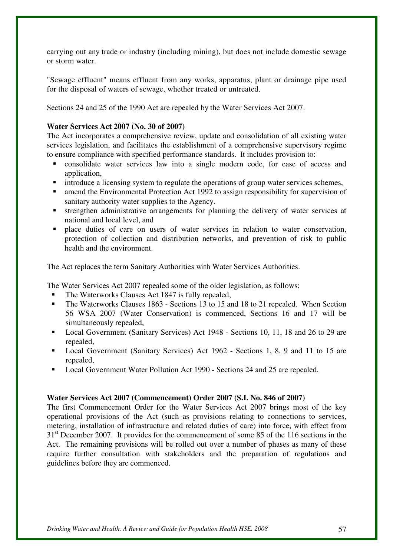carrying out any trade or industry (including mining), but does not include domestic sewage or storm water.

"Sewage effluent" means effluent from any works, apparatus, plant or drainage pipe used for the disposal of waters of sewage, whether treated or untreated.

Sections 24 and 25 of the 1990 Act are repealed by the Water Services Act 2007.

#### **Water Services Act 2007 (No. 30 of 2007)**

The Act incorporates a comprehensive review, update and consolidation of all existing water services legislation, and facilitates the establishment of a comprehensive supervisory regime to ensure compliance with specified performance standards. It includes provision to:

- consolidate water services law into a single modern code, for ease of access and application,
- **introduce a licensing system to regulate the operations of group water services schemes,**
- amend the Environmental Protection Act 1992 to assign responsibility for supervision of sanitary authority water supplies to the Agency.
- strengthen administrative arrangements for planning the delivery of water services at national and local level, and
- place duties of care on users of water services in relation to water conservation, protection of collection and distribution networks, and prevention of risk to public health and the environment.

The Act replaces the term Sanitary Authorities with Water Services Authorities.

The Water Services Act 2007 repealed some of the older legislation, as follows;

- The Waterworks Clauses Act 1847 is fully repealed,
- The Waterworks Clauses 1863 Sections 13 to 15 and 18 to 21 repealed. When Section 56 WSA 2007 (Water Conservation) is commenced, Sections 16 and 17 will be simultaneously repealed,
- Local Government (Sanitary Services) Act 1948 Sections 10, 11, 18 and 26 to 29 are repealed,
- Local Government (Sanitary Services) Act 1962 Sections 1, 8, 9 and 11 to 15 are repealed,
- Local Government Water Pollution Act 1990 Sections 24 and 25 are repealed.

#### **Water Services Act 2007 (Commencement) Order 2007 (S.I. No. 846 of 2007)**

The first Commencement Order for the Water Services Act 2007 brings most of the key operational provisions of the Act (such as provisions relating to connections to services, metering, installation of infrastructure and related duties of care) into force, with effect from 31<sup>st</sup> December 2007. It provides for the commencement of some 85 of the 116 sections in the Act. The remaining provisions will be rolled out over a number of phases as many of these require further consultation with stakeholders and the preparation of regulations and guidelines before they are commenced.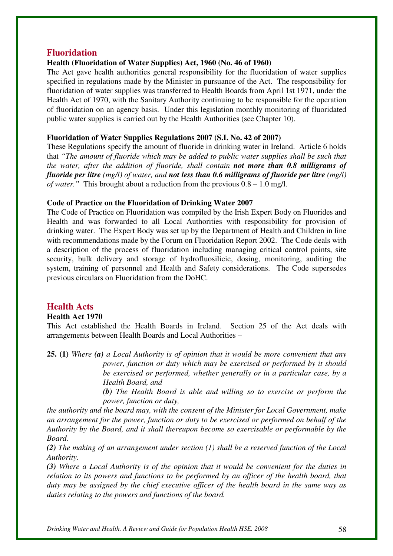#### **Fluoridation**

#### **Health (Fluoridation of Water Supplies) Act, 1960 (No. 46 of 1960)**

The Act gave health authorities general responsibility for the fluoridation of water supplies specified in regulations made by the Minister in pursuance of the Act. The responsibility for fluoridation of water supplies was transferred to Health Boards from April 1st 1971, under the Health Act of 1970, with the Sanitary Authority continuing to be responsible for the operation of fluoridation on an agency basis. Under this legislation monthly monitoring of fluoridated public water supplies is carried out by the Health Authorities (see Chapter 10).

#### **Fluoridation of Water Supplies Regulations 2007 (S.I. No. 42 of 2007)**

These Regulations specify the amount of fluoride in drinking water in Ireland. Article 6 holds that *"The amount of fluoride which may be added to public water supplies shall be such that the water, after the addition of fluoride, shall contain not more than 0.8 milligrams of fluoride per litre (mg/l) of water, and not less than 0.6 milligrams of fluoride per litre (mg/l) of water."* This brought about a reduction from the previous 0.8 – 1.0 mg/l.

#### **Code of Practice on the Fluoridation of Drinking Water 2007**

The Code of Practice on Fluoridation was compiled by the Irish Expert Body on Fluorides and Health and was forwarded to all Local Authorities with responsibility for provision of drinking water. The Expert Body was set up by the Department of Health and Children in line with recommendations made by the Forum on Fluoridation Report 2002. The Code deals with a description of the process of fluoridation including managing critical control points, site security, bulk delivery and storage of hydrofluosilicic, dosing, monitoring, auditing the system, training of personnel and Health and Safety considerations. The Code supersedes previous circulars on Fluoridation from the DoHC.

## **Health Acts**

#### **Health Act 1970**

This Act established the Health Boards in Ireland. Section 25 of the Act deals with arrangements between Health Boards and Local Authorities –

**25. (1)** *Where (a) a Local Authority is of opinion that it would be more convenient that any power, function or duty which may be exercised or performed by it should be exercised or performed, whether generally or in a particular case, by a Health Board, and* 

> *(b) The Health Board is able and willing so to exercise or perform the power, function or duty,*

*the authority and the board may, with the consent of the Minister for Local Government, make an arrangement for the power, function or duty to be exercised or performed on behalf of the Authority by the Board, and it shall thereupon become so exercisable or performable by the Board.* 

*(2) The making of an arrangement under section (1) shall be a reserved function of the Local Authority.* 

*(3) Where a Local Authority is of the opinion that it would be convenient for the duties in relation to its powers and functions to be performed by an officer of the health board, that duty may be assigned by the chief executive officer of the health board in the same way as duties relating to the powers and functions of the board.*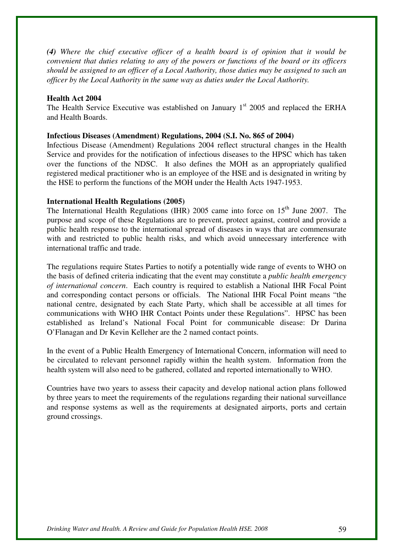*(4) Where the chief executive officer of a health board is of opinion that it would be convenient that duties relating to any of the powers or functions of the board or its officers should be assigned to an officer of a Local Authority, those duties may be assigned to such an officer by the Local Authority in the same way as duties under the Local Authority.* 

#### **Health Act 2004**

The Health Service Executive was established on January  $1<sup>st</sup>$  2005 and replaced the ERHA and Health Boards.

#### **Infectious Diseases (Amendment) Regulations, 2004 (S.I. No. 865 of 2004)**

Infectious Disease (Amendment) Regulations 2004 reflect structural changes in the Health Service and provides for the notification of infectious diseases to the HPSC which has taken over the functions of the NDSC. It also defines the MOH as an appropriately qualified registered medical practitioner who is an employee of the HSE and is designated in writing by the HSE to perform the functions of the MOH under the Health Acts 1947-1953.

#### **International Health Regulations (2005)**

The International Health Regulations (IHR) 2005 came into force on  $15<sup>th</sup>$  June 2007. The purpose and scope of these Regulations are to prevent, protect against, control and provide a public health response to the international spread of diseases in ways that are commensurate with and restricted to public health risks, and which avoid unnecessary interference with international traffic and trade.

The regulations require States Parties to notify a potentially wide range of events to WHO on the basis of defined criteria indicating that the event may constitute a *public health emergency of international concern*. Each country is required to establish a National IHR Focal Point and corresponding contact persons or officials. The National IHR Focal Point means "the national centre, designated by each State Party, which shall be accessible at all times for communications with WHO IHR Contact Points under these Regulations". HPSC has been established as Ireland's National Focal Point for communicable disease: Dr Darina O'Flanagan and Dr Kevin Kelleher are the 2 named contact points.

In the event of a Public Health Emergency of International Concern, information will need to be circulated to relevant personnel rapidly within the health system. Information from the health system will also need to be gathered, collated and reported internationally to WHO.

Countries have two years to assess their capacity and develop national action plans followed by three years to meet the requirements of the regulations regarding their national surveillance and response systems as well as the requirements at designated airports, ports and certain ground crossings.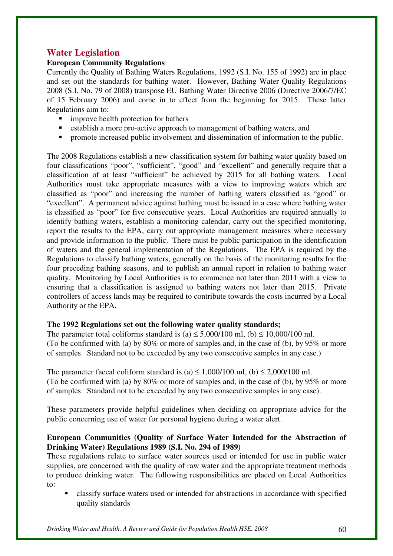## **Water Legislation**

## **European Community Regulations**

Currently the Quality of Bathing Waters Regulations, 1992 (S.I. No. 155 of 1992) are in place and set out the standards for bathing water. However, Bathing Water Quality Regulations 2008 (S.I. No. 79 of 2008) transpose EU Bathing Water Directive 2006 (Directive 2006/7/EC of 15 February 2006) and come in to effect from the beginning for 2015. These latter Regulations aim to:

- improve health protection for bathers
- establish a more pro-active approach to management of bathing waters, and
- **•** promote increased public involvement and dissemination of information to the public.

The 2008 Regulations establish a new classification system for bathing water quality based on four classifications "poor", "sufficient", "good" and "excellent" and generally require that a classification of at least "sufficient" be achieved by 2015 for all bathing waters. Local Authorities must take appropriate measures with a view to improving waters which are classified as "poor" and increasing the number of bathing waters classified as "good" or "excellent". A permanent advice against bathing must be issued in a case where bathing water is classified as "poor" for five consecutive years. Local Authorities are required annually to identify bathing waters, establish a monitoring calendar, carry out the specified monitoring, report the results to the EPA, carry out appropriate management measures where necessary and provide information to the public. There must be public participation in the identification of waters and the general implementation of the Regulations. The EPA is required by the Regulations to classify bathing waters, generally on the basis of the monitoring results for the four preceding bathing seasons, and to publish an annual report in relation to bathing water quality. Monitoring by Local Authorities is to commence not later than 2011 with a view to ensuring that a classification is assigned to bathing waters not later than 2015. Private controllers of access lands may be required to contribute towards the costs incurred by a Local Authority or the EPA.

## **The 1992 Regulations set out the following water quality standards;**

The parameter total coliforms standard is (a)  $\leq$  5,000/100 ml, (b)  $\leq$  10,000/100 ml. (To be confirmed with (a) by 80% or more of samples and, in the case of (b), by 95% or more of samples. Standard not to be exceeded by any two consecutive samples in any case.)

The parameter faecal coliform standard is (a)  $\leq 1,000/100$  ml, (b)  $\leq 2,000/100$  ml. (To be confirmed with (a) by 80% or more of samples and, in the case of (b), by 95% or more of samples. Standard not to be exceeded by any two consecutive samples in any case).

These parameters provide helpful guidelines when deciding on appropriate advice for the public concerning use of water for personal hygiene during a water alert.

## **European Communities (Quality of Surface Water Intended for the Abstraction of Drinking Water) Regulations 1989 (S.I. No. 294 of 1989)**

These regulations relate to surface water sources used or intended for use in public water supplies, are concerned with the quality of raw water and the appropriate treatment methods to produce drinking water. The following responsibilities are placed on Local Authorities to:

 classify surface waters used or intended for abstractions in accordance with specified quality standards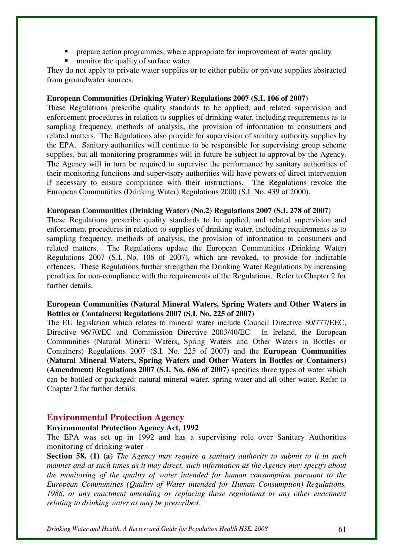- prepare action programmes, where appropriate for improvement of water quality
- monitor the quality of surface water.

They do not apply to private water supplies or to either public or private supplies abstracted from groundwater sources.

#### **European Communities (Drinking Water) Regulations 2007 (S.I. 106 of 2007)**

These Regulations prescribe quality standards to be applied, and related supervision and enforcement procedures in relation to supplies of drinking water, including requirements as to sampling frequency, methods of analysis, the provision of information to consumers and related matters. The Regulations also provide for supervision of sanitary authority supplies by the EPA. Sanitary authorities will continue to be responsible for supervising group scheme supplies, but all monitoring programmes will in future be subject to approval by the Agency. The Agency will in turn be required to supervise the performance by sanitary authorities of their monitoring functions and supervisory authorities will have powers of direct intervention if necessary to ensure compliance with their instructions. The Regulations revoke the European Communities (Drinking Water) Regulations 2000 (S.I. No. 439 of 2000).

#### **European Communities (Drinking Water) (No.2) Regulations 2007 (S.I. 278 of 2007)**

These Regulations prescribe quality standards to be applied, and related supervision and enforcement procedures in relation to supplies of drinking water, including requirements as to sampling frequency, methods of analysis, the provision of information to consumers and related matters. The Regulations update the European Communities (Drinking Water) Regulations 2007 (S.I. No. 106 of 2007), which are revoked, to provide for indictable offences. These Regulations further strengthen the Drinking Water Regulations by increasing penalties for non-compliance with the requirements of the Regulations. Refer to Chapter 2 for further details.

### **European Communities (Natural Mineral Waters, Spring Waters and Other Waters in Bottles or Containers) Regulations 2007 (S.I. No. 225 of 2007)**

The EU legislation which relates to mineral water include Council Directive 80/777/EEC, Directive 96/70/EC and Commission Directive 2003/40/EC. In Ireland, the European Communities (Natural Mineral Waters, Spring Waters and Other Waters in Bottles or Containers) Regulations 2007 (S.I. No. 225 of 2007) and the **European Communities (Natural Mineral Waters, Spring Waters and Other Waters in Bottles or Containers) (Amendment) Regulations 2007 (S.I. No. 686 of 2007)** specifies three types of water which can be bottled or packaged: natural mineral water, spring water and all other water. Refer to Chapter 2 for further details.

## **Environmental Protection Agency**

#### **Environmental Protection Agency Act, 1992**

The EPA was set up in 1992 and has a supervising role over Sanitary Authorities monitoring of drinking water -

**Section 58. (1) (a)** *The Agency may require a sanitary authority to submit to it in such manner and at such times as it may direct, such information as the Agency may specify about the monitoring of the quality of water intended for human consumption pursuant to the European Communities (Quality of Water intended for Human Consumption) Regulations, 1988, or any enactment amending or replacing those regulations or any other enactment relating to drinking water as may be prescribed.*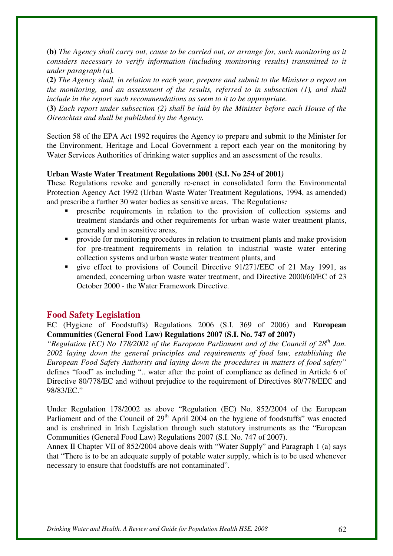**(b)** *The Agency shall carry out, cause to be carried out, or arrange for, such monitoring as it considers necessary to verify information (including monitoring results) transmitted to it under paragraph (a).* 

**(2)** *The Agency shall, in relation to each year, prepare and submit to the Minister a report on the monitoring, and an assessment of the results, referred to in subsection (1), and shall include in the report such recommendations as seem to it to be appropriate.* 

**(3)** *Each report under subsection (2) shall be laid by the Minister before each House of the Oireachtas and shall be published by the Agency.* 

Section 58 of the EPA Act 1992 requires the Agency to prepare and submit to the Minister for the Environment, Heritage and Local Government a report each year on the monitoring by Water Services Authorities of drinking water supplies and an assessment of the results.

#### **Urban Waste Water Treatment Regulations 2001 (S.I. No 254 of 2001***)*

These Regulations revoke and generally re-enact in consolidated form the Environmental Protection Agency Act 1992 (Urban Waste Water Treatment Regulations, 1994, as amended) and prescribe a further 30 water bodies as sensitive areas. The Regulations*:*

- prescribe requirements in relation to the provision of collection systems and treatment standards and other requirements for urban waste water treatment plants, generally and in sensitive areas,
- provide for monitoring procedures in relation to treatment plants and make provision for pre-treatment requirements in relation to industrial waste water entering collection systems and urban waste water treatment plants, and
- give effect to provisions of Council Directive 91/271/EEC of 21 May 1991, as amended, concerning urban waste water treatment, and Directive 2000/60/EC of 23 October 2000 - the Water Framework Directive.

#### **Food Safety Legislation**

EC (Hygiene of Foodstuffs) Regulations 2006 (S.I. 369 of 2006) and **European Communities (General Food Law) Regulations 2007 (S.I. No. 747 of 2007)** 

*"Regulation (EC) No 178/2002 of the European Parliament and of the Council of 28th Jan. 2002 laying down the general principles and requirements of food law, establishing the European Food Safety Authority and laying down the procedures in matters of food safety"* defines "food" as including ".. water after the point of compliance as defined in Article 6 of Directive 80/778/EC and without prejudice to the requirement of Directives 80/778/EEC and 98/83/EC."

Under Regulation 178/2002 as above "Regulation (EC) No. 852/2004 of the European Parliament and of the Council of 29<sup>th</sup> April 2004 on the hygiene of foodstuffs" was enacted and is enshrined in Irish Legislation through such statutory instruments as the "European Communities (General Food Law) Regulations 2007 (S.I. No. 747 of 2007).

Annex II Chapter VII of 852/2004 above deals with "Water Supply" and Paragraph 1 (a) says that "There is to be an adequate supply of potable water supply, which is to be used whenever necessary to ensure that foodstuffs are not contaminated".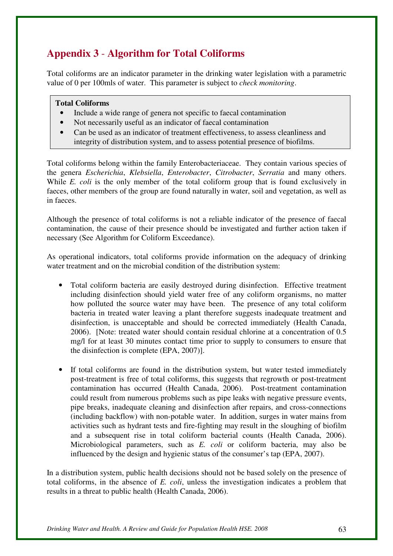# **Appendix 3** - **Algorithm for Total Coliforms**

Total coliforms are an indicator parameter in the drinking water legislation with a parametric value of 0 per 100mls of water. This parameter is subject to *check monitoring*.

#### **Total Coliforms**

- Include a wide range of genera not specific to faecal contamination
- Not necessarily useful as an indicator of faecal contamination
- Can be used as an indicator of treatment effectiveness, to assess cleanliness and integrity of distribution system, and to assess potential presence of biofilms.

Total coliforms belong within the family Enterobacteriaceae. They contain various species of the genera *Escherichia*, *Klebsiella*, *Enterobacter*, *Citrobacter*, *Serratia* and many others. While *E. coli* is the only member of the total coliform group that is found exclusively in faeces, other members of the group are found naturally in water, soil and vegetation, as well as in faeces.

Although the presence of total coliforms is not a reliable indicator of the presence of faecal contamination, the cause of their presence should be investigated and further action taken if necessary (See Algorithm for Coliform Exceedance).

As operational indicators, total coliforms provide information on the adequacy of drinking water treatment and on the microbial condition of the distribution system:

- Total coliform bacteria are easily destroyed during disinfection. Effective treatment including disinfection should yield water free of any coliform organisms, no matter how polluted the source water may have been. The presence of any total coliform bacteria in treated water leaving a plant therefore suggests inadequate treatment and disinfection, is unacceptable and should be corrected immediately (Health Canada, 2006). [Note: treated water should contain residual chlorine at a concentration of 0.5 mg/l for at least 30 minutes contact time prior to supply to consumers to ensure that the disinfection is complete (EPA, 2007)].
- If total coliforms are found in the distribution system, but water tested immediately post-treatment is free of total coliforms, this suggests that regrowth or post-treatment contamination has occurred (Health Canada, 2006). Post-treatment contamination could result from numerous problems such as pipe leaks with negative pressure events, pipe breaks, inadequate cleaning and disinfection after repairs, and cross-connections (including backflow) with non-potable water. In addition, surges in water mains from activities such as hydrant tests and fire-fighting may result in the sloughing of biofilm and a subsequent rise in total coliform bacterial counts (Health Canada, 2006). Microbiological parameters, such as *E. coli* or coliform bacteria, may also be influenced by the design and hygienic status of the consumer's tap (EPA, 2007).

In a distribution system, public health decisions should not be based solely on the presence of total coliforms, in the absence of *E. coli*, unless the investigation indicates a problem that results in a threat to public health (Health Canada, 2006).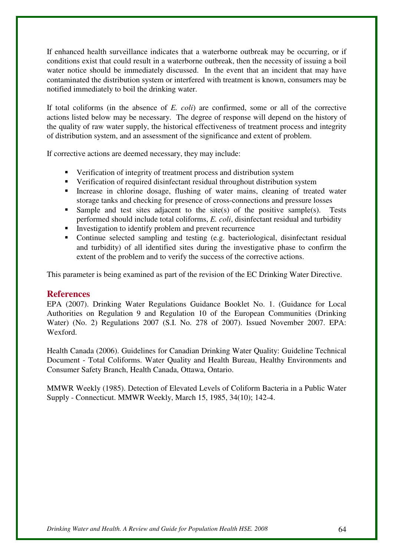If enhanced health surveillance indicates that a waterborne outbreak may be occurring, or if conditions exist that could result in a waterborne outbreak, then the necessity of issuing a boil water notice should be immediately discussed. In the event that an incident that may have contaminated the distribution system or interfered with treatment is known, consumers may be notified immediately to boil the drinking water.

If total coliforms (in the absence of *E. coli*) are confirmed, some or all of the corrective actions listed below may be necessary. The degree of response will depend on the history of the quality of raw water supply, the historical effectiveness of treatment process and integrity of distribution system, and an assessment of the significance and extent of problem.

If corrective actions are deemed necessary, they may include:

- Verification of integrity of treatment process and distribution system
- Verification of required disinfectant residual throughout distribution system
- Increase in chlorine dosage, flushing of water mains, cleaning of treated water storage tanks and checking for presence of cross-connections and pressure losses
- Sample and test sites adjacent to the site(s) of the positive sample(s). Tests performed should include total coliforms, *E. coli*, disinfectant residual and turbidity
- Investigation to identify problem and prevent recurrence
- Continue selected sampling and testing (e.g. bacteriological, disinfectant residual and turbidity) of all identified sites during the investigative phase to confirm the extent of the problem and to verify the success of the corrective actions.

This parameter is being examined as part of the revision of the EC Drinking Water Directive.

#### **References**

EPA (2007). Drinking Water Regulations Guidance Booklet No. 1. (Guidance for Local Authorities on Regulation 9 and Regulation 10 of the European Communities (Drinking Water) (No. 2) Regulations 2007 (S.I. No. 278 of 2007). Issued November 2007. EPA: Wexford.

Health Canada (2006). Guidelines for Canadian Drinking Water Quality: Guideline Technical Document - Total Coliforms. Water Quality and Health Bureau, Healthy Environments and Consumer Safety Branch, Health Canada, Ottawa, Ontario.

MMWR Weekly (1985). Detection of Elevated Levels of Coliform Bacteria in a Public Water Supply - Connecticut. MMWR Weekly, March 15, 1985, 34(10); 142-4.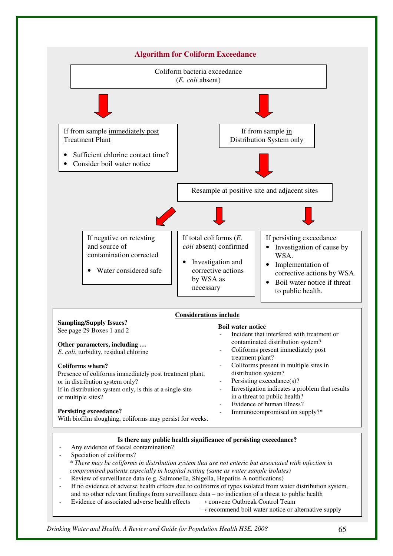

- - $\rightarrow$  recommend boil water notice or alternative supply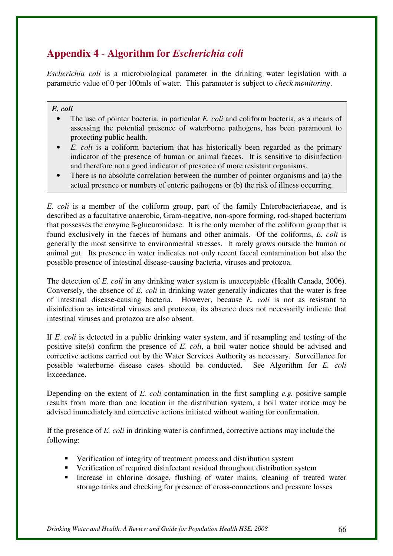# **Appendix 4** - **Algorithm for** *Escherichia coli*

*Escherichia coli* is a microbiological parameter in the drinking water legislation with a parametric value of 0 per 100mls of water. This parameter is subject to *check monitoring*.

## *E. coli*

- The use of pointer bacteria, in particular *E. coli* and coliform bacteria, as a means of assessing the potential presence of waterborne pathogens, has been paramount to protecting public health.
- *E. coli* is a coliform bacterium that has historically been regarded as the primary indicator of the presence of human or animal faeces. It is sensitive to disinfection and therefore not a good indicator of presence of more resistant organisms.
- There is no absolute correlation between the number of pointer organisms and (a) the actual presence or numbers of enteric pathogens or (b) the risk of illness occurring.

*E. coli* is a member of the coliform group, part of the family Enterobacteriaceae, and is described as a facultative anaerobic, Gram-negative, non-spore forming, rod-shaped bacterium that possesses the enzyme ß-glucuronidase. It is the only member of the coliform group that is found exclusively in the faeces of humans and other animals. Of the coliforms, *E. coli* is generally the most sensitive to environmental stresses. It rarely grows outside the human or animal gut. Its presence in water indicates not only recent faecal contamination but also the possible presence of intestinal disease-causing bacteria, viruses and protozoa.

The detection of *E. coli* in any drinking water system is unacceptable (Health Canada, 2006). Conversely, the absence of *E. coli* in drinking water generally indicates that the water is free of intestinal disease-causing bacteria. However, because *E. coli* is not as resistant to disinfection as intestinal viruses and protozoa, its absence does not necessarily indicate that intestinal viruses and protozoa are also absent.

If *E. coli* is detected in a public drinking water system, and if resampling and testing of the positive site(s) confirm the presence of *E. coli*, a boil water notice should be advised and corrective actions carried out by the Water Services Authority as necessary. Surveillance for possible waterborne disease cases should be conducted. See Algorithm for *E. coli* Exceedance.

Depending on the extent of *E. coli* contamination in the first sampling *e.g.* positive sample results from more than one location in the distribution system, a boil water notice may be advised immediately and corrective actions initiated without waiting for confirmation.

If the presence of *E. coli* in drinking water is confirmed, corrective actions may include the following:

- Verification of integrity of treatment process and distribution system
- Verification of required disinfectant residual throughout distribution system
- **Increase in chlorine dosage, flushing of water mains, cleaning of treated water** storage tanks and checking for presence of cross-connections and pressure losses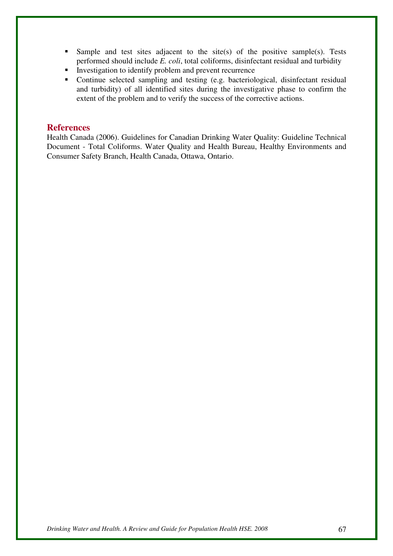- Sample and test sites adjacent to the site(s) of the positive sample(s). Tests performed should include *E. coli*, total coliforms, disinfectant residual and turbidity
- Investigation to identify problem and prevent recurrence
- Continue selected sampling and testing (e.g. bacteriological, disinfectant residual and turbidity) of all identified sites during the investigative phase to confirm the extent of the problem and to verify the success of the corrective actions.

## **References**

Health Canada (2006). Guidelines for Canadian Drinking Water Quality: Guideline Technical Document - Total Coliforms. Water Quality and Health Bureau, Healthy Environments and Consumer Safety Branch, Health Canada, Ottawa, Ontario.

*Drinking Water and Health. A Review and Guide for Population Health HSE. 2008* 67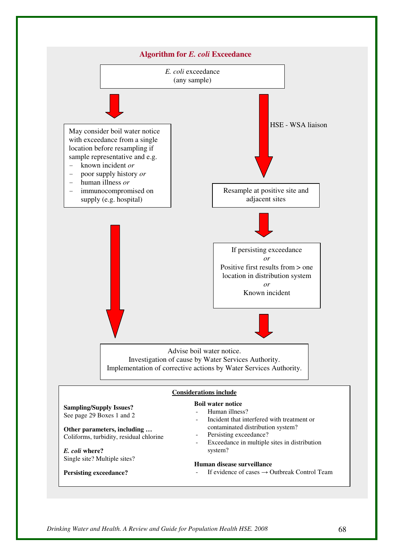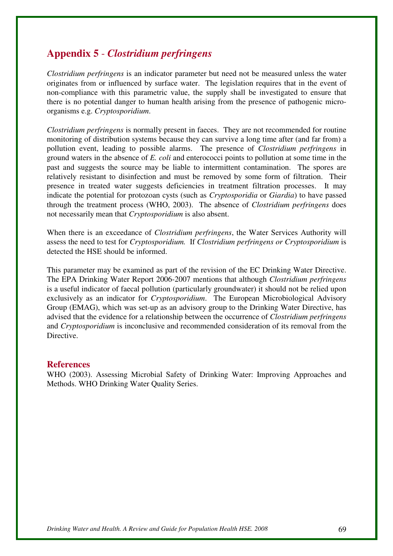# **Appendix 5** - *Clostridium perfringens*

*Clostridium perfringens* is an indicator parameter but need not be measured unless the water originates from or influenced by surface water. The legislation requires that in the event of non-compliance with this parametric value, the supply shall be investigated to ensure that there is no potential danger to human health arising from the presence of pathogenic microorganisms e.g. *Cryptosporidium*.

*Clostridium perfringens* is normally present in faeces. They are not recommended for routine monitoring of distribution systems because they can survive a long time after (and far from) a pollution event, leading to possible alarms. The presence of *Clostridium perfringens* in ground waters in the absence of *E. coli* and enterococci points to pollution at some time in the past and suggests the source may be liable to intermittent contamination. The spores are relatively resistant to disinfection and must be removed by some form of filtration. Their presence in treated water suggests deficiencies in treatment filtration processes. It may indicate the potential for protozoan cysts (such as *Cryptosporidia* or *Giardia*) to have passed through the treatment process (WHO, 2003). The absence of *Clostridium perfringens* does not necessarily mean that *Cryptosporidium* is also absent.

When there is an exceedance of *Clostridium perfringens*, the Water Services Authority will assess the need to test for *Cryptosporidium.* If *Clostridium perfringens or Cryptosporidium* is detected the HSE should be informed.

This parameter may be examined as part of the revision of the EC Drinking Water Directive. The EPA Drinking Water Report 2006-2007 mentions that although *Clostridium perfringens* is a useful indicator of faecal pollution (particularly groundwater) it should not be relied upon exclusively as an indicator for *Cryptosporidium*. The European Microbiological Advisory Group (EMAG), which was set-up as an advisory group to the Drinking Water Directive, has advised that the evidence for a relationship between the occurrence of *Clostridium perfringens*  and *Cryptosporidium* is inconclusive and recommended consideration of its removal from the Directive.

### **References**

WHO (2003). Assessing Microbial Safety of Drinking Water: Improving Approaches and Methods. WHO Drinking Water Quality Series.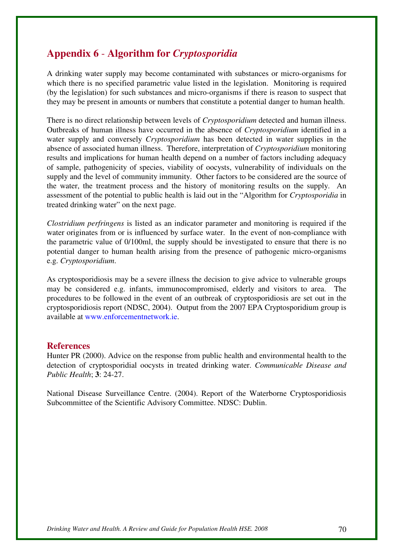# **Appendix 6** - **Algorithm for** *Cryptosporidia*

A drinking water supply may become contaminated with substances or micro-organisms for which there is no specified parametric value listed in the legislation.Monitoring is required (by the legislation) for such substances and micro-organisms if there is reason to suspect that they may be present in amounts or numbers that constitute a potential danger to human health.

There is no direct relationship between levels of *Cryptosporidium* detected and human illness. Outbreaks of human illness have occurred in the absence of *Cryptosporidium* identified in a water supply and conversely *Cryptosporidium* has been detected in water supplies in the absence of associated human illness. Therefore, interpretation of *Cryptosporidium* monitoring results and implications for human health depend on a number of factors including adequacy of sample, pathogenicity of species, viability of oocysts, vulnerability of individuals on the supply and the level of community immunity. Other factors to be considered are the source of the water, the treatment process and the history of monitoring results on the supply. An assessment of the potential to public health is laid out in the "Algorithm for *Cryptosporidia* in treated drinking water" on the next page.

*Clostridium perfringens* is listed as an indicator parameter and monitoring is required if the water originates from or is influenced by surface water. In the event of non-compliance with the parametric value of 0/100ml, the supply should be investigated to ensure that there is no potential danger to human health arising from the presence of pathogenic micro-organisms e.g. *Cryptosporidium*.

As cryptosporidiosis may be a severe illness the decision to give advice to vulnerable groups may be considered e.g. infants, immunocompromised, elderly and visitors to area. The procedures to be followed in the event of an outbreak of cryptosporidiosis are set out in the cryptosporidiosis report (NDSC, 2004). Output from the 2007 EPA Cryptosporidium group is available at www.enforcementnetwork.ie.

### **References**

Hunter PR (2000). Advice on the response from public health and environmental health to the detection of cryptosporidial oocysts in treated drinking water. *Communicable Disease and Public Health*; **3**: 24-27.

National Disease Surveillance Centre. (2004). Report of the Waterborne Cryptosporidiosis Subcommittee of the Scientific Advisory Committee. NDSC: Dublin.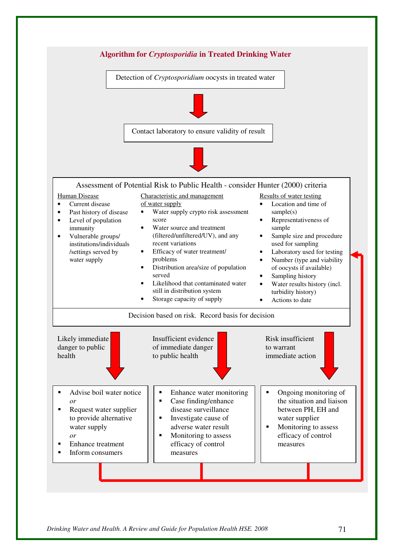

*Drinking Water and Health. A Review and Guide for Population Health HSE. 2008* 71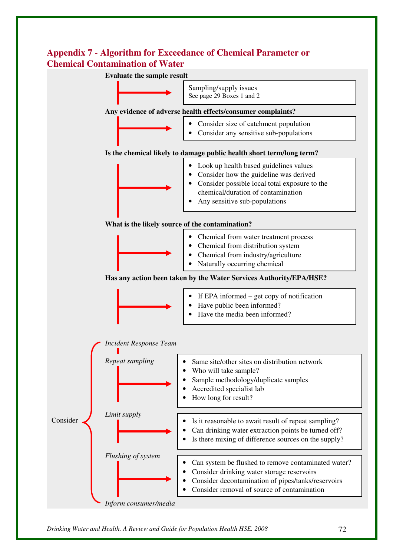# **Appendix 7** - **Algorithm for Exceedance of Chemical Parameter or Chemical Contamination of Water**

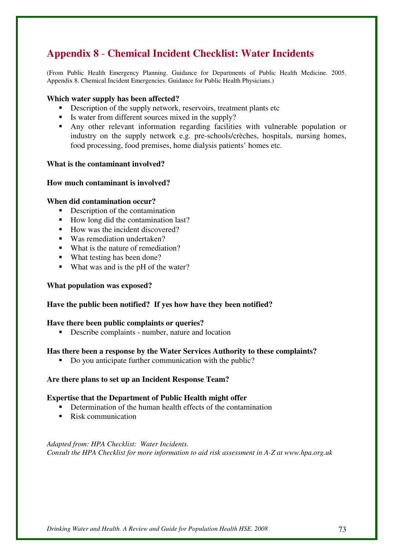# **Appendix 8** - **Chemical Incident Checklist: Water Incidents**

(From Public Health Emergency Planning. Guidance for Departments of Public Health Medicine. 2005. Appendix 8. Chemical Incident Emergencies. Guidance for Public Health Physicians.)

#### **Which water supply has been affected?**

- Description of the supply network, reservoirs, treatment plants etc
- Is water from different sources mixed in the supply?
- Any other relevant information regarding facilities with vulnerable population or industry on the supply network e.g. pre-schools/crèches, hospitals, nursing homes, food processing, food premises, home dialysis patients' homes etc.

#### **What is the contaminant involved?**

#### **How much contaminant is involved?**

#### **When did contamination occur?**

- Description of the contamination
- How long did the contamination last?
- How was the incident discovered?
- Was remediation undertaken?
- What is the nature of remediation?
- What testing has been done?
- What was and is the pH of the water?

#### **What population was exposed?**

### **Have the public been notified? If yes how have they been notified?**

#### **Have there been public complaints or queries?**

Describe complaints - number, nature and location

#### **Has there been a response by the Water Services Authority to these complaints?**

Do you anticipate further communication with the public?

#### **Are there plans to set up an Incident Response Team?**

#### **Expertise that the Department of Public Health might offer**

- Determination of the human health effects of the contamination
- Risk communication

*Adapted from: HPA Checklist: Water Incidents. Consult the HPA Checklist for more information to aid risk assessment in A-Z at www.hpa.org.uk*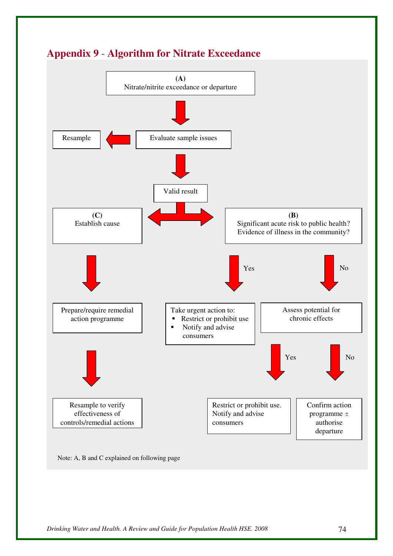

# **Appendix 9** - **Algorithm for Nitrate Exceedance**